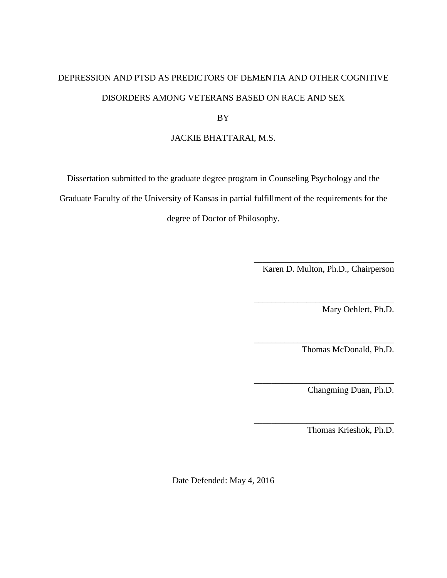# DEPRESSION AND PTSD AS PREDICTORS OF DEMENTIA AND OTHER COGNITIVE DISORDERS AMONG VETERANS BASED ON RACE AND SEX

BY

# JACKIE BHATTARAI, M.S.

Dissertation submitted to the graduate degree program in Counseling Psychology and the

Graduate Faculty of the University of Kansas in partial fulfillment of the requirements for the

degree of Doctor of Philosophy.

\_\_\_\_\_\_\_\_\_\_\_\_\_\_\_\_\_\_\_\_\_\_\_\_\_\_\_\_\_\_\_\_ Karen D. Multon, Ph.D., Chairperson

\_\_\_\_\_\_\_\_\_\_\_\_\_\_\_\_\_\_\_\_\_\_\_\_\_\_\_\_\_\_\_\_

\_\_\_\_\_\_\_\_\_\_\_\_\_\_\_\_\_\_\_\_\_\_\_\_\_\_\_\_\_\_\_\_

\_\_\_\_\_\_\_\_\_\_\_\_\_\_\_\_\_\_\_\_\_\_\_\_\_\_\_\_\_\_\_\_

\_\_\_\_\_\_\_\_\_\_\_\_\_\_\_\_\_\_\_\_\_\_\_\_\_\_\_\_\_\_\_\_

Mary Oehlert, Ph.D.

Thomas McDonald, Ph.D.

Changming Duan, Ph.D.

Thomas Krieshok, Ph.D.

Date Defended: May 4, 2016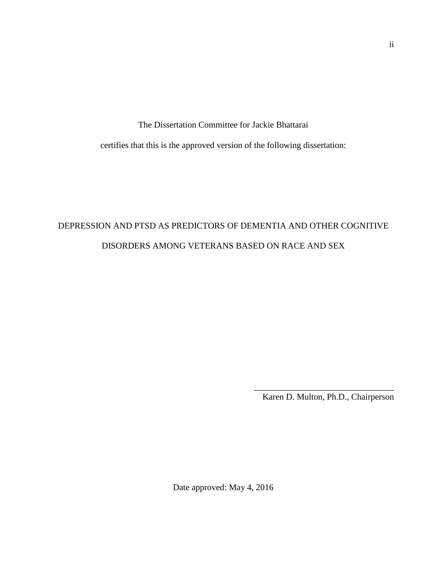The Dissertation Committee for Jackie Bhattarai

certifies that this is the approved version of the following dissertation:

# DEPRESSION AND PTSD AS PREDICTORS OF DEMENTIA AND OTHER COGNITIVE DISORDERS AMONG VETERANS BASED ON RACE AND SEX

\_\_\_\_\_\_\_\_\_\_\_\_\_\_\_\_\_\_\_\_\_\_\_\_\_\_\_\_\_\_\_\_ Karen D. Multon, Ph.D., Chairperson

Date approved: May 4, 2016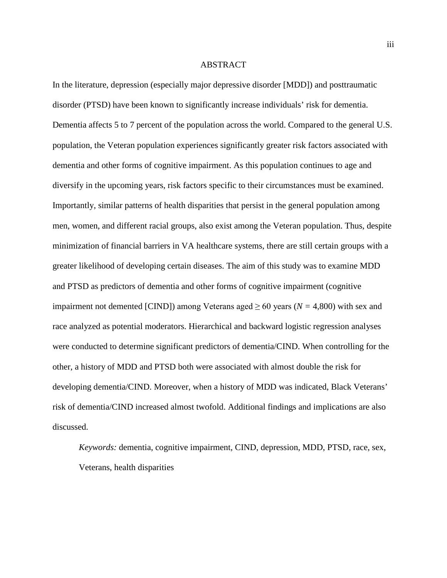#### ABSTRACT

In the literature, depression (especially major depressive disorder [MDD]) and posttraumatic disorder (PTSD) have been known to significantly increase individuals' risk for dementia. Dementia affects 5 to 7 percent of the population across the world. Compared to the general U.S. population, the Veteran population experiences significantly greater risk factors associated with dementia and other forms of cognitive impairment. As this population continues to age and diversify in the upcoming years, risk factors specific to their circumstances must be examined. Importantly, similar patterns of health disparities that persist in the general population among men, women, and different racial groups, also exist among the Veteran population. Thus, despite minimization of financial barriers in VA healthcare systems, there are still certain groups with a greater likelihood of developing certain diseases. The aim of this study was to examine MDD and PTSD as predictors of dementia and other forms of cognitive impairment (cognitive impairment not demented [CIND]) among Veterans aged  $\geq 60$  years ( $N = 4,800$ ) with sex and race analyzed as potential moderators. Hierarchical and backward logistic regression analyses were conducted to determine significant predictors of dementia/CIND. When controlling for the other, a history of MDD and PTSD both were associated with almost double the risk for developing dementia/CIND. Moreover, when a history of MDD was indicated, Black Veterans' risk of dementia/CIND increased almost twofold. Additional findings and implications are also discussed.

*Keywords:* dementia, cognitive impairment, CIND, depression, MDD, PTSD, race, sex, Veterans, health disparities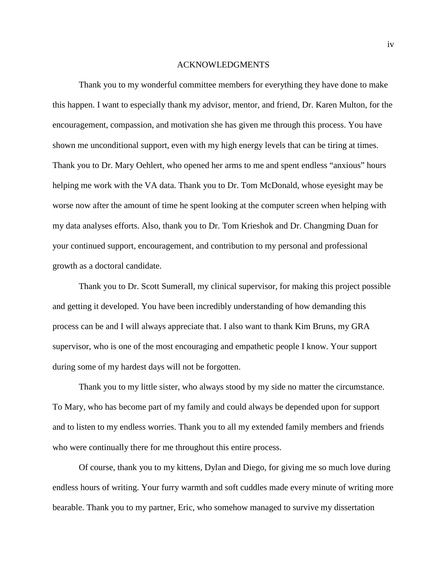#### ACKNOWLEDGMENTS

Thank you to my wonderful committee members for everything they have done to make this happen. I want to especially thank my advisor, mentor, and friend, Dr. Karen Multon, for the encouragement, compassion, and motivation she has given me through this process. You have shown me unconditional support, even with my high energy levels that can be tiring at times. Thank you to Dr. Mary Oehlert, who opened her arms to me and spent endless "anxious" hours helping me work with the VA data. Thank you to Dr. Tom McDonald, whose eyesight may be worse now after the amount of time he spent looking at the computer screen when helping with my data analyses efforts. Also, thank you to Dr. Tom Krieshok and Dr. Changming Duan for your continued support, encouragement, and contribution to my personal and professional growth as a doctoral candidate.

Thank you to Dr. Scott Sumerall, my clinical supervisor, for making this project possible and getting it developed. You have been incredibly understanding of how demanding this process can be and I will always appreciate that. I also want to thank Kim Bruns, my GRA supervisor, who is one of the most encouraging and empathetic people I know. Your support during some of my hardest days will not be forgotten.

Thank you to my little sister, who always stood by my side no matter the circumstance. To Mary, who has become part of my family and could always be depended upon for support and to listen to my endless worries. Thank you to all my extended family members and friends who were continually there for me throughout this entire process.

Of course, thank you to my kittens, Dylan and Diego, for giving me so much love during endless hours of writing. Your furry warmth and soft cuddles made every minute of writing more bearable. Thank you to my partner, Eric, who somehow managed to survive my dissertation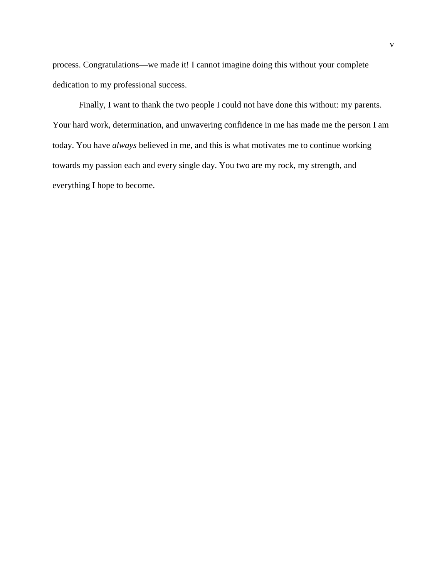process. Congratulations—we made it! I cannot imagine doing this without your complete dedication to my professional success.

Finally, I want to thank the two people I could not have done this without: my parents. Your hard work, determination, and unwavering confidence in me has made me the person I am today. You have *always* believed in me, and this is what motivates me to continue working towards my passion each and every single day. You two are my rock, my strength, and everything I hope to become.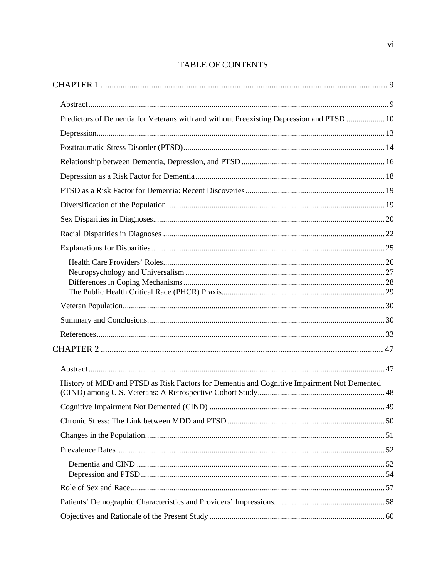# **TABLE OF CONTENTS**

| Predictors of Dementia for Veterans with and without Preexisting Depression and PTSD  10   |  |
|--------------------------------------------------------------------------------------------|--|
|                                                                                            |  |
|                                                                                            |  |
|                                                                                            |  |
|                                                                                            |  |
|                                                                                            |  |
|                                                                                            |  |
|                                                                                            |  |
|                                                                                            |  |
|                                                                                            |  |
|                                                                                            |  |
|                                                                                            |  |
|                                                                                            |  |
|                                                                                            |  |
|                                                                                            |  |
|                                                                                            |  |
|                                                                                            |  |
|                                                                                            |  |
|                                                                                            |  |
| History of MDD and PTSD as Risk Factors for Dementia and Cognitive Impairment Not Demented |  |
|                                                                                            |  |
|                                                                                            |  |
|                                                                                            |  |
|                                                                                            |  |
|                                                                                            |  |
|                                                                                            |  |
|                                                                                            |  |
|                                                                                            |  |
|                                                                                            |  |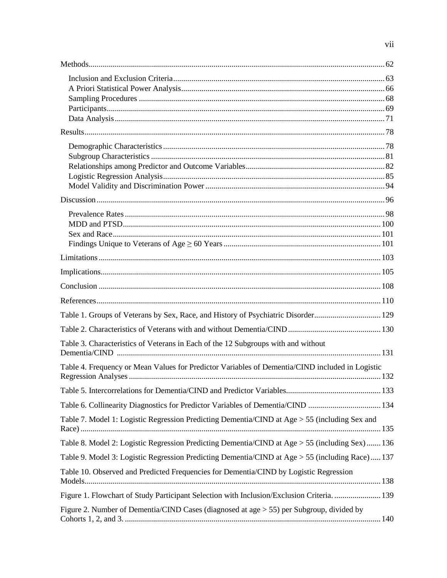| Table 1. Groups of Veterans by Sex, Race, and History of Psychiatric Disorder 129               |  |
|-------------------------------------------------------------------------------------------------|--|
|                                                                                                 |  |
| Table 3. Characteristics of Veterans in Each of the 12 Subgroups with and without               |  |
| Table 4. Frequency or Mean Values for Predictor Variables of Dementia/CIND included in Logistic |  |
|                                                                                                 |  |
| Table 6. Collinearity Diagnostics for Predictor Variables of Dementia/CIND  134                 |  |
| Table 7. Model 1: Logistic Regression Predicting Dementia/CIND at Age > 55 (including Sex and   |  |
| Table 8. Model 2: Logistic Regression Predicting Dementia/CIND at Age > 55 (including Sex) 136  |  |
| Table 9. Model 3: Logistic Regression Predicting Dementia/CIND at Age > 55 (including Race) 137 |  |
| Table 10. Observed and Predicted Frequencies for Dementia/CIND by Logistic Regression           |  |
| Figure 1. Flowchart of Study Participant Selection with Inclusion/Exclusion Criteria.  139      |  |
| Figure 2. Number of Dementia/CIND Cases (diagnosed at age > 55) per Subgroup, divided by        |  |
|                                                                                                 |  |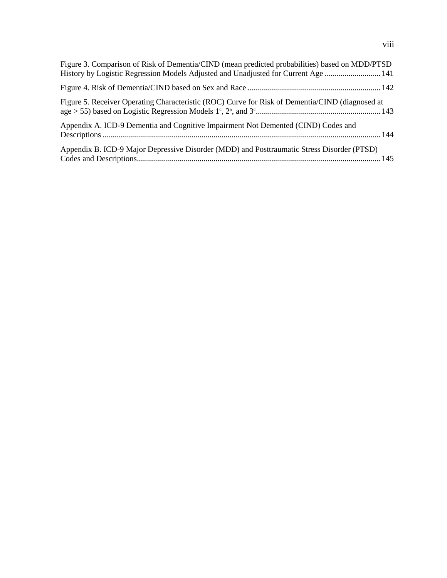| Figure 3. Comparison of Risk of Dementia/CIND (mean predicted probabilities) based on MDD/PTSD<br>History by Logistic Regression Models Adjusted and Unadjusted for Current Age141 |  |
|------------------------------------------------------------------------------------------------------------------------------------------------------------------------------------|--|
|                                                                                                                                                                                    |  |
| Figure 5. Receiver Operating Characteristic (ROC) Curve for Risk of Dementia/CIND (diagnosed at                                                                                    |  |
| Appendix A. ICD-9 Dementia and Cognitive Impairment Not Demented (CIND) Codes and                                                                                                  |  |
| Appendix B. ICD-9 Major Depressive Disorder (MDD) and Posttraumatic Stress Disorder (PTSD)                                                                                         |  |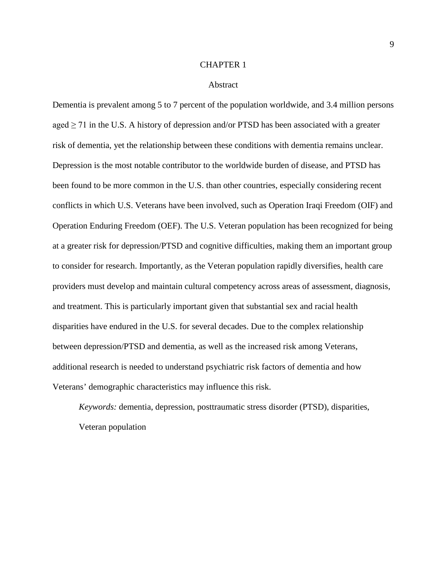#### CHAPTER 1

#### Abstract

<span id="page-8-1"></span><span id="page-8-0"></span>Dementia is prevalent among 5 to 7 percent of the population worldwide, and 3.4 million persons aged  $\geq$  71 in the U.S. A history of depression and/or PTSD has been associated with a greater risk of dementia, yet the relationship between these conditions with dementia remains unclear. Depression is the most notable contributor to the worldwide burden of disease, and PTSD has been found to be more common in the U.S. than other countries, especially considering recent conflicts in which U.S. Veterans have been involved, such as Operation Iraqi Freedom (OIF) and Operation Enduring Freedom (OEF). The U.S. Veteran population has been recognized for being at a greater risk for depression/PTSD and cognitive difficulties, making them an important group to consider for research. Importantly, as the Veteran population rapidly diversifies, health care providers must develop and maintain cultural competency across areas of assessment, diagnosis, and treatment. This is particularly important given that substantial sex and racial health disparities have endured in the U.S. for several decades. Due to the complex relationship between depression/PTSD and dementia, as well as the increased risk among Veterans, additional research is needed to understand psychiatric risk factors of dementia and how Veterans' demographic characteristics may influence this risk.

*Keywords:* dementia, depression, posttraumatic stress disorder (PTSD), disparities, Veteran population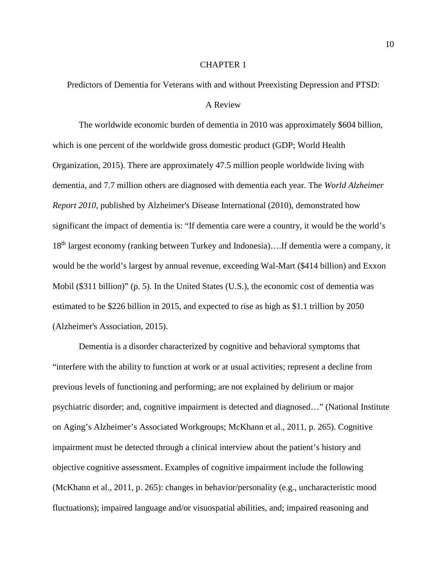#### CHAPTER 1

<span id="page-9-0"></span>Predictors of Dementia for Veterans with and without Preexisting Depression and PTSD:

#### A Review

The worldwide economic burden of dementia in 2010 was approximately \$604 billion, which is one percent of the worldwide gross domestic product [\(GDP; World Health](#page-45-0)  [Organization, 2015\)](#page-45-0). There are approximately 47.5 million people worldwide living with dementia, and 7.7 million others are diagnosed with dementia each year. The *World Alzheimer Report 2010*, published by [Alzheimer's Disease International \(2010\),](#page-32-1) demonstrated how significant the impact of dementia is: "If dementia care were a country, it would be the world's 18th largest economy (ranking between Turkey and Indonesia)….If dementia were a company, it would be the world's largest by annual revenue, exceeding Wal-Mart (\$414 billion) and Exxon Mobil (\$311 billion)" [\(p. 5\)](#page-32-1). In the United States (U.S.), the economic cost of dementia was estimated to be \$226 billion in 2015, and expected to rise as high as \$1.1 trillion by 2050 [\(Alzheimer's Association, 2015\)](#page-32-2).

Dementia is a disorder characterized by cognitive and behavioral symptoms that "interfere with the ability to function at work or at usual activities; represent a decline from previous levels of functioning and performing; are not explained by delirium or major psychiatric disorder; and, cognitive impairment is detected and diagnosed…" [\(National Institute](#page-39-0)  [on Aging's Alzheimer's Associated Workgroups; McKhann et al., 2011, p. 265\)](#page-39-0). Cognitive impairment must be detected through a clinical interview about the patient's history and objective cognitive assessment. Examples of cognitive impairment include the following [\(McKhann et al., 2011, p. 265\)](#page-39-0): changes in behavior/personality (e.g., uncharacteristic mood fluctuations); impaired language and/or visuospatial abilities, and; impaired reasoning and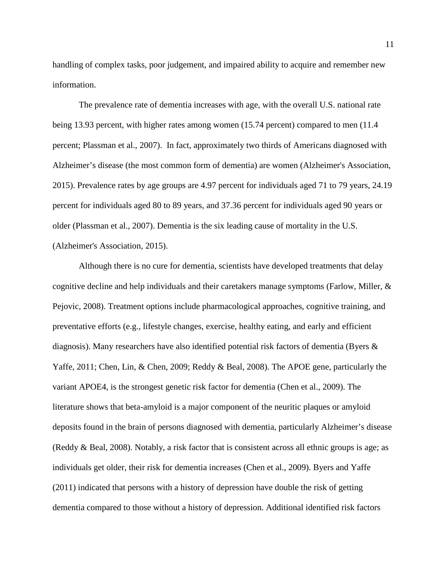handling of complex tasks, poor judgement, and impaired ability to acquire and remember new information.

The prevalence rate of dementia increases with age, with the overall U.S. national rate being 13.93 percent, with higher rates among women (15.74 percent) compared to men (11.4 [percent; Plassman et al., 2007\)](#page-41-0). In fact, approximately two thirds of Americans diagnosed with Alzheimer's disease (the most common form of dementia) are women [\(Alzheimer's Association,](#page-32-2)  [2015\)](#page-32-2). Prevalence rates by age groups are 4.97 percent for individuals aged 71 to 79 years, 24.19 percent for individuals aged 80 to 89 years, and 37.36 percent for individuals aged 90 years or older [\(Plassman et al., 2007\)](#page-41-0). Dementia is the six leading cause of mortality in the U.S. [\(Alzheimer's Association, 2015\)](#page-32-2).

Although there is no cure for dementia, scientists have developed treatments that delay cognitive decline and help individuals and their caretakers manage symptoms [\(Farlow, Miller, &](#page-36-0)  [Pejovic, 2008\)](#page-36-0). Treatment options include pharmacological approaches, cognitive training, and preventative efforts (e.g., lifestyle changes, exercise, healthy eating, and early and efficient diagnosis). Many researchers have also identified potential risk factors of dementia [\(Byers &](#page-33-0)  [Yaffe, 2011;](#page-33-0) [Chen, Lin, & Chen, 2009;](#page-34-0) Reddy [& Beal, 2008\)](#page-41-1). The APOE gene, particularly the variant APOE4, is the strongest genetic risk factor for dementia [\(Chen et al., 2009\)](#page-34-0). The literature shows that beta-amyloid is a major component of the neuritic plaques or amyloid deposits found in the brain of persons diagnosed with dementia, particularly Alzheimer's disease [\(Reddy & Beal, 2008\)](#page-41-1). Notably, a risk factor that is consistent across all ethnic groups is age; as individuals get older, their risk for dementia increases [\(Chen et al., 2009\)](#page-34-0). [Byers and Yaffe](#page-33-0)  (2011) indicated that persons with a history of depression have double the risk of getting dementia compared to those without a history of depression. Additional identified risk factors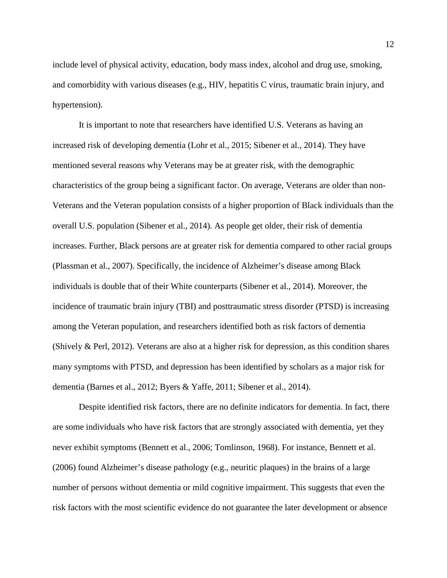include level of physical activity, education, body mass index, alcohol and drug use, smoking, and comorbidity with various diseases (e.g., HIV, hepatitis C virus, traumatic brain injury, and hypertension).

It is important to note that researchers have identified U.S. Veterans as having an increased risk of developing dementia [\(Lohr et al., 2015;](#page-39-1) [Sibener et al., 2014\)](#page-42-0). They have mentioned several reasons why Veterans may be at greater risk, with the demographic characteristics of the group being a significant factor. On average, Veterans are older than non-Veterans and the Veteran population consists of a higher proportion of Black individuals than the overall U.S. population [\(Sibener et al., 2014\)](#page-42-0). As people get older, their risk of dementia increases. Further, Black persons are at greater risk for dementia compared to other racial groups [\(Plassman et al., 2007\)](#page-41-0). Specifically, the incidence of Alzheimer's disease among Black individuals is double that of their White counterparts [\(Sibener et al., 2014\)](#page-42-0). Moreover, the incidence of traumatic brain injury (TBI) and posttraumatic stress disorder (PTSD) is increasing among the Veteran population, and researchers identified both as risk factors of dementia [\(Shively & Perl, 2012\)](#page-42-1). Veterans are also at a higher risk for depression, as this condition shares many symptoms with PTSD, and depression has been identified by scholars as a major risk for dementia [\(Barnes et](#page-32-3) al., 2012; [Byers & Yaffe, 2011;](#page-33-0) [Sibener et al., 2014\)](#page-42-0).

Despite identified risk factors, there are no definite indicators for dementia. In fact, there are some individuals who have risk factors that are strongly associated with dementia, yet they never exhibit symptoms [\(Bennett et al., 2006;](#page-33-1) [Tomlinson, 1968\)](#page-43-0). For instance, [Bennett et al.](#page-33-1)  (2006) found Alzheimer's disease pathology (e.g., neuritic plaques) in the brains of a large number of persons without dementia or mild cognitive impairment. This suggests that even the risk factors with the most scientific evidence do not guarantee the later development or absence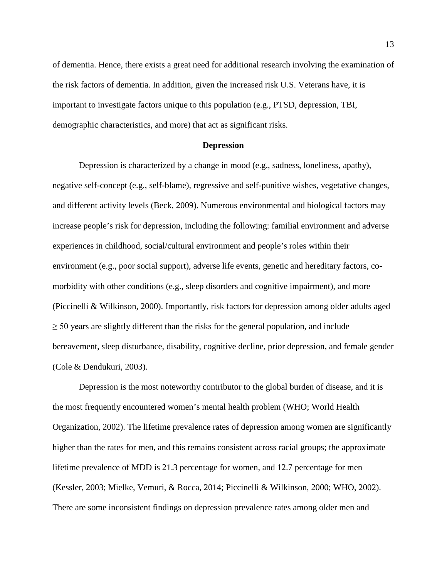of dementia. Hence, there exists a great need for additional research involving the examination of the risk factors of dementia. In addition, given the increased risk U.S. Veterans have, it is important to investigate factors unique to this population (e.g., PTSD, depression, TBI, demographic characteristics, and more) that act as significant risks.

#### **Depression**

<span id="page-12-0"></span>Depression is characterized by a change in mood (e.g., sadness, loneliness, apathy), negative self-concept (e.g., self-blame), regressive and self-punitive wishes, vegetative changes, and different activity levels [\(Beck, 2009\)](#page-33-2). Numerous environmental and biological factors may increase people's risk for depression, including the following: familial environment and adverse experiences in childhood, social/cultural environment and people's roles within their environment (e.g., poor social support), adverse life events, genetic and hereditary factors, comorbidity with other conditions (e.g., sleep disorders and cognitive impairment), and more [\(Piccinelli & Wilkinson, 2000\)](#page-41-2). Importantly, risk factors for depression among older adults aged  $\geq$  50 years are slightly different than the risks for the general population, and include bereavement, sleep disturbance, disability, cognitive decline, prior depression, and female gender [\(Cole & Dendukuri, 2003\)](#page-34-1).

Depression is the most noteworthy contributor to the global burden of disease, and it is the most frequently encountered women's mental health problem [\(WHO; World Health](#page-45-1)  [Organization, 2002\)](#page-45-1). The lifetime prevalence rates of depression among women are significantly higher than the rates for men, and this remains consistent across racial groups; the approximate lifetime prevalence of MDD is 21.3 percentage for women, and 12.7 percentage for men [\(Kessler, 2003;](#page-38-0) [Mielke, Vemuri, & Rocca, 2014;](#page-40-0) [Piccinelli & Wilkinson, 2000;](#page-41-2) [WHO, 2002\)](#page-45-1). There are some inconsistent findings on depression prevalence rates among older men and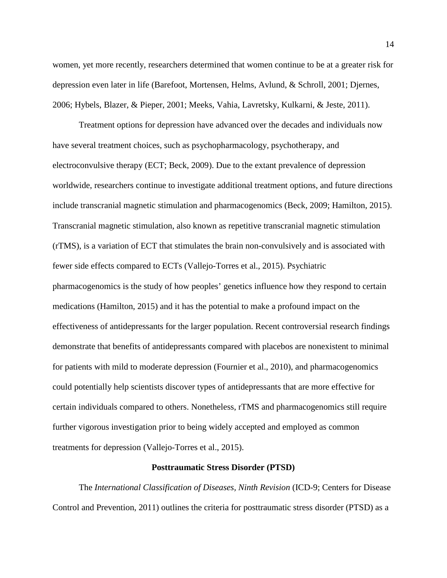women, yet more recently, researchers determined that women continue to be at a greater risk for depression even later in life [\(Barefoot, Mortensen, Helms, Avlund, & Schroll, 2001;](#page-32-4) [Djernes,](#page-35-0)  [2006;](#page-35-0) [Hybels, Blazer, & Pieper, 2001;](#page-38-1) [Meeks, Vahia, Lavretsky, Kulkarni, & Jeste, 2011\)](#page-39-2).

Treatment options for depression have advanced over the decades and individuals now have several treatment choices, such as psychopharmacology, psychotherapy, and electroconvulsive therapy [\(ECT; Beck, 2009\)](#page-33-2). Due to the extant prevalence of depression worldwide, researchers continue to investigate additional treatment options, and future directions include transcranial magnetic stimulation and pharmacogenomics [\(Beck, 2009;](#page-33-2) [Hamilton, 2015\)](#page-37-0). Transcranial magnetic stimulation, also known as repetitive transcranial magnetic stimulation (rTMS), is a variation of ECT that stimulates the brain non-convulsively and is associated with fewer side effects compared to ECTs [\(Vallejo-Torres et al., 2015\)](#page-44-0). Psychiatric pharmacogenomics is the study of how peoples' genetics influence how they respond to certain medications [\(Hamilton, 2015\)](#page-37-0) and it has the potential to make a profound impact on the effectiveness of antidepressants for the larger population. Recent controversial research findings demonstrate that benefits of antidepressants compared with placebos are nonexistent to minimal for patients with mild to moderate depression [\(Fournier et al., 2010\)](#page-36-1), and pharmacogenomics could potentially help scientists discover types of antidepressants that are more effective for certain individuals compared to others. Nonetheless, rTMS and pharmacogenomics still require further vigorous investigation prior to being widely accepted and employed as common treatments for depression [\(Vallejo-Torres et al., 2015\)](#page-44-0).

#### **Posttraumatic Stress Disorder (PTSD)**

<span id="page-13-0"></span>The *International Classification of Diseases, Ninth Revision* [\(ICD-9; Centers for Disease](#page-34-2)  [Control and Prevention, 2011\)](#page-34-2) outlines the criteria for posttraumatic stress disorder (PTSD) as a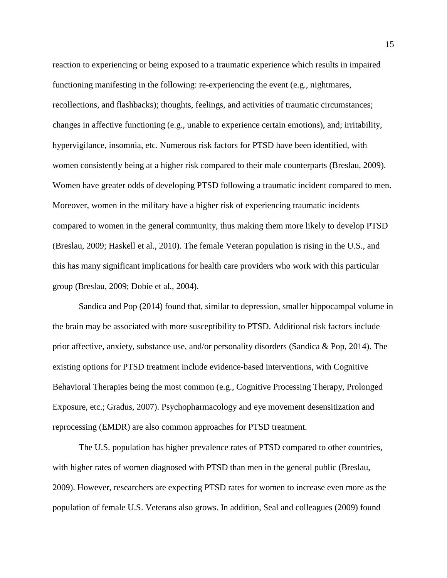reaction to experiencing or being exposed to a traumatic experience which results in impaired functioning manifesting in the following: re-experiencing the event (e.g., nightmares, recollections, and flashbacks); thoughts, feelings, and activities of traumatic circumstances; changes in affective functioning (e.g., unable to experience certain emotions), and; irritability, hypervigilance, insomnia, etc. Numerous risk factors for PTSD have been identified, with women consistently being at a higher risk compared to their male counterparts [\(Breslau, 2009\)](#page-33-3). Women have greater odds of developing PTSD following a traumatic incident compared to men. Moreover, women in the military have a higher risk of experiencing traumatic incidents compared to women in the general community, thus making them more likely to develop PTSD [\(Breslau, 2009;](#page-33-3) [Haskell et al., 2010\)](#page-37-1). The female Veteran population is rising in the U.S., and this has many significant implications for health care providers who work with this particular group [\(Breslau, 2009;](#page-33-3) [Dobie et al., 2004\)](#page-35-1).

[Sandica and Pop \(2014\)](#page-42-2) found that, similar to depression, smaller hippocampal volume in the brain may be associated with more susceptibility to PTSD. Additional risk factors include prior affective, anxiety, substance use, and/or personality disorders [\(Sandica & Pop, 2014\)](#page-42-2). The existing options for PTSD treatment include evidence-based interventions, with Cognitive Behavioral Therapies being the most common [\(e.g., Cognitive Processing Therapy, Prolonged](#page-37-2)  [Exposure, etc.; Gradus, 2007\)](#page-37-2). Psychopharmacology and eye movement desensitization and reprocessing (EMDR) are also common approaches for PTSD treatment.

The U.S. population has higher prevalence rates of PTSD compared to other countries, with higher rates of women diagnosed with PTSD than men in the general public (Breslau, [2009\)](#page-33-3). However, researchers are expecting PTSD rates for women to increase even more as the population of female U.S. Veterans also grows. In addition, Seal and colleagues [\(2009\)](#page-42-3) found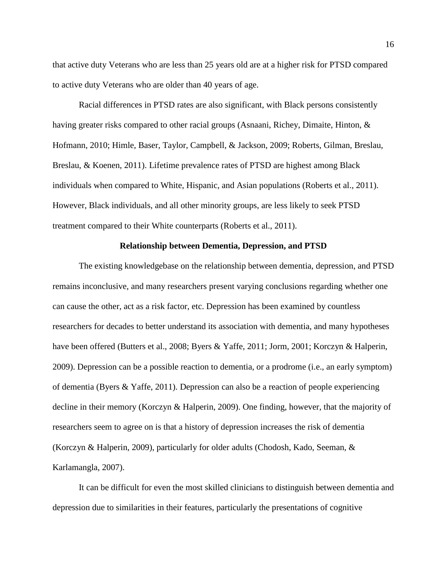that active duty Veterans who are less than 25 years old are at a higher risk for PTSD compared to active duty Veterans who are older than 40 years of age.

Racial differences in PTSD rates are also significant, with Black persons consistently having greater risks compared to other racial groups [\(Asnaani, Richey, Dimaite, Hinton, &](#page-32-5)  [Hofmann, 2010;](#page-32-5) [Himle, Baser, Taylor, Campbell, & Jackson, 2009;](#page-37-3) [Roberts, Gilman, Breslau,](#page-41-3)  [Breslau, & Koenen, 2011\)](#page-41-3). Lifetime prevalence rates of PTSD are highest among Black individuals when compared to White, Hispanic, and Asian populations [\(Roberts et al., 2011\)](#page-41-3). However, Black individuals, and all other minority groups, are less likely to seek PTSD treatment compared to their White counterparts [\(Roberts et al., 2011\)](#page-41-3).

## **Relationship between Dementia, Depression, and PTSD**

<span id="page-15-0"></span>The existing knowledgebase on the relationship between dementia, depression, and PTSD remains inconclusive, and many researchers present varying conclusions regarding whether one can cause the other, act as a risk factor, etc. Depression has been examined by countless researchers for decades to better understand its association with dementia, and many hypotheses have been offered [\(Butters et al., 2008;](#page-33-4) [Byers & Yaffe, 2011;](#page-33-0) [Jorm, 2001;](#page-38-2) [Korczyn & Halperin,](#page-38-3)  [2009\)](#page-38-3). Depression can be a possible reaction to dementia, or a prodrome (i.e., an early symptom) of dementia [\(Byers & Yaffe, 2011\)](#page-33-0). Depression can also be a reaction of people experiencing decline in their memory [\(Korczyn & Halperin, 2009\)](#page-38-3). One finding, however, that the majority of researchers seem to agree on is that a history of depression increases the risk of dementia [\(Korczyn & Halperin, 2009\)](#page-38-3), particularly for older adults [\(Chodosh, Kado, Seeman, &](#page-34-3)  [Karlamangla, 2007\)](#page-34-3).

It can be difficult for even the most skilled clinicians to distinguish between dementia and depression due to similarities in their features, particularly the presentations of cognitive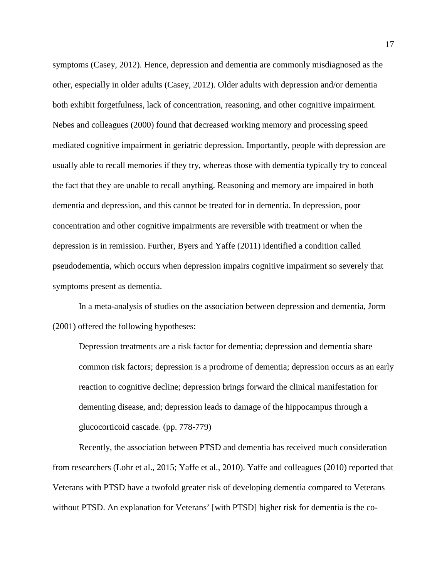symptoms [\(Casey, 2012\)](#page-34-4). Hence, depression and dementia are commonly misdiagnosed as the other, especially in older adults [\(Casey, 2012\)](#page-34-4). Older adults with depression and/or dementia both exhibit forgetfulness, lack of concentration, reasoning, and other cognitive impairment. Nebes and colleagues [\(2000\)](#page-40-1) found that decreased working memory and processing speed mediated cognitive impairment in geriatric depression. Importantly, people with depression are usually able to recall memories if they try, whereas those with dementia typically try to conceal the fact that they are unable to recall anything. Reasoning and memory are impaired in both dementia and depression, and this cannot be treated for in dementia. In depression, poor concentration and other cognitive impairments are reversible with treatment or when the depression is in remission. Further, [Byers and Yaffe \(2011\)](#page-33-0) identified a condition called pseudodementia, which occurs when depression impairs cognitive impairment so severely that symptoms present as dementia.

In a meta-analysis of studies on the association between depression and dementia, [Jorm](#page-38-2)  (2001) offered the following hypotheses:

Depression treatments are a risk factor for dementia; depression and dementia share common risk factors; depression is a prodrome of dementia; depression occurs as an early reaction to cognitive decline; depression brings forward the clinical manifestation for dementing disease, and; depression leads to damage of the hippocampus through a glucocorticoid cascade. (pp. 778-779)

Recently, the association between PTSD and dementia has received much consideration from researchers [\(Lohr et al., 2015;](#page-39-1) [Yaffe et al., 2010\)](#page-45-2). Yaffe and colleagues (2010) reported that Veterans with PTSD have a twofold greater risk of developing dementia compared to Veterans without PTSD. An explanation for Veterans' [with PTSD] higher risk for dementia is the co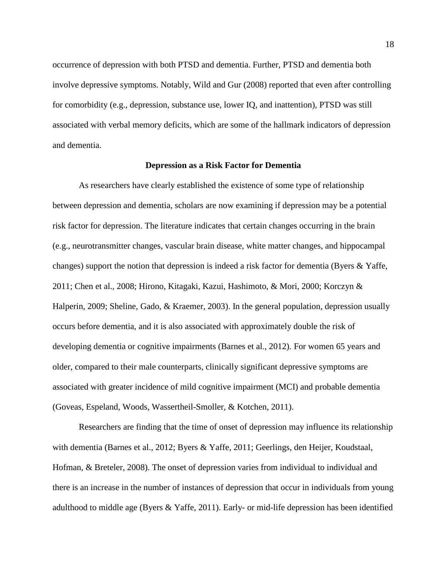occurrence of depression with both PTSD and dementia. Further, PTSD and dementia both involve depressive symptoms. Notably, [Wild and Gur \(2008\)](#page-44-1) reported that even after controlling for comorbidity (e.g., depression, substance use, lower IQ, and inattention), PTSD was still associated with verbal memory deficits, which are some of the hallmark indicators of depression and dementia.

#### **Depression as a Risk Factor for Dementia**

<span id="page-17-0"></span>As researchers have clearly established the existence of some type of relationship between depression and dementia, scholars are now examining if depression may be a potential risk factor for depression. The literature indicates that certain changes occurring in the brain (e.g., neurotransmitter changes, vascular brain disease, white matter changes, and hippocampal changes) support the notion that depression is indeed a risk factor for dementia [\(Byers & Yaffe,](#page-33-0)  [2011;](#page-33-0) [Chen et al., 2008;](#page-34-5) [Hirono, Kitagaki, Kazui, Hashimoto, & Mori, 2000;](#page-37-4) [Korczyn &](#page-38-3)  [Halperin, 2009;](#page-38-3) [Sheline, Gado, & Kraemer, 2003\)](#page-42-4). In the general population, depression usually occurs before dementia, and it is also associated with approximately double the risk of developing dementia or cognitive impairments [\(Barnes et al., 2012\)](#page-32-3). For women 65 years and older, compared to their male counterparts, clinically significant depressive symptoms are associated with greater incidence of mild cognitive impairment (MCI) and probable dementia [\(Goveas, Espeland, Woods, Wassertheil-Smoller, & Kotchen, 2011\)](#page-37-5).

Researchers are finding that the time of onset of depression may influence its relationship with dementia [\(Barnes et al., 2012;](#page-32-3) [Byers & Yaffe, 2011;](#page-33-0) [Geerlings, den Heijer, Koudstaal,](#page-36-2)  [Hofman, & Breteler, 2008\)](#page-36-2). The onset of depression varies from individual to individual and there is an increase in the number of instances of depression that occur in individuals from young adulthood to middle age [\(Byers & Yaffe, 2011\)](#page-33-0). Early- or mid-life depression has been identified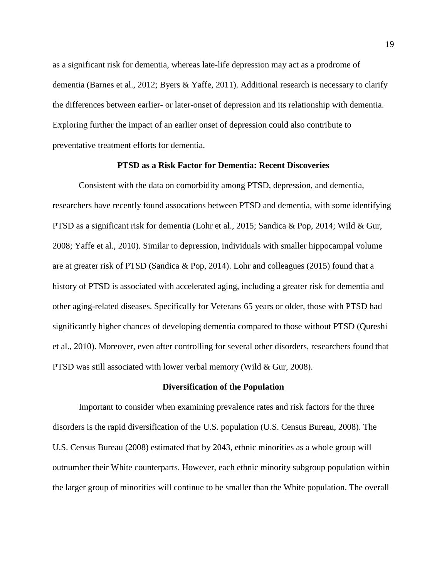as a significant risk for dementia, whereas late-life depression may act as a prodrome of dementia [\(Barnes et al., 2012;](#page-32-3) [Byers & Yaffe, 2011\)](#page-33-0). Additional research is necessary to clarify the differences between earlier- or later-onset of depression and its relationship with dementia. Exploring further the impact of an earlier onset of depression could also contribute to preventative treatment efforts for dementia.

# **PTSD as a Risk Factor for Dementia: Recent Discoveries**

<span id="page-18-0"></span>Consistent with the data on comorbidity among PTSD, depression, and dementia, researchers have recently found assocations between PTSD and dementia, with some identifying PTSD as a significant risk for dementia [\(Lohr et al., 2015;](#page-39-1) [Sandica & Pop, 2014;](#page-42-2) [Wild & Gur,](#page-44-1)  [2008;](#page-44-1) [Yaffe et al., 2010\)](#page-45-2). Similar to depression, individuals with smaller hippocampal volume are at greater risk of PTSD [\(Sandica & Pop, 2014\)](#page-42-2). Lohr and colleagues [\(2015\)](#page-39-1) found that a history of PTSD is associated with accelerated aging, including a greater risk for dementia and other aging-related diseases. Specifically for Veterans 65 years or older, those with PTSD had significantly higher chances of developing dementia compared to those without PTSD [\(Qureshi](#page-41-4)  [et al., 2010\)](#page-41-4). Moreover, even after controlling for several other disorders, researchers found that PTSD was still associated with lower verbal memory [\(Wild & Gur, 2008\)](#page-44-1).

### **Diversification of the Population**

<span id="page-18-1"></span>Important to consider when examining prevalence rates and risk factors for the three disorders is the rapid diversification of the U.S. population [\(U.S. Census Bureau, 2008\)](#page-44-2). The [U.S. Census Bureau \(2008\)](#page-44-2) estimated that by 2043, ethnic minorities as a whole group will outnumber their White counterparts. However, each ethnic minority subgroup population within the larger group of minorities will continue to be smaller than the White population. The overall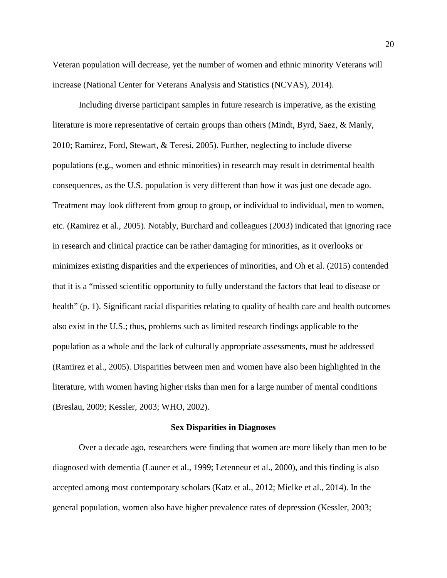Veteran population will decrease, yet the number of women and ethnic minority Veterans will increase [\(National Center for Veterans Analysis and Statistics \(NCVAS\), 2014\)](#page-40-2).

Including diverse participant samples in future research is imperative, as the existing literature is more representative of certain groups than others [\(Mindt, Byrd, Saez, & Manly,](#page-40-3)  [2010;](#page-40-3) [Ramirez, Ford, Stewart, & Teresi, 2005\)](#page-41-5). Further, neglecting to include diverse populations (e.g., women and ethnic minorities) in research may result in detrimental health consequences, as the U.S. population is very different than how it was just one decade ago. Treatment may look different from group to group, or individual to individual, men to women, etc. [\(Ramirez et al., 2005\)](#page-41-5). Notably, Burchard and colleagues [\(2003\)](#page-33-5) indicated that ignoring race in research and clinical practice can be rather damaging for minorities, as it overlooks or minimizes existing disparities and the experiences of minorities, and Oh [et al. \(2015\)](#page-40-4) contended that it is a "missed scientific opportunity to fully understand the factors that lead to disease or health" [\(p. 1\)](#page-44-1). Significant racial disparities relating to quality of health care and health outcomes also exist in the U.S.; thus, problems such as limited research findings applicable to the population as a whole and the lack of culturally appropriate assessments, must be addressed [\(Ramirez et al., 2005\)](#page-41-5). Disparities between men and women have also been highlighted in the literature, with women having higher risks than men for a large number of mental conditions [\(Breslau, 2009;](#page-33-3) [Kessler, 2003;](#page-38-0) [WHO, 2002\)](#page-45-1).

#### **Sex Disparities in Diagnoses**

<span id="page-19-0"></span>Over a decade ago, researchers were finding that women are more likely than men to be diagnosed with dementia [\(Launer et al., 1999;](#page-38-4) [Letenneur et al., 2000\)](#page-39-3), and this finding is also accepted among most contemporary scholars [\(Katz et al., 2012;](#page-38-5) [Mielke et al., 2014\)](#page-40-0). In the general population, women also have higher prevalence rates of depression [\(Kessler, 2003;](#page-38-0)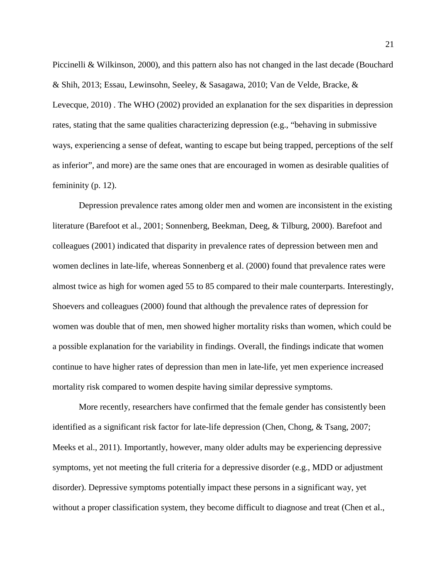[Piccinelli & Wilkinson, 2000\)](#page-41-2), and this pattern also has not changed in the last decade [\(Bouchard](#page-33-6)  [& Shih, 2013;](#page-33-6) [Essau, Lewinsohn, Seeley, & Sasagawa, 2010;](#page-36-3) [Van de Velde, Bracke, &](#page-44-3)  [Levecque, 2010\)](#page-44-3) . The WHO [\(2002\)](#page-45-1) provided an explanation for the sex disparities in depression rates, stating that the same qualities characterizing depression (e.g., "behaving in submissive ways, experiencing a sense of defeat, wanting to escape but being trapped, perceptions of the self as inferior", and more) are the same ones that are encouraged in women as desirable qualities of femininity [\(p. 12\)](#page-45-1).

Depression prevalence rates among older men and women are inconsistent in the existing literature [\(Barefoot et al., 2001;](#page-32-4) [Sonnenberg, Beekman, Deeg, & Tilburg, 2000\)](#page-43-1). Barefoot and colleagues [\(2001\)](#page-32-4) indicated that disparity in prevalence rates of depression between men and women declines in late-life, whereas [Sonnenberg et al. \(2000\)](#page-43-1) found that prevalence rates were almost twice as high for women aged 55 to 85 compared to their male counterparts. Interestingly, Shoevers and colleagues [\(2000\)](#page-42-5) found that although the prevalence rates of depression for women was double that of men, men showed higher mortality risks than women, which could be a possible explanation for the variability in findings. Overall, the findings indicate that women continue to have higher rates of depression than men in late-life, yet men experience increased mortality risk compared to women despite having similar depressive symptoms.

More recently, researchers have confirmed that the female gender has consistently been identified as a significant risk factor for late-life depression [\(Chen, Chong, & Tsang, 2007;](#page-34-6) [Meeks et al., 2011\)](#page-39-2). Importantly, however, many older adults may be experiencing depressive symptoms, yet not meeting the full criteria for a depressive disorder (e.g., MDD or adjustment disorder). Depressive symptoms potentially impact these persons in a significant way, yet without a proper classification system, they become difficult to diagnose and treat [\(Chen et al.,](#page-34-6)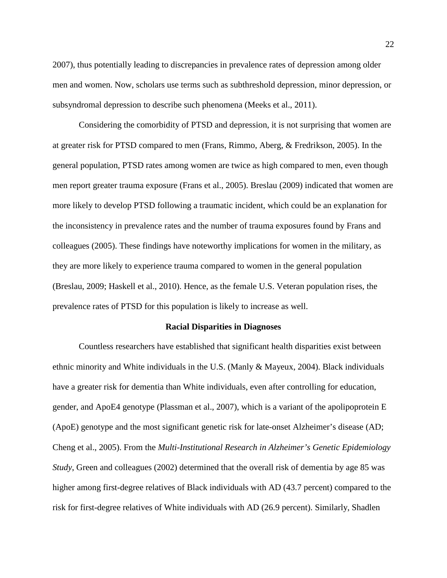[2007\)](#page-34-6), thus potentially leading to discrepancies in prevalence rates of depression among older men and women. Now, scholars use terms such as subthreshold depression, minor depression, or subsyndromal depression to describe such phenomena [\(Meeks et al., 2011\)](#page-39-2).

Considering the comorbidity of PTSD and depression, it is not surprising that women are at greater risk for PTSD compared to men [\(Frans, Rimmo, Aberg, & Fredrikson, 2005\)](#page-36-4). In the general population, PTSD rates among women are twice as high compared to men, even though men report greater trauma exposure [\(Frans et al., 2005\)](#page-36-4). [Breslau \(2009\)](#page-33-3) indicated that women are more likely to develop PTSD following a traumatic incident, which could be an explanation for the inconsistency in prevalence rates and the number of trauma exposures found by Frans and colleagues [\(2005\)](#page-36-4). These findings have noteworthy implications for women in the military, as they are more likely to experience trauma compared to women in the general population [\(Breslau, 2009;](#page-33-3) [Haskell et al., 2010\)](#page-37-1). Hence, as the female U.S. Veteran population rises, the prevalence rates of PTSD for this population is likely to increase as well.

#### <span id="page-21-0"></span>**Racial Disparities in Diagnoses**

Countless researchers have established that significant health disparities exist between ethnic minority and White individuals in the U.S. [\(Manly & Mayeux, 2004\)](#page-39-4). Black individuals have a greater risk for dementia than White individuals, even after controlling for education, gender, and ApoE4 genotype [\(Plassman et al., 2007\)](#page-41-0), which is a variant of the apolipoprotein E (ApoE) genotype and the most significant genetic risk for late-onset Alzheimer's disease [\(AD;](#page-34-7)  [Cheng et al., 2005\)](#page-34-7). From the *Multi-Institutional Research in Alzheimer's Genetic Epidemiology Study*, Green and colleagues [\(2002\)](#page-37-6) determined that the overall risk of dementia by age 85 was higher among first-degree relatives of Black individuals with AD (43.7 percent) compared to the risk for first-degree relatives of White individuals with AD (26.9 percent). Similarly, Shadlen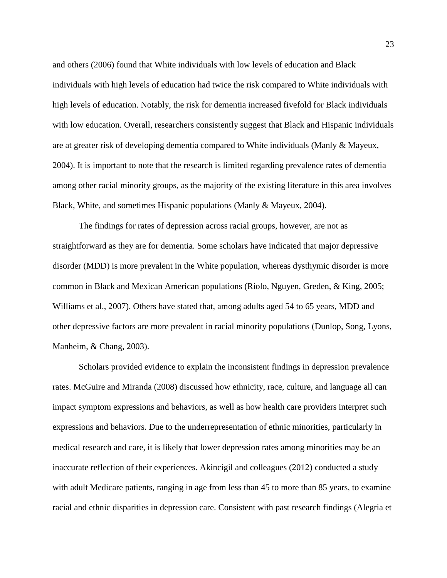and others [\(2006\)](#page-42-6) found that White individuals with low levels of education and Black individuals with high levels of education had twice the risk compared to White individuals with high levels of education. Notably, the risk for dementia increased fivefold for Black individuals with low education. Overall, researchers consistently suggest that Black and Hispanic individuals are at greater risk of developing dementia compared to White individuals [\(Manly & Mayeux,](#page-39-4)  [2004\)](#page-39-4). It is important to note that the research is limited regarding prevalence rates of dementia among other racial minority groups, as the majority of the existing literature in this area involves Black, White, and sometimes Hispanic populations [\(Manly & Mayeux, 2004\)](#page-39-4).

The findings for rates of depression across racial groups, however, are not as straightforward as they are for dementia. Some scholars have indicated that major depressive disorder (MDD) is more prevalent in the White population, whereas dysthymic disorder is more common in Black and Mexican American populations [\(Riolo, Nguyen, Greden, & King, 2005;](#page-41-6) [Williams et al., 2007\)](#page-44-4). Others have stated that, among adults aged 54 to 65 years, MDD and other depressive factors are more prevalent in racial minority populations [\(Dunlop, Song, Lyons,](#page-35-2)  [Manheim, & Chang, 2003\)](#page-35-2).

Scholars provided evidence to explain the inconsistent findings in depression prevalence rates. [McGuire and Miranda](#page-39-5) (2008) discussed how ethnicity, race, culture, and language all can impact symptom expressions and behaviors, as well as how health care providers interpret such expressions and behaviors. Due to the underrepresentation of ethnic minorities, particularly in medical research and care, it is likely that lower depression rates among minorities may be an inaccurate reflection of their experiences. Akincigil and colleagues [\(2012\)](#page-32-6) conducted a study with adult Medicare patients, ranging in age from less than 45 to more than 85 years, to examine racial and ethnic disparities in depression care. Consistent with past research findings [\(Alegria et](#page-32-7)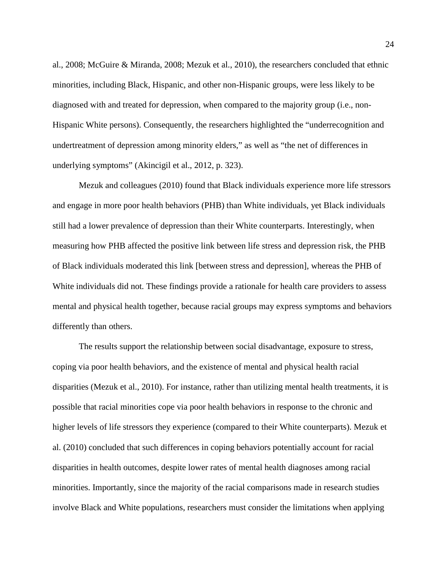[al., 2008;](#page-32-7) [McGuire & Miranda, 2008;](#page-39-5) [Mezuk et al., 2010\)](#page-40-5), the researchers concluded that ethnic minorities, including Black, Hispanic, and other non-Hispanic groups, were less likely to be diagnosed with and treated for depression, when compared to the majority group (i.e., non-Hispanic White persons). Consequently, the researchers highlighted the "underrecognition and undertreatment of depression among minority elders," as well as "the net of differences in underlying symptoms" [\(Akincigil et al., 2012, p. 323\)](#page-32-6).

Mezuk and colleagues [\(2010\)](#page-40-5) found that Black individuals experience more life stressors and engage in more poor health behaviors (PHB) than White individuals, yet Black individuals still had a lower prevalence of depression than their White counterparts. Interestingly, when measuring how PHB affected the positive link between life stress and depression risk, the PHB of Black individuals moderated this link [between stress and depression], whereas the PHB of White individuals did not. These findings provide a rationale for health care providers to assess mental and physical health together, because racial groups may express symptoms and behaviors differently than others.

The results support the relationship between social disadvantage, exposure to stress, coping via poor health behaviors, and the existence of mental and physical health racial disparities [\(Mezuk et al., 2010\)](#page-40-5). For instance, rather than utilizing mental health treatments, it is possible that racial minorities cope via poor health behaviors in response to the chronic and higher levels of life stressors they experience (compared to their White counterparts). [Mezuk et](#page-40-5)  al. (2010) concluded that such differences in coping behaviors potentially account for racial disparities in health outcomes, despite lower rates of mental health diagnoses among racial minorities. Importantly, since the majority of the racial comparisons made in research studies involve Black and White populations, researchers must consider the limitations when applying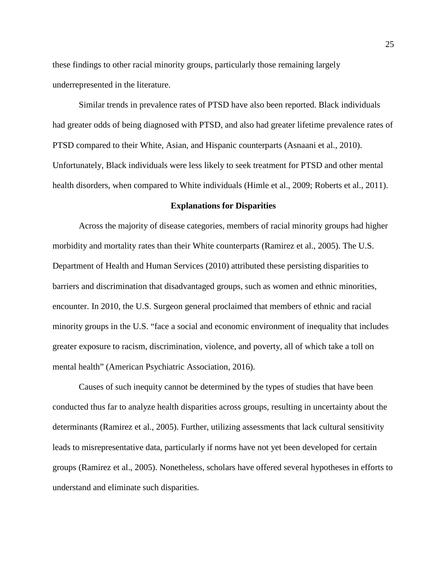these findings to other racial minority groups, particularly those remaining largely underrepresented in the literature.

Similar trends in prevalence rates of PTSD have also been reported. Black individuals had greater odds of being diagnosed with PTSD, and also had greater lifetime prevalence rates of PTSD compared to their White, Asian, and Hispanic counterparts [\(Asnaani et al., 2010\)](#page-32-5). Unfortunately, Black individuals were less likely to seek treatment for PTSD and other mental health disorders, when compared to White individuals [\(Himle et al., 2009;](#page-37-3) [Roberts et al., 2011\)](#page-41-3).

#### **Explanations for Disparities**

<span id="page-24-0"></span>Across the majority of disease categories, members of racial minority groups had higher morbidity and mortality rates than their White counterparts [\(Ramirez et al., 2005\)](#page-41-5). The [U.S.](#page-44-5)  Department of Health and Human Services (2010) attributed these persisting disparities to barriers and discrimination that disadvantaged groups, such as women and ethnic minorities, encounter. In 2010, the U.S. Surgeon general proclaimed that members of ethnic and racial minority groups in the U.S. "face a social and economic environment of inequality that includes greater exposure to racism, discrimination, violence, and poverty, all of which take a toll on mental health" [\(American Psychiatric Association, 2016\)](#page-32-8).

Causes of such inequity cannot be determined by the types of studies that have been conducted thus far to analyze health disparities across groups, resulting in uncertainty about the determinants [\(Ramirez et al., 2005\)](#page-41-5). Further, utilizing assessments that lack cultural sensitivity leads to misrepresentative data, particularly if norms have not yet been developed for certain groups [\(Ramirez et al., 2005\)](#page-41-5). Nonetheless, scholars have offered several hypotheses in efforts to understand and eliminate such disparities.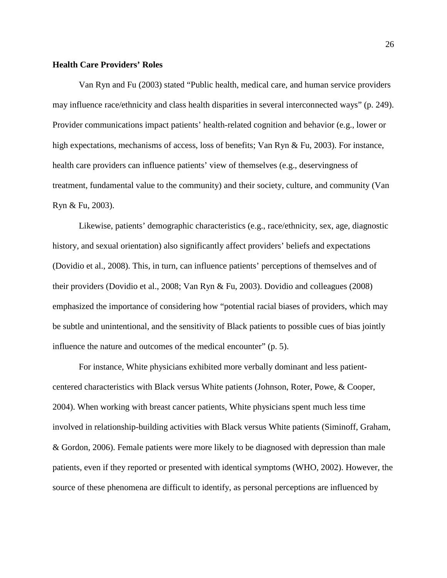### <span id="page-25-0"></span>**Health Care Providers' Roles**

[Van Ryn and Fu \(2003\)](#page-44-6) stated "Public health, medical care, and human service providers may influence race/ethnicity and class health disparities in several interconnected ways" [\(p. 249\)](#page-44-6). Provider communications impact patients' health-related cognition and behavior [\(e.g., lower or](#page-44-6)  [high expectations, mechanisms of access, loss of benefits; Van Ryn & Fu,](#page-44-6) 2003). For instance, health care providers can influence patients' view of themselves (e.g., deservingness of treatment, fundamental value to the community) and their society, culture, and community [\(Van](#page-44-6)  [Ryn & Fu, 2003\)](#page-44-6).

Likewise, patients' demographic characteristics (e.g., race/ethnicity, sex, age, diagnostic history, and sexual orientation) also significantly affect providers' beliefs and expectations [\(Dovidio et al., 2008\)](#page-35-3). This, in turn, can influence patients' perceptions of themselves and of their providers [\(Dovidio et al., 2008;](#page-35-3) [Van Ryn & Fu, 2003\)](#page-44-6). Dovidio and colleagues [\(2008\)](#page-35-3) emphasized the importance of considering how "potential racial biases of providers, which may be subtle and unintentional, and the sensitivity of Black patients to possible cues of bias jointly influence the nature and outcomes of the medical encounter" [\(p. 5\)](#page-35-3).

For instance, White physicians exhibited more verbally dominant and less patientcentered characteristics with Black versus White patients [\(Johnson, Roter, Powe, & Cooper,](#page-38-6)  [2004\)](#page-38-6). When working with breast cancer patients, White physicians spent much less time involved in relationship-building activities with Black versus White patients [\(Siminoff, Graham,](#page-43-2)  [& Gordon, 2006\)](#page-43-2). Female patients were more likely to be diagnosed with depression than male patients, even if they reported or presented with identical symptoms [\(WHO, 2002\)](#page-45-1). However, the source of these phenomena are difficult to identify, as personal perceptions are influenced by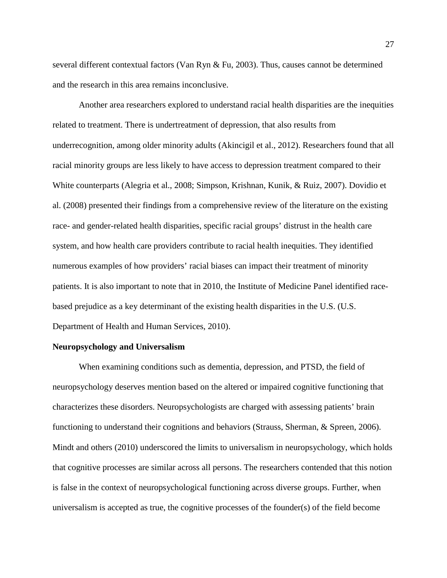several different contextual factors [\(Van Ryn & Fu, 2003\)](#page-44-6). Thus, causes cannot be determined and the research in this area remains inconclusive.

Another area researchers explored to understand racial health disparities are the inequities related to treatment. There is undertreatment of depression, that also results from underrecognition, among older minority adults [\(Akincigil et al., 2012\)](#page-32-6). Researchers found that all racial minority groups are less likely to have access to depression treatment compared to their White counterparts [\(Alegria et al., 2008;](#page-32-7) [Simpson, Krishnan, Kunik, & Ruiz, 2007\)](#page-43-3). [Dovidio et](#page-35-3)  al. (2008) presented their findings from a comprehensive review of the literature on the existing race- and gender-related health disparities, specific racial groups' distrust in the health care system, and how health care providers contribute to racial health inequities. They identified numerous examples of how providers' racial biases can impact their treatment of minority patients. It is also important to note that in 2010, the Institute of Medicine Panel identified racebased prejudice as a key determinant of the existing health disparities in the U.S. [\(U.S.](#page-44-5)  [Department of Health and Human Services, 2010\)](#page-44-5).

#### <span id="page-26-0"></span>**Neuropsychology and Universalism**

When examining conditions such as dementia, depression, and PTSD, the field of neuropsychology deserves mention based on the altered or impaired cognitive functioning that characterizes these disorders. Neuropsychologists are charged with assessing patients' brain functioning to understand their cognitions and behaviors [\(Strauss, Sherman, & Spreen, 2006\)](#page-43-4). Mindt and others [\(2010\)](#page-40-3) underscored the limits to universalism in neuropsychology, which holds that cognitive processes are similar across all persons. The researchers contended that this notion is false in the context of neuropsychological functioning across diverse groups. Further, when universalism is accepted as true, the cognitive processes of the founder(s) of the field become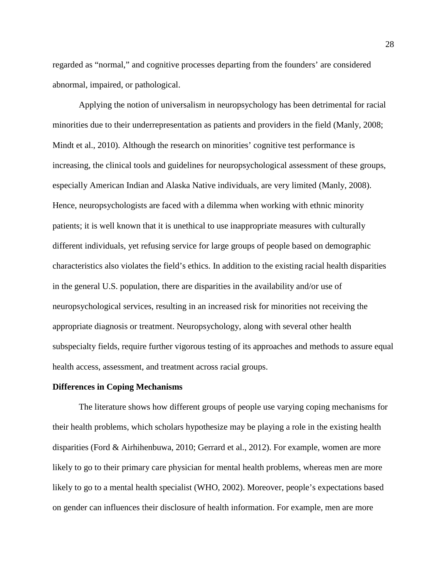regarded as "normal," and cognitive processes departing from the founders' are considered abnormal, impaired, or pathological.

Applying the notion of universalism in neuropsychology has been detrimental for racial minorities due to their underrepresentation as patients and providers in the field [\(Manly, 2008;](#page-39-6) [Mindt et al., 2010\)](#page-40-3). Although the research on minorities' cognitive test performance is increasing, the clinical tools and guidelines for neuropsychological assessment of these groups, especially American Indian and Alaska Native individuals, are very limited [\(Manly, 2008\)](#page-39-6). Hence, neuropsychologists are faced with a dilemma when working with ethnic minority patients; it is well known that it is unethical to use inappropriate measures with culturally different individuals, yet refusing service for large groups of people based on demographic characteristics also violates the field's ethics. In addition to the existing racial health disparities in the general U.S. population, there are disparities in the availability and/or use of neuropsychological services, resulting in an increased risk for minorities not receiving the appropriate diagnosis or treatment. Neuropsychology, along with several other health subspecialty fields, require further vigorous testing of its approaches and methods to assure equal health access, assessment, and treatment across racial groups.

#### <span id="page-27-0"></span>**Differences in Coping Mechanisms**

The literature shows how different groups of people use varying coping mechanisms for their health problems, which scholars hypothesize may be playing a role in the existing health disparities [\(Ford & Airhihenbuwa, 2010;](#page-36-5) [Gerrard et al., 2012\)](#page-36-6). For example, women are more likely to go to their primary care physician for mental health problems, whereas men are more likely to go to a mental health specialist [\(WHO, 2002\)](#page-45-1). Moreover, people's expectations based on gender can influences their disclosure of health information. For example, men are more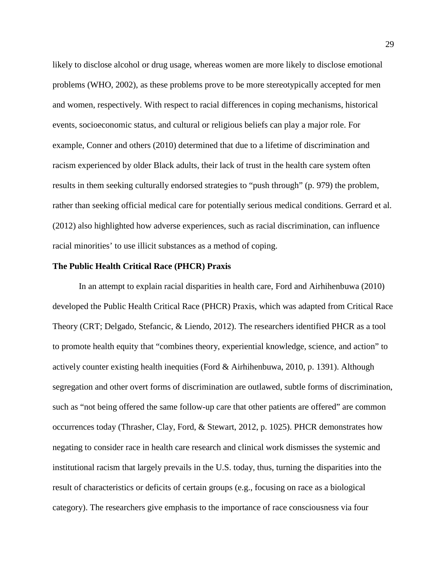likely to disclose alcohol or drug usage, whereas women are more likely to disclose emotional problems [\(WHO, 2002\)](#page-45-1), as these problems prove to be more stereotypically accepted for men and women, respectively. With respect to racial differences in coping mechanisms, historical events, socioeconomic status, and cultural or religious beliefs can play a major role. For example, Conner and others [\(2010\)](#page-35-4) determined that due to a lifetime of discrimination and racism experienced by older Black adults, their lack of trust in the health care system often results in them seeking culturally endorsed strategies to "push through" [\(p. 979\)](#page-35-4) the problem, rather than seeking official medical care for potentially serious medical conditions. [Gerrard et al.](#page-36-6)  (2012) also highlighted how adverse experiences, such as racial discrimination, can influence racial minorities' to use illicit substances as a method of coping.

## <span id="page-28-0"></span>**The Public Health Critical Race (PHCR) Praxis**

In an attempt to explain racial disparities in health care, [Ford and Airhihenbuwa \(2010\)](#page-36-5) developed the Public Health Critical Race (PHCR) Praxis, which was adapted from Critical Race Theory [\(CRT; Delgado, Stefancic, & Liendo, 2012\)](#page-35-5). The researchers identified PHCR as a tool to promote health equity that "combines theory, experiential knowledge, science, and action" to actively counter existing health inequities [\(Ford & Airhihenbuwa, 2010, p. 1391\)](#page-36-5). Although segregation and other overt forms of discrimination are outlawed, subtle forms of discrimination, such as "not being offered the same follow-up care that other patients are offered" are common occurrences today [\(Thrasher, Clay, Ford, & Stewart, 2012, p. 1025\)](#page-43-5). PHCR demonstrates how negating to consider race in health care research and clinical work dismisses the systemic and institutional racism that largely prevails in the U.S. today, thus, turning the disparities into the result of characteristics or deficits of certain groups (e.g., focusing on race as a biological category). The researchers give emphasis to the importance of race consciousness via four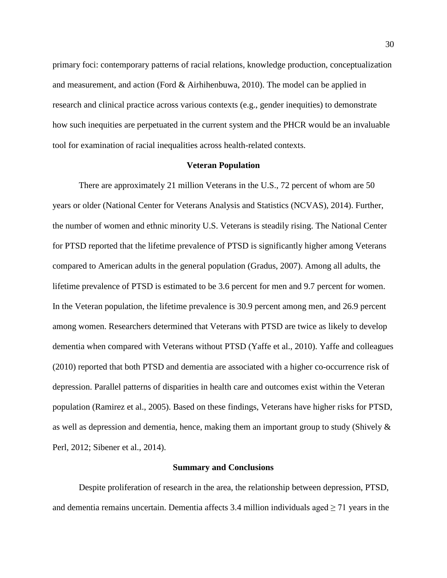primary foci: contemporary patterns of racial relations, knowledge production, conceptualization and measurement, and action [\(Ford & Airhihenbuwa, 2010\)](#page-36-5). The model can be applied in research and clinical practice across various contexts (e.g., gender inequities) to demonstrate how such inequities are perpetuated in the current system and the PHCR would be an invaluable tool for examination of racial inequalities across health-related contexts.

#### **Veteran Population**

<span id="page-29-0"></span>There are approximately 21 million Veterans in the U.S., 72 percent of whom are 50 years or older [\(National Center for Veterans Analysis and Statistics \(NCVAS\), 2014\)](#page-40-2). Further, the number of women and ethnic minority U.S. Veterans is steadily rising. The National Center for PTSD reported that the lifetime prevalence of PTSD is significantly higher among Veterans compared to American adults in the general population [\(Gradus, 2007\)](#page-37-2). Among all adults, the lifetime prevalence of PTSD is estimated to be 3.6 percent for men and 9.7 percent for women. In the Veteran population, the lifetime prevalence is 30.9 percent among men, and 26.9 percent among women. Researchers determined that Veterans with PTSD are twice as likely to develop dementia when compared with Veterans without PTSD [\(Yaffe et al., 2010\)](#page-45-2). Yaffe and colleagues [\(2010\)](#page-45-2) reported that both PTSD and dementia are associated with a higher co-occurrence risk of depression. Parallel patterns of disparities in health care and outcomes exist within the Veteran population [\(Ramirez et al., 2005\)](#page-41-5). Based on these findings, Veterans have higher risks for PTSD, as well as depression and dementia, hence, making them an important group to study (Shively  $\&$ [Perl, 2012;](#page-42-1) [Sibener et al., 2014\)](#page-42-0).

#### **Summary and Conclusions**

<span id="page-29-1"></span>Despite proliferation of research in the area, the relationship between depression, PTSD, and dementia remains uncertain. Dementia affects 3.4 million individuals aged  $\geq$  71 years in the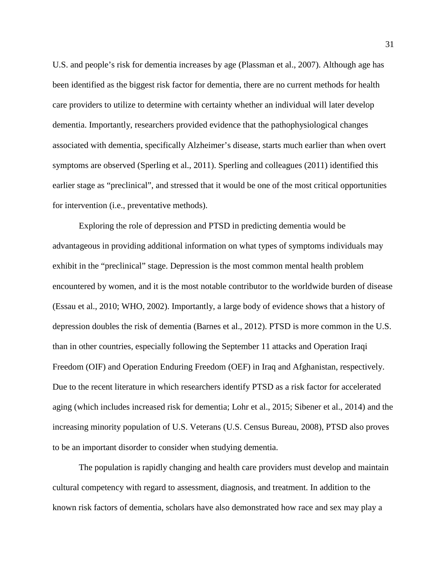U.S. and people's risk for dementia increases by age [\(Plassman et al., 2007\)](#page-41-0). Although age has been identified as the biggest risk factor for dementia, there are no current methods for health care providers to utilize to determine with certainty whether an individual will later develop dementia. Importantly, researchers provided evidence that the pathophysiological changes associated with dementia, specifically Alzheimer's disease, starts much earlier than when overt symptoms are observed [\(Sperling et al., 2011\)](#page-43-6). Sperling and colleagues [\(2011\)](#page-43-6) identified this earlier stage as "preclinical", and stressed that it would be one of the most critical opportunities for intervention (i.e., preventative methods).

Exploring the role of depression and PTSD in predicting dementia would be advantageous in providing additional information on what types of symptoms individuals may exhibit in the "preclinical" stage. Depression is the most common mental health problem encountered by women, and it is the most notable contributor to the worldwide burden of disease [\(Essau et al., 2010;](#page-36-3) [WHO, 2002\)](#page-45-1). Importantly, a large body of evidence shows that a history of depression doubles the risk of dementia [\(Barnes et al., 2012\)](#page-32-3). PTSD is more common in the U.S. than in other countries, especially following the September 11 attacks and Operation Iraqi Freedom (OIF) and Operation Enduring Freedom (OEF) in Iraq and Afghanistan, respectively. Due to the recent literature in which researchers identify PTSD as a risk factor for accelerated aging (which includes increased risk for dementia; [Lohr et al., 2015;](#page-39-1) [Sibener et al., 2014\)](#page-42-0) and the increasing minority population of U.S. Veterans [\(U.S. Census Bureau, 2008\)](#page-44-2), PTSD also proves to be an important disorder to consider when studying dementia.

The population is rapidly changing and health care providers must develop and maintain cultural competency with regard to assessment, diagnosis, and treatment. In addition to the known risk factors of dementia, scholars have also demonstrated how race and sex may play a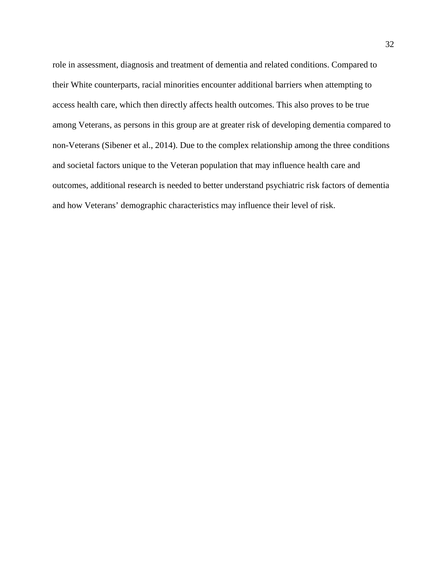role in assessment, diagnosis and treatment of dementia and related conditions. Compared to their White counterparts, racial minorities encounter additional barriers when attempting to access health care, which then directly affects health outcomes. This also proves to be true among Veterans, as persons in this group are at greater risk of developing dementia compared to non-Veterans [\(Sibener et al., 2014\)](#page-42-0). Due to the complex relationship among the three conditions and societal factors unique to the Veteran population that may influence health care and outcomes, additional research is needed to better understand psychiatric risk factors of dementia and how Veterans' demographic characteristics may influence their level of risk.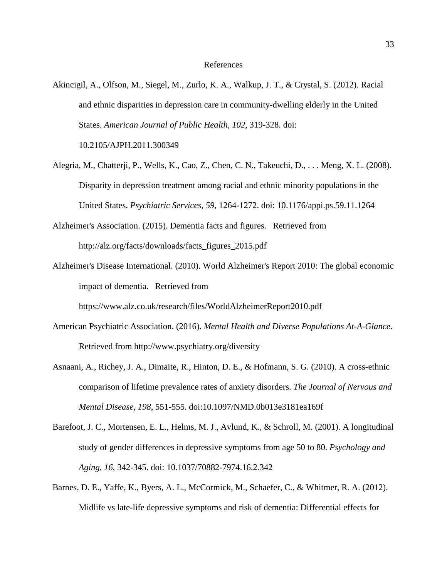- <span id="page-32-6"></span><span id="page-32-0"></span>Akincigil, A., Olfson, M., Siegel, M., Zurlo, K. A., Walkup, J. T., & Crystal, S. (2012). Racial and ethnic disparities in depression care in community-dwelling elderly in the United States. *American Journal of Public Health, 102*, 319-328. doi: 10.2105/AJPH.2011.300349
- <span id="page-32-7"></span>Alegria, M., Chatterji, P., Wells, K., Cao, Z., Chen, C. N., Takeuchi, D., . . . Meng, X. L. (2008). Disparity in depression treatment among racial and ethnic minority populations in the United States. *Psychiatric Services, 59*, 1264-1272. doi: 10.1176/appi.ps.59.11.1264
- <span id="page-32-2"></span>Alzheimer's Association. (2015). Dementia facts and figures. Retrieved from http://alz.org/facts/downloads/facts\_figures\_2015.pdf
- <span id="page-32-1"></span>Alzheimer's Disease International. (2010). World Alzheimer's Report 2010: The global economic impact of dementia. Retrieved from

https://www.alz.co.uk/research/files/WorldAlzheimerReport2010.pdf

- <span id="page-32-8"></span>American Psychiatric Association. (2016). *Mental Health and Diverse Populations At-A-Glance*. Retrieved from http://www.psychiatry.org/diversity
- <span id="page-32-5"></span>Asnaani, A., Richey, J. A., Dimaite, R., Hinton, D. E., & Hofmann, S. G. (2010). A cross-ethnic comparison of lifetime prevalence rates of anxiety disorders. *The Journal of Nervous and Mental Disease, 198*, 551-555. doi:10.1097/NMD.0b013e3181ea169f
- <span id="page-32-4"></span>Barefoot, J. C., Mortensen, E. L., Helms, M. J., Avlund, K., & Schroll, M. (2001). A longitudinal study of gender differences in depressive symptoms from age 50 to 80. *Psychology and Aging, 16*, 342-345. doi: 10.1037/70882-7974.16.2.342
- <span id="page-32-3"></span>Barnes, D. E., Yaffe, K., Byers, A. L., McCormick, M., Schaefer, C., & Whitmer, R. A. (2012). Midlife vs late-life depressive symptoms and risk of dementia: Differential effects for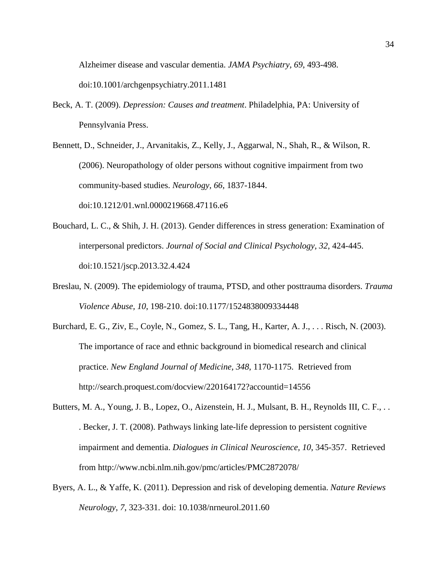Alzheimer disease and vascular dementia. *JAMA Psychiatry, 69*, 493-498.

doi:10.1001/archgenpsychiatry.2011.1481

- <span id="page-33-2"></span>Beck, A. T. (2009). *Depression: Causes and treatment*. Philadelphia, PA: University of Pennsylvania Press.
- <span id="page-33-1"></span>Bennett, D., Schneider, J., Arvanitakis, Z., Kelly, J., Aggarwal, N., Shah, R., & Wilson, R. (2006). Neuropathology of older persons without cognitive impairment from two community-based studies. *Neurology, 66*, 1837-1844. doi:10.1212/01.wnl.0000219668.47116.e6
- <span id="page-33-6"></span>Bouchard, L. C., & Shih, J. H. (2013). Gender differences in stress generation: Examination of interpersonal predictors. *Journal of Social and Clinical Psychology, 32*, 424-445. doi:10.1521/jscp.2013.32.4.424
- <span id="page-33-3"></span>Breslau, N. (2009). The epidemiology of trauma, PTSD, and other posttrauma disorders. *Trauma Violence Abuse, 10*, 198-210. doi:10.1177/1524838009334448
- <span id="page-33-5"></span>Burchard, E. G., Ziv, E., Coyle, N., Gomez, S. L., Tang, H., Karter, A. J., . . . Risch, N. (2003). The importance of race and ethnic background in biomedical research and clinical practice. *New England Journal of Medicine, 348*, 1170-1175. Retrieved from http://search.proquest.com/docview/220164172?accountid=14556
- <span id="page-33-4"></span>Butters, M. A., Young, J. B., Lopez, O., Aizenstein, H. J., Mulsant, B. H., Reynolds III, C. F., . . . Becker, J. T. (2008). Pathways linking late-life depression to persistent cognitive impairment and dementia. *Dialogues in Clinical Neuroscience, 10*, 345-357. Retrieved from http://www.ncbi.nlm.nih.gov/pmc/articles/PMC2872078/
- <span id="page-33-0"></span>Byers, A. L., & Yaffe, K. (2011). Depression and risk of developing dementia. *Nature Reviews Neurology, 7*, 323-331. doi: 10.1038/nrneurol.2011.60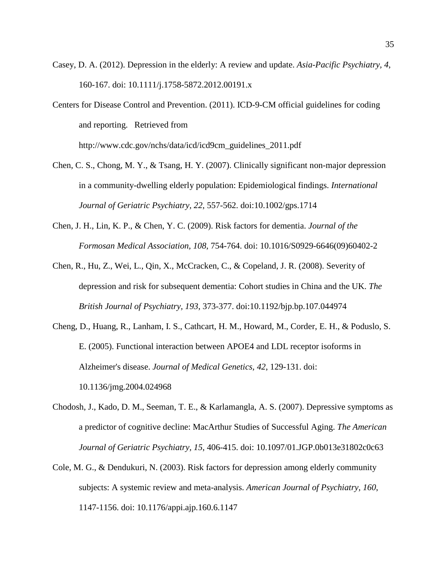- <span id="page-34-4"></span>Casey, D. A. (2012). Depression in the elderly: A review and update. *Asia-Pacific Psychiatry, 4*, 160-167. doi: 10.1111/j.1758-5872.2012.00191.x
- <span id="page-34-2"></span>Centers for Disease Control and Prevention. (2011). ICD-9-CM official guidelines for coding and reporting. Retrieved from http://www.cdc.gov/nchs/data/icd/icd9cm\_guidelines\_2011.pdf
- <span id="page-34-6"></span>Chen, C. S., Chong, M. Y., & Tsang, H. Y. (2007). Clinically significant non-major depression in a community-dwelling elderly population: Epidemiological findings. *International Journal of Geriatric Psychiatry, 22*, 557-562. doi:10.1002/gps.1714
- <span id="page-34-0"></span>Chen, J. H., Lin, K. P., & Chen, Y. C. (2009). Risk factors for dementia. *Journal of the Formosan Medical Association, 108*, 754-764. doi: 10.1016/S0929-6646(09)60402-2
- <span id="page-34-5"></span>Chen, R., Hu, Z., Wei, L., Qin, X., McCracken, C., & Copeland, J. R. (2008). Severity of depression and risk for subsequent dementia: Cohort studies in China and the UK. *The British Journal of Psychiatry, 193*, 373-377. doi:10.1192/bjp.bp.107.044974
- <span id="page-34-7"></span>Cheng, D., Huang, R., Lanham, I. S., Cathcart, H. M., Howard, M., Corder, E. H., & Poduslo, S. E. (2005). Functional interaction between APOE4 and LDL receptor isoforms in Alzheimer's disease. *Journal of Medical Genetics, 42*, 129-131. doi: 10.1136/jmg.2004.024968
- <span id="page-34-3"></span>Chodosh, J., Kado, D. M., Seeman, T. E., & Karlamangla, A. S. (2007). Depressive symptoms as a predictor of cognitive decline: MacArthur Studies of Successful Aging. *The American Journal of Geriatric Psychiatry, 15*, 406-415. doi: 10.1097/01.JGP.0b013e31802c0c63
- <span id="page-34-1"></span>Cole, M. G., & Dendukuri, N. (2003). Risk factors for depression among elderly community subjects: A systemic review and meta-analysis. *American Journal of Psychiatry, 160*, 1147-1156. doi: 10.1176/appi.ajp.160.6.1147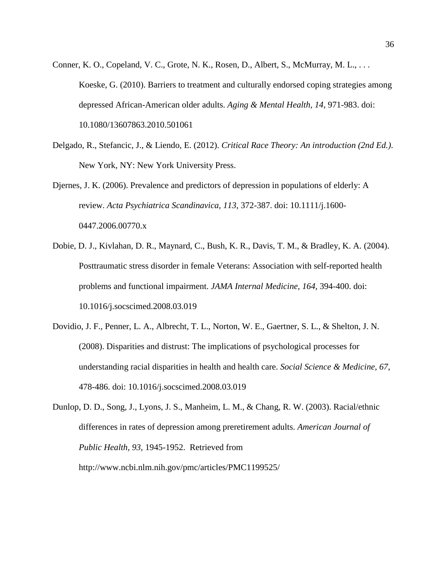- <span id="page-35-4"></span>Conner, K. O., Copeland, V. C., Grote, N. K., Rosen, D., Albert, S., McMurray, M. L., . . . Koeske, G. (2010). Barriers to treatment and culturally endorsed coping strategies among depressed African-American older adults. *Aging & Mental Health, 14*, 971-983. doi: 10.1080/13607863.2010.501061
- <span id="page-35-5"></span>Delgado, R., Stefancic, J., & Liendo, E. (2012). *Critical Race Theory: An introduction (2nd Ed.)*. New York, NY: New York University Press.
- <span id="page-35-0"></span>Djernes, J. K. (2006). Prevalence and predictors of depression in populations of elderly: A review. *Acta Psychiatrica Scandinavica, 113*, 372-387. doi: 10.1111/j.1600- 0447.2006.00770.x
- <span id="page-35-1"></span>Dobie, D. J., Kivlahan, D. R., Maynard, C., Bush, K. R., Davis, T. M., & Bradley, K. A. (2004). Posttraumatic stress disorder in female Veterans: Association with self-reported health problems and functional impairment. *JAMA Internal Medicine, 164*, 394-400. doi: 10.1016/j.socscimed.2008.03.019
- <span id="page-35-3"></span>Dovidio, J. F., Penner, L. A., Albrecht, T. L., Norton, W. E., Gaertner, S. L., & Shelton, J. N. (2008). Disparities and distrust: The implications of psychological processes for understanding racial disparities in health and health care. *Social Science & Medicine, 67*, 478-486. doi: 10.1016/j.socscimed.2008.03.019

<span id="page-35-2"></span>Dunlop, D. D., Song, J., Lyons, J. S., Manheim, L. M., & Chang, R. W. (2003). Racial/ethnic differences in rates of depression among preretirement adults. *American Journal of Public Health, 93*, 1945-1952. Retrieved from http://www.ncbi.nlm.nih.gov/pmc/articles/PMC1199525/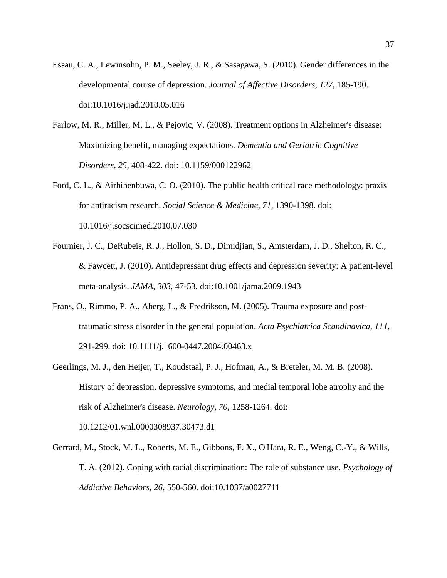- Essau, C. A., Lewinsohn, P. M., Seeley, J. R., & Sasagawa, S. (2010). Gender differences in the developmental course of depression. *Journal of Affective Disorders, 127*, 185-190. doi:10.1016/j.jad.2010.05.016
- Farlow, M. R., Miller, M. L., & Pejovic, V. (2008). Treatment options in Alzheimer's disease: Maximizing benefit, managing expectations. *Dementia and Geriatric Cognitive Disorders, 25*, 408-422. doi: 10.1159/000122962
- Ford, C. L., & Airhihenbuwa, C. O. (2010). The public health critical race methodology: praxis for antiracism research. *Social Science & Medicine, 71*, 1390-1398. doi: 10.1016/j.socscimed.2010.07.030
- Fournier, J. C., DeRubeis, R. J., Hollon, S. D., Dimidjian, S., Amsterdam, J. D., Shelton, R. C., & Fawcett, J. (2010). Antidepressant drug effects and depression severity: A patient-level meta-analysis. *JAMA, 303*, 47-53. doi:10.1001/jama.2009.1943
- Frans, O., Rimmo, P. A., Aberg, L., & Fredrikson, M. (2005). Trauma exposure and posttraumatic stress disorder in the general population. *Acta Psychiatrica Scandinavica, 111*, 291-299. doi: 10.1111/j.1600-0447.2004.00463.x
- Geerlings, M. J., den Heijer, T., Koudstaal, P. J., Hofman, A., & Breteler, M. M. B. (2008). History of depression, depressive symptoms, and medial temporal lobe atrophy and the risk of Alzheimer's disease. *Neurology, 70*, 1258-1264. doi: 10.1212/01.wnl.0000308937.30473.d1
- Gerrard, M., Stock, M. L., Roberts, M. E., Gibbons, F. X., O'Hara, R. E., Weng, C.-Y., & Wills, T. A. (2012). Coping with racial discrimination: The role of substance use. *Psychology of Addictive Behaviors, 26*, 550-560. doi:10.1037/a0027711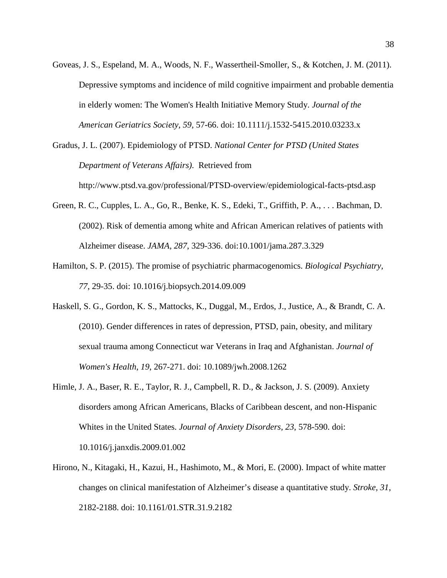- Goveas, J. S., Espeland, M. A., Woods, N. F., Wassertheil-Smoller, S., & Kotchen, J. M. (2011). Depressive symptoms and incidence of mild cognitive impairment and probable dementia in elderly women: The Women's Health Initiative Memory Study. *Journal of the American Geriatrics Society, 59*, 57-66. doi: 10.1111/j.1532-5415.2010.03233.x
- Gradus, J. L. (2007). Epidemiology of PTSD. *National Center for PTSD (United States Department of Veterans Affairs)*. Retrieved from http://www.ptsd.va.gov/professional/PTSD-overview/epidemiological-facts-ptsd.asp
- Green, R. C., Cupples, L. A., Go, R., Benke, K. S., Edeki, T., Griffith, P. A., . . . Bachman, D. (2002). Risk of dementia among white and African American relatives of patients with Alzheimer disease. *JAMA, 287*, 329-336. doi:10.1001/jama.287.3.329
- Hamilton, S. P. (2015). The promise of psychiatric pharmacogenomics. *Biological Psychiatry, 77*, 29-35. doi: 10.1016/j.biopsych.2014.09.009
- Haskell, S. G., Gordon, K. S., Mattocks, K., Duggal, M., Erdos, J., Justice, A., & Brandt, C. A. (2010). Gender differences in rates of depression, PTSD, pain, obesity, and military sexual trauma among Connecticut war Veterans in Iraq and Afghanistan. *Journal of Women's Health, 19*, 267-271. doi: 10.1089/jwh.2008.1262
- Himle, J. A., Baser, R. E., Taylor, R. J., Campbell, R. D., & Jackson, J. S. (2009). Anxiety disorders among African Americans, Blacks of Caribbean descent, and non-Hispanic Whites in the United States. *Journal of Anxiety Disorders, 23*, 578-590. doi: 10.1016/j.janxdis.2009.01.002
- Hirono, N., Kitagaki, H., Kazui, H., Hashimoto, M., & Mori, E. (2000). Impact of white matter changes on clinical manifestation of Alzheimer's disease a quantitative study. *Stroke, 31*, 2182-2188. doi: 10.1161/01.STR.31.9.2182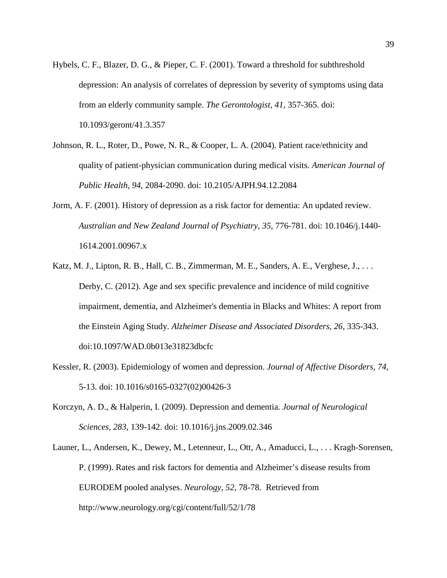- Hybels, C. F., Blazer, D. G., & Pieper, C. F. (2001). Toward a threshold for subthreshold depression: An analysis of correlates of depression by severity of symptoms using data from an elderly community sample. *The Gerontologist, 41*, 357-365. doi: 10.1093/geront/41.3.357
- Johnson, R. L., Roter, D., Powe, N. R., & Cooper, L. A. (2004). Patient race/ethnicity and quality of patient-physician communication during medical visits. *American Journal of Public Health, 94*, 2084-2090. doi: 10.2105/AJPH.94.12.2084
- Jorm, A. F. (2001). History of depression as a risk factor for dementia: An updated review. *Australian and New Zealand Journal of Psychiatry, 35*, 776-781. doi: 10.1046/j.1440- 1614.2001.00967.x
- Katz, M. J., Lipton, R. B., Hall, C. B., Zimmerman, M. E., Sanders, A. E., Verghese, J., . . . Derby, C. (2012). Age and sex specific prevalence and incidence of mild cognitive impairment, dementia, and Alzheimer's dementia in Blacks and Whites: A report from the Einstein Aging Study. *Alzheimer Disease and Associated Disorders, 26*, 335-343. doi:10.1097/WAD.0b013e31823dbcfc
- Kessler, R. (2003). Epidemiology of women and depression. *Journal of Affective Disorders, 74*, 5-13. doi: 10.1016/s0165-0327(02)00426-3
- Korczyn, A. D., & Halperin, I. (2009). Depression and dementia. *Journal of Neurological Sciences, 283*, 139-142. doi: 10.1016/j.jns.2009.02.346
- Launer, L., Andersen, K., Dewey, M., Letenneur, L., Ott, A., Amaducci, L., . . . Kragh-Sorensen, P. (1999). Rates and risk factors for dementia and Alzheimer's disease results from EURODEM pooled analyses. *Neurology, 52*, 78-78. Retrieved from http://www.neurology.org/cgi/content/full/52/1/78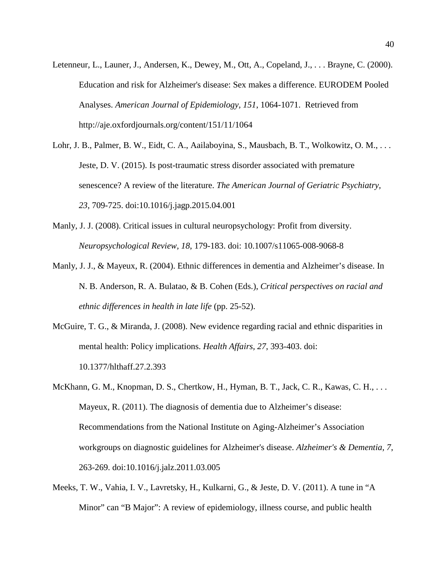- Letenneur, L., Launer, J., Andersen, K., Dewey, M., Ott, A., Copeland, J., . . . Brayne, C. (2000). Education and risk for Alzheimer's disease: Sex makes a difference. EURODEM Pooled Analyses. *American Journal of Epidemiology, 151*, 1064-1071. Retrieved from http://aje.oxfordjournals.org/content/151/11/1064
- Lohr, J. B., Palmer, B. W., Eidt, C. A., Aailaboyina, S., Mausbach, B. T., Wolkowitz, O. M., ... Jeste, D. V. (2015). Is post-traumatic stress disorder associated with premature senescence? A review of the literature. *The American Journal of Geriatric Psychiatry, 23*, 709-725. doi:10.1016/j.jagp.2015.04.001
- Manly, J. J. (2008). Critical issues in cultural neuropsychology: Profit from diversity. *Neuropsychological Review, 18*, 179-183. doi: 10.1007/s11065-008-9068-8
- Manly, J. J., & Mayeux, R. (2004). Ethnic differences in dementia and Alzheimer's disease. In N. B. Anderson, R. A. Bulatao, & B. Cohen (Eds.), *Critical perspectives on racial and ethnic differences in health in late life* (pp. 25-52).
- McGuire, T. G., & Miranda, J. (2008). New evidence regarding racial and ethnic disparities in mental health: Policy implications. *Health Affairs, 27*, 393-403. doi: 10.1377/hlthaff.27.2.393
- McKhann, G. M., Knopman, D. S., Chertkow, H., Hyman, B. T., Jack, C. R., Kawas, C. H., . . . Mayeux, R. (2011). The diagnosis of dementia due to Alzheimer's disease: Recommendations from the National Institute on Aging-Alzheimer's Association workgroups on diagnostic guidelines for Alzheimer's disease. *Alzheimer's & Dementia, 7*, 263-269. doi:10.1016/j.jalz.2011.03.005
- Meeks, T. W., Vahia, I. V., Lavretsky, H., Kulkarni, G., & Jeste, D. V. (2011). A tune in "A Minor" can "B Major": A review of epidemiology, illness course, and public health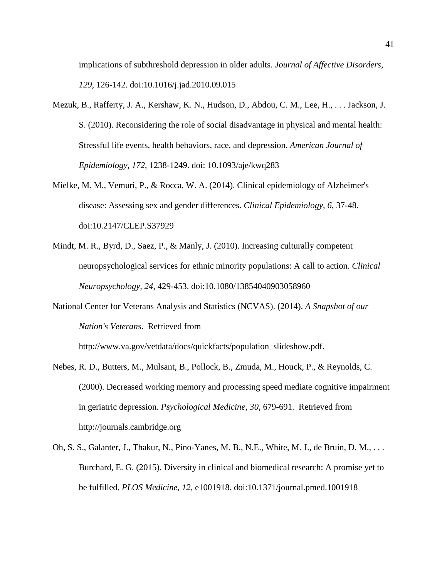implications of subthreshold depression in older adults. *Journal of Affective Disorders, 129*, 126-142. doi:10.1016/j.jad.2010.09.015

- Mezuk, B., Rafferty, J. A., Kershaw, K. N., Hudson, D., Abdou, C. M., Lee, H., . . . Jackson, J. S. (2010). Reconsidering the role of social disadvantage in physical and mental health: Stressful life events, health behaviors, race, and depression. *American Journal of Epidemiology, 172*, 1238-1249. doi: 10.1093/aje/kwq283
- Mielke, M. M., Vemuri, P., & Rocca, W. A. (2014). Clinical epidemiology of Alzheimer's disease: Assessing sex and gender differences. *Clinical Epidemiology, 6*, 37-48. doi:10.2147/CLEP.S37929
- Mindt, M. R., Byrd, D., Saez, P., & Manly, J. (2010). Increasing culturally competent neuropsychological services for ethnic minority populations: A call to action. *Clinical Neuropsychology, 24*, 429-453. doi:10.1080/13854040903058960
- National Center for Veterans Analysis and Statistics (NCVAS). (2014). *A Snapshot of our Nation's Veterans*. Retrieved from

http://www.va.gov/vetdata/docs/quickfacts/population\_slideshow.pdf.

- Nebes, R. D., Butters, M., Mulsant, B., Pollock, B., Zmuda, M., Houck, P., & Reynolds, C. (2000). Decreased working memory and processing speed mediate cognitive impairment in geriatric depression. *Psychological Medicine, 30*, 679-691. Retrieved from http://journals.cambridge.org
- Oh, S. S., Galanter, J., Thakur, N., Pino-Yanes, M. B., N.E., White, M. J., de Bruin, D. M., . . . Burchard, E. G. (2015). Diversity in clinical and biomedical research: A promise yet to be fulfilled. *PLOS Medicine, 12*, e1001918. doi:10.1371/journal.pmed.1001918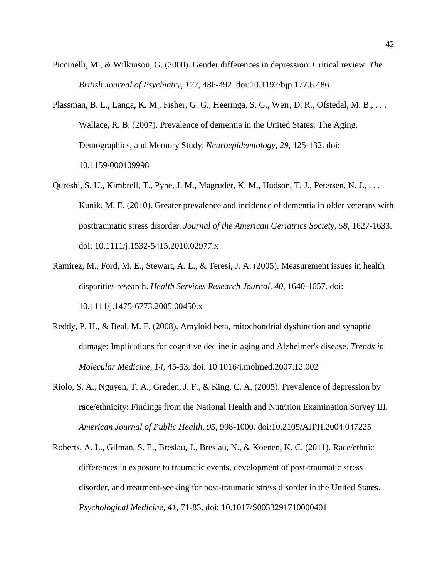- Piccinelli, M., & Wilkinson, G. (2000). Gender differences in depression: Critical review. *The British Journal of Psychiatry, 177*, 486-492. doi:10.1192/bjp.177.6.486
- Plassman, B. L., Langa, K. M., Fisher, G. G., Heeringa, S. G., Weir, D. R., Ofstedal, M. B., ... Wallace, R. B. (2007). Prevalence of dementia in the United States: The Aging, Demographics, and Memory Study. *Neuroepidemiology, 29*, 125-132. doi: 10.1159/000109998
- Qureshi, S. U., Kimbrell, T., Pyne, J. M., Magruder, K. M., Hudson, T. J., Petersen, N. J., . . . Kunik, M. E. (2010). Greater prevalence and incidence of dementia in older veterans with posttraumatic stress disorder. *Journal of the American Geriatrics Society, 58*, 1627-1633. doi: 10.1111/j.1532-5415.2010.02977.x
- Ramirez, M., Ford, M. E., Stewart, A. L., & Teresi, J. A. (2005). Measurement issues in health disparities research. *Health Services Research Journal, 40*, 1640-1657. doi: 10.1111/j.1475-6773.2005.00450.x
- Reddy, P. H., & Beal, M. F. (2008). Amyloid beta, mitochondrial dysfunction and synaptic damage: Implications for cognitive decline in aging and Alzheimer's disease. *Trends in Molecular Medicine, 14*, 45-53. doi: 10.1016/j.molmed.2007.12.002
- Riolo, S. A., Nguyen, T. A., Greden, J. F., & King, C. A. (2005). Prevalence of depression by race/ethnicity: Findings from the National Health and Nutrition Examination Survey III. *American Journal of Public Health, 95*, 998-1000. doi:10.2105/AJPH.2004.047225
- Roberts, A. L., Gilman, S. E., Breslau, J., Breslau, N., & Koenen, K. C. (2011). Race/ethnic differences in exposure to traumatic events, development of post-traumatic stress disorder, and treatment-seeking for post-traumatic stress disorder in the United States. *Psychological Medicine, 41*, 71-83. doi: 10.1017/S0033291710000401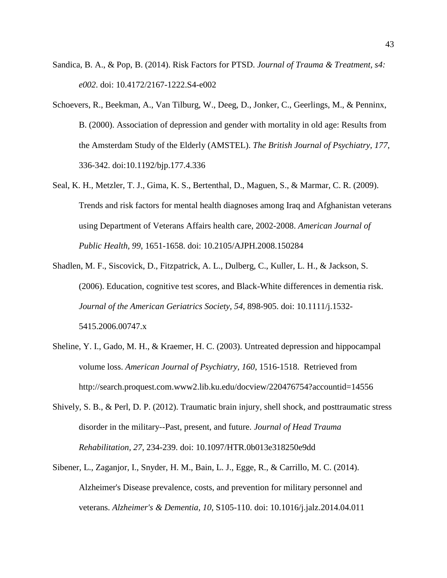- Sandica, B. A., & Pop, B. (2014). Risk Factors for PTSD. *Journal of Trauma & Treatment, s4: e002*. doi: 10.4172/2167-1222.S4-e002
- Schoevers, R., Beekman, A., Van Tilburg, W., Deeg, D., Jonker, C., Geerlings, M., & Penninx, B. (2000). Association of depression and gender with mortality in old age: Results from the Amsterdam Study of the Elderly (AMSTEL). *The British Journal of Psychiatry, 177*, 336-342. doi:10.1192/bjp.177.4.336
- Seal, K. H., Metzler, T. J., Gima, K. S., Bertenthal, D., Maguen, S., & Marmar, C. R. (2009). Trends and risk factors for mental health diagnoses among Iraq and Afghanistan veterans using Department of Veterans Affairs health care, 2002-2008. *American Journal of Public Health, 99*, 1651-1658. doi: 10.2105/AJPH.2008.150284
- Shadlen, M. F., Siscovick, D., Fitzpatrick, A. L., Dulberg, C., Kuller, L. H., & Jackson, S. (2006). Education, cognitive test scores, and Black-White differences in dementia risk. *Journal of the American Geriatrics Society, 54*, 898-905. doi: 10.1111/j.1532- 5415.2006.00747.x
- Sheline, Y. I., Gado, M. H., & Kraemer, H. C. (2003). Untreated depression and hippocampal volume loss. *American Journal of Psychiatry, 160*, 1516-1518. Retrieved from http://search.proquest.com.www2.lib.ku.edu/docview/220476754?accountid=14556
- Shively, S. B., & Perl, D. P. (2012). Traumatic brain injury, shell shock, and posttraumatic stress disorder in the military--Past, present, and future. *Journal of Head Trauma Rehabilitation, 27*, 234-239. doi: 10.1097/HTR.0b013e318250e9dd
- Sibener, L., Zaganjor, I., Snyder, H. M., Bain, L. J., Egge, R., & Carrillo, M. C. (2014). Alzheimer's Disease prevalence, costs, and prevention for military personnel and veterans. *Alzheimer's & Dementia, 10*, S105-110. doi: 10.1016/j.jalz.2014.04.011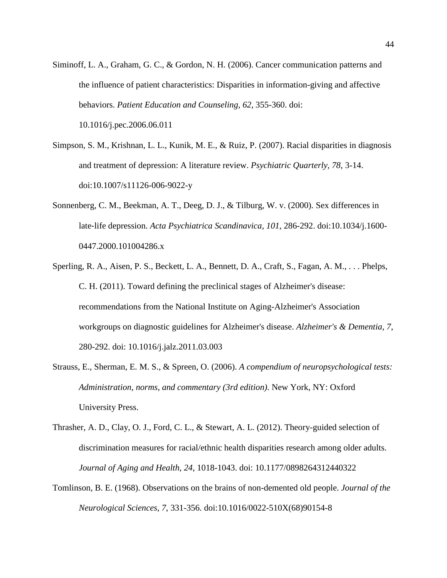- Siminoff, L. A., Graham, G. C., & Gordon, N. H. (2006). Cancer communication patterns and the influence of patient characteristics: Disparities in information-giving and affective behaviors. *Patient Education and Counseling, 62*, 355-360. doi: 10.1016/j.pec.2006.06.011
- Simpson, S. M., Krishnan, L. L., Kunik, M. E., & Ruiz, P. (2007). Racial disparities in diagnosis and treatment of depression: A literature review. *Psychiatric Quarterly, 78*, 3-14. doi:10.1007/s11126-006-9022-y
- Sonnenberg, C. M., Beekman, A. T., Deeg, D. J., & Tilburg, W. v. (2000). Sex differences in late‐life depression. *Acta Psychiatrica Scandinavica, 101*, 286-292. doi:10.1034/j.1600- 0447.2000.101004286.x
- Sperling, R. A., Aisen, P. S., Beckett, L. A., Bennett, D. A., Craft, S., Fagan, A. M., . . . Phelps, C. H. (2011). Toward defining the preclinical stages of Alzheimer's disease: recommendations from the National Institute on Aging-Alzheimer's Association workgroups on diagnostic guidelines for Alzheimer's disease. *Alzheimer's & Dementia, 7*, 280-292. doi: 10.1016/j.jalz.2011.03.003
- Strauss, E., Sherman, E. M. S., & Spreen, O. (2006). *A compendium of neuropsychological tests: Administration, norms, and commentary (3rd edition)*. New York, NY: Oxford University Press.
- Thrasher, A. D., Clay, O. J., Ford, C. L., & Stewart, A. L. (2012). Theory-guided selection of discrimination measures for racial/ethnic health disparities research among older adults. *Journal of Aging and Health, 24*, 1018-1043. doi: 10.1177/0898264312440322
- Tomlinson, B. E. (1968). Observations on the brains of non-demented old people. *Journal of the Neurological Sciences, 7*, 331-356. doi:10.1016/0022-510X(68)90154-8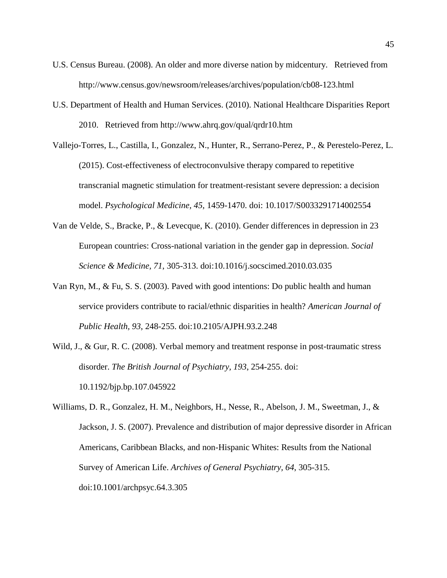- U.S. Census Bureau. (2008). An older and more diverse nation by midcentury. Retrieved from http://www.census.gov/newsroom/releases/archives/population/cb08-123.html
- U.S. Department of Health and Human Services. (2010). National Healthcare Disparities Report 2010. Retrieved from http://www.ahrq.gov/qual/qrdr10.htm
- Vallejo-Torres, L., Castilla, I., Gonzalez, N., Hunter, R., Serrano-Perez, P., & Perestelo-Perez, L. (2015). Cost-effectiveness of electroconvulsive therapy compared to repetitive transcranial magnetic stimulation for treatment-resistant severe depression: a decision model. *Psychological Medicine, 45*, 1459-1470. doi: 10.1017/S0033291714002554
- Van de Velde, S., Bracke, P., & Levecque, K. (2010). Gender differences in depression in 23 European countries: Cross-national variation in the gender gap in depression. *Social Science & Medicine, 71*, 305-313. doi:10.1016/j.socscimed.2010.03.035
- Van Ryn, M., & Fu, S. S. (2003). Paved with good intentions: Do public health and human service providers contribute to racial/ethnic disparities in health? *American Journal of Public Health, 93*, 248-255. doi:10.2105/AJPH.93.2.248
- Wild, J., & Gur, R. C. (2008). Verbal memory and treatment response in post-traumatic stress disorder. *The British Journal of Psychiatry, 193*, 254-255. doi: 10.1192/bjp.bp.107.045922

Williams, D. R., Gonzalez, H. M., Neighbors, H., Nesse, R., Abelson, J. M., Sweetman, J., & Jackson, J. S. (2007). Prevalence and distribution of major depressive disorder in African Americans, Caribbean Blacks, and non-Hispanic Whites: Results from the National Survey of American Life. *Archives of General Psychiatry, 64*, 305-315. doi:10.1001/archpsyc.64.3.305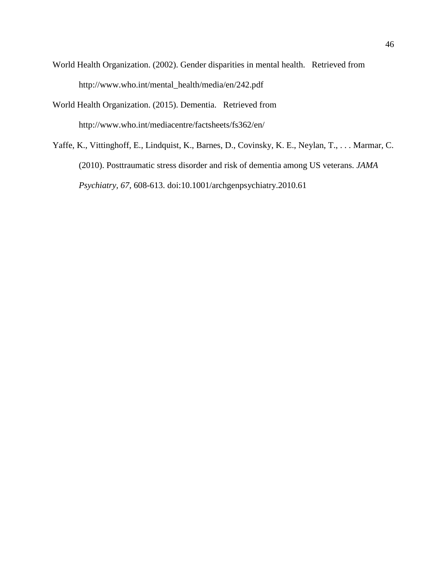- World Health Organization. (2002). Gender disparities in mental health. Retrieved from http://www.who.int/mental\_health/media/en/242.pdf
- World Health Organization. (2015). Dementia. Retrieved from http://www.who.int/mediacentre/factsheets/fs362/en/
- Yaffe, K., Vittinghoff, E., Lindquist, K., Barnes, D., Covinsky, K. E., Neylan, T., . . . Marmar, C. (2010). Posttraumatic stress disorder and risk of dementia among US veterans. *JAMA Psychiatry, 67*, 608-613. doi:10.1001/archgenpsychiatry.2010.61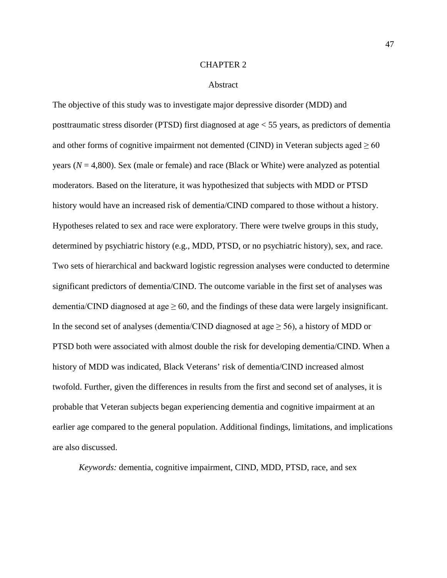### CHAPTER 2

#### Abstract

The objective of this study was to investigate major depressive disorder (MDD) and posttraumatic stress disorder (PTSD) first diagnosed at age < 55 years, as predictors of dementia and other forms of cognitive impairment not demented (CIND) in Veteran subjects aged  $\geq 60$ years ( $N = 4,800$ ). Sex (male or female) and race (Black or White) were analyzed as potential moderators. Based on the literature, it was hypothesized that subjects with MDD or PTSD history would have an increased risk of dementia/CIND compared to those without a history. Hypotheses related to sex and race were exploratory. There were twelve groups in this study, determined by psychiatric history (e.g., MDD, PTSD, or no psychiatric history), sex, and race. Two sets of hierarchical and backward logistic regression analyses were conducted to determine significant predictors of dementia/CIND. The outcome variable in the first set of analyses was dementia/CIND diagnosed at age  $\geq 60$ , and the findings of these data were largely insignificant. In the second set of analyses (dementia/CIND diagnosed at age  $\geq$  56), a history of MDD or PTSD both were associated with almost double the risk for developing dementia/CIND. When a history of MDD was indicated, Black Veterans' risk of dementia/CIND increased almost twofold. Further, given the differences in results from the first and second set of analyses, it is probable that Veteran subjects began experiencing dementia and cognitive impairment at an earlier age compared to the general population. Additional findings, limitations, and implications are also discussed.

*Keywords:* dementia, cognitive impairment, CIND, MDD, PTSD, race, and sex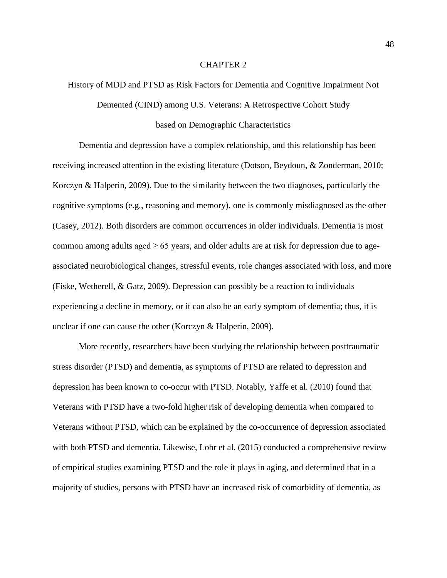# CHAPTER 2

# History of MDD and PTSD as Risk Factors for Dementia and Cognitive Impairment Not

Demented (CIND) among U.S. Veterans: A Retrospective Cohort Study

# based on Demographic Characteristics

Dementia and depression have a complex relationship, and this relationship has been receiving increased attention in the existing literature [\(Dotson, Beydoun, & Zonderman, 2010;](#page-113-0) [Korczyn & Halperin, 2009\)](#page-117-0). Due to the similarity between the two diagnoses, particularly the cognitive symptoms (e.g., reasoning and memory), one is commonly misdiagnosed as the other [\(Casey, 2012\)](#page-111-0). Both disorders are common occurrences in older individuals. Dementia is most common among adults aged  $\geq 65$  years, and older adults are at risk for depression due to ageassociated neurobiological changes, stressful events, role changes associated with loss, and more [\(Fiske, Wetherell, & Gatz, 2009\)](#page-115-0). Depression can possibly be a reaction to individuals experiencing a decline in memory, or it can also be an early symptom of dementia; thus, it is unclear if one can cause the other [\(Korczyn & Halperin, 2009\)](#page-117-0).

More recently, researchers have been studying the relationship between posttraumatic stress disorder (PTSD) and dementia, as symptoms of PTSD are related to depression and depression has been known to co-occur with PTSD. Notably, [Yaffe et al. \(2010\)](#page-127-0) found that Veterans with PTSD have a two-fold higher risk of developing dementia when compared to Veterans without PTSD, which can be explained by the co-occurrence of depression associated with both PTSD and dementia. Likewise, [Lohr et al. \(2015\)](#page-118-0) conducted a comprehensive review of empirical studies examining PTSD and the role it plays in aging, and determined that in a majority of studies, persons with PTSD have an increased risk of comorbidity of dementia, as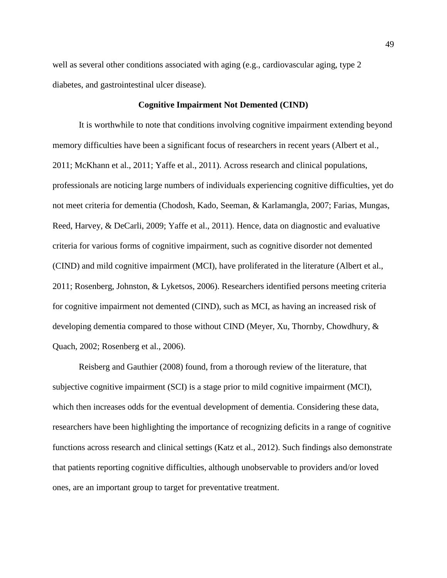well as several other conditions associated with aging (e.g., cardiovascular aging, type 2 diabetes, and gastrointestinal ulcer disease).

# **Cognitive Impairment Not Demented (CIND)**

It is worthwhile to note that conditions involving cognitive impairment extending beyond memory difficulties have been a significant focus of researchers in recent years [\(Albert et al.,](#page-109-0)  [2011;](#page-109-0) [McKhann et al., 2011;](#page-118-1) [Yaffe et al., 2011\)](#page-127-1). Across research and clinical populations, professionals are noticing large numbers of individuals experiencing cognitive difficulties, yet do not meet criteria for dementia [\(Chodosh, Kado, Seeman, & Karlamangla, 2007;](#page-112-0) [Farias, Mungas,](#page-115-1)  [Reed, Harvey, & DeCarli, 2009;](#page-115-1) [Yaffe et al., 2011\)](#page-127-1). Hence, data on diagnostic and evaluative criteria for various forms of cognitive impairment, such as cognitive disorder not demented (CIND) and mild cognitive impairment (MCI), have proliferated in the literature [\(Albert et al.,](#page-109-0)  [2011;](#page-109-0) [Rosenberg, Johnston, & Lyketsos, 2006\)](#page-122-0). Researchers identified persons meeting criteria for cognitive impairment not demented (CIND), such as MCI, as having an increased risk of developing dementia compared to those without CIND [\(Meyer, Xu, Thornby, Chowdhury, &](#page-119-0)  [Quach, 2002;](#page-119-0) [Rosenberg et al., 2006\)](#page-122-0).

[Reisberg and Gauthier \(2008\)](#page-122-1) found, from a thorough review of the literature, that subjective cognitive impairment (SCI) is a stage prior to mild cognitive impairment (MCI), which then increases odds for the eventual development of dementia. Considering these data, researchers have been highlighting the importance of recognizing deficits in a range of cognitive functions across research and clinical settings [\(Katz et al., 2012\)](#page-117-1). Such findings also demonstrate that patients reporting cognitive difficulties, although unobservable to providers and/or loved ones, are an important group to target for preventative treatment.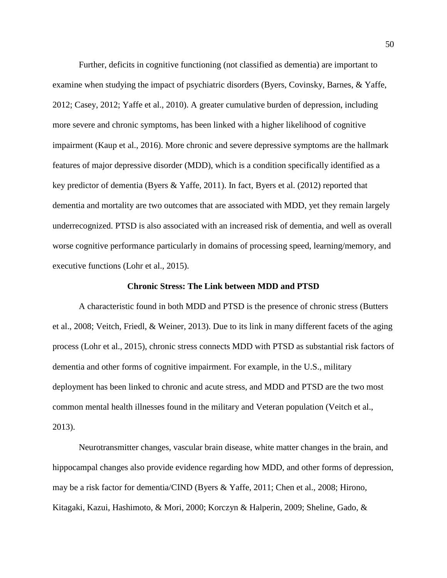Further, deficits in cognitive functioning (not classified as dementia) are important to examine when studying the impact of psychiatric disorders [\(Byers, Covinsky, Barnes, & Yaffe,](#page-111-1)  [2012;](#page-111-1) [Casey, 2012;](#page-111-0) [Yaffe et al., 2010\)](#page-127-0). A greater cumulative burden of depression, including more severe and chronic symptoms, has been linked with a higher likelihood of cognitive impairment [\(Kaup et al., 2016\)](#page-117-2). More chronic and severe depressive symptoms are the hallmark features of major depressive disorder (MDD), which is a condition specifically identified as a key predictor of dementia [\(Byers & Yaffe, 2011\)](#page-111-2). In fact, [Byers et al. \(2012\)](#page-111-1) reported that dementia and mortality are two outcomes that are associated with MDD, yet they remain largely underrecognized. PTSD is also associated with an increased risk of dementia, and well as overall worse cognitive performance particularly in domains of processing speed, learning/memory, and executive functions [\(Lohr et al., 2015\)](#page-118-0).

# **Chronic Stress: The Link between MDD and PTSD**

A characteristic found in both MDD and PTSD is the presence of chronic stress [\(Butters](#page-111-3)  [et al., 2008;](#page-111-3) [Veitch, Friedl, & Weiner, 2013\)](#page-125-0). Due to its link in many different facets of the aging process [\(Lohr et al., 2015\)](#page-118-0), chronic stress connects MDD with PTSD as substantial risk factors of dementia and other forms of cognitive impairment. For example, in the U.S., military deployment has been linked to chronic and acute stress, and MDD and PTSD are the two most common mental health illnesses found in the military and Veteran population [\(Veitch et al.,](#page-125-0)  [2013\)](#page-125-0).

Neurotransmitter changes, vascular brain disease, white matter changes in the brain, and hippocampal changes also provide evidence regarding how MDD, and other forms of depression, may be a risk factor for dementia/CIND [\(Byers & Yaffe, 2011;](#page-111-2) [Chen et al., 2008;](#page-112-1) [Hirono,](#page-116-0)  [Kitagaki, Kazui, Hashimoto, & Mori, 2000;](#page-116-0) [Korczyn & Halperin, 2009;](#page-117-0) [Sheline, Gado, &](#page-123-0)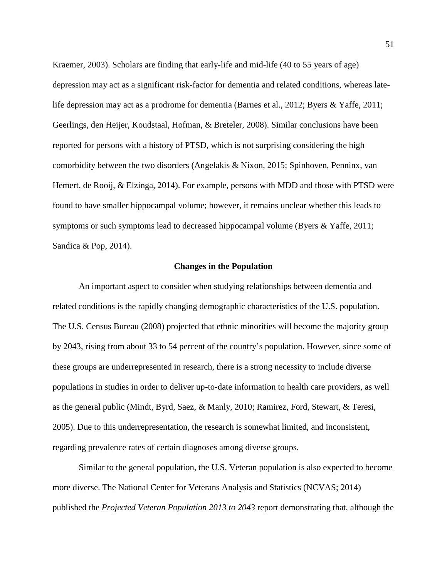[Kraemer, 2003\)](#page-123-0). Scholars are finding that early-life and mid-life (40 to 55 years of age) depression may act as a significant risk-factor for dementia and related conditions, whereas latelife depression may act as a prodrome for dementia [\(Barnes et al., 2012;](#page-110-0) [Byers & Yaffe, 2011;](#page-111-2) [Geerlings, den Heijer, Koudstaal, Hofman, & Breteler, 2008\)](#page-115-2). Similar conclusions have been reported for persons with a history of PTSD, which is not surprising considering the high comorbidity between the two disorders [\(Angelakis & Nixon, 2015;](#page-109-1) [Spinhoven, Penninx, van](#page-124-0)  [Hemert, de Rooij, & Elzinga, 2014\)](#page-124-0). For example, persons with MDD and those with PTSD were found to have smaller hippocampal volume; however, it remains unclear whether this leads to symptoms or such symptoms lead to decreased hippocampal volume [\(Byers & Yaffe, 2011;](#page-111-2) [Sandica & Pop, 2014\)](#page-123-1).

#### **Changes in the Population**

An important aspect to consider when studying relationships between dementia and related conditions is the rapidly changing demographic characteristics of the U.S. population. The [U.S. Census Bureau \(2008\)](#page-125-1) projected that ethnic minorities will become the majority group by 2043, rising from about 33 to 54 percent of the country's population. However, since some of these groups are underrepresented in research, there is a strong necessity to include diverse populations in studies in order to deliver up-to-date information to health care providers, as well as the general public [\(Mindt, Byrd, Saez, & Manly, 2010;](#page-120-0) [Ramirez, Ford, Stewart, & Teresi,](#page-122-2)  [2005\)](#page-122-2). Due to this underrepresentation, the research is somewhat limited, and inconsistent, regarding prevalence rates of certain diagnoses among diverse groups.

Similar to the general population, the U.S. Veteran population is also expected to become more diverse. The National Center for Veterans Analysis and Statistics [\(NCVAS; 2014\)](#page-120-1) published the *Projected Veteran Population 2013 to 2043* report demonstrating that, although the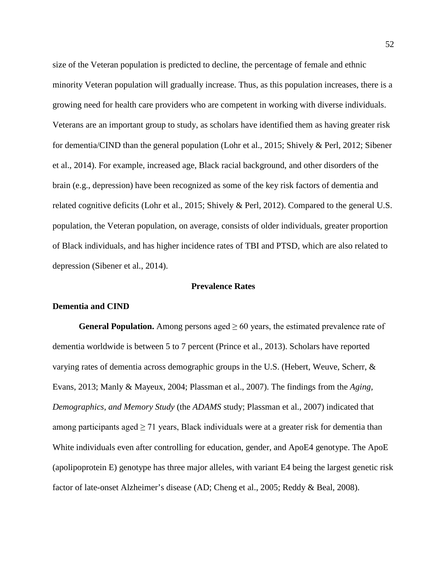size of the Veteran population is predicted to decline, the percentage of female and ethnic minority Veteran population will gradually increase. Thus, as this population increases, there is a growing need for health care providers who are competent in working with diverse individuals. Veterans are an important group to study, as scholars have identified them as having greater risk for dementia/CIND than the general population [\(Lohr et al., 2015;](#page-118-0) [Shively & Perl, 2012;](#page-124-1) [Sibener](#page-124-2)  [et al., 2014\)](#page-124-2). For example, increased age, Black racial background, and other disorders of the brain (e.g., depression) have been recognized as some of the key risk factors of dementia and related cognitive deficits [\(Lohr et al., 2015;](#page-118-0) [Shively & Perl, 2012\)](#page-124-1). Compared to the general U.S. population, the Veteran population, on average, consists of older individuals, greater proportion of Black individuals, and has higher incidence rates of TBI and PTSD, which are also related to depression [\(Sibener et al., 2014\)](#page-124-2).

# **Prevalence Rates**

# **Dementia and CIND**

**General Population.** Among persons aged  $\geq 60$  years, the estimated prevalence rate of dementia worldwide is between 5 to 7 percent [\(Prince et al., 2013\)](#page-121-0). Scholars have reported varying rates of dementia across demographic groups in the U.S. [\(Hebert, Weuve, Scherr, &](#page-116-1)  [Evans, 2013;](#page-116-1) [Manly & Mayeux, 2004;](#page-118-2) [Plassman et al., 2007\)](#page-121-1). The findings from the *Aging, Demographics, and Memory Study* (the *ADAMS* [study; Plassman et al., 2007\)](#page-121-1) indicated that among participants aged  $\geq$  71 years, Black individuals were at a greater risk for dementia than White individuals even after controlling for education, gender, and ApoE4 genotype. The ApoE (apolipoprotein E) genotype has three major alleles, with variant E4 being the largest genetic risk factor of late-onset Alzheimer's disease (AD; [Cheng et al., 2005;](#page-112-2) [Reddy & Beal, 2008\)](#page-122-3).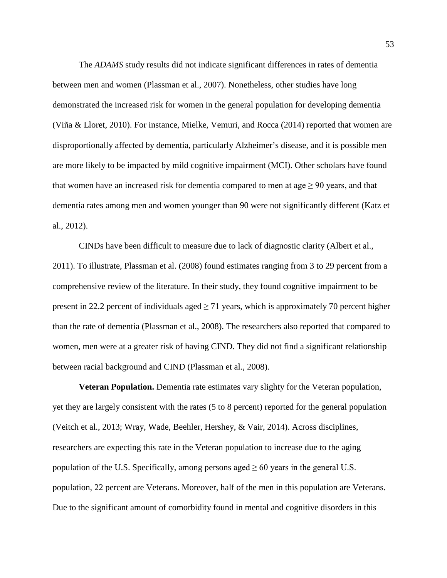The *ADAMS* study results did not indicate significant differences in rates of dementia between men and women [\(Plassman et al., 2007\)](#page-121-1). Nonetheless, other studies have long demonstrated the increased risk for women in the general population for developing dementia [\(Viña & Lloret, 2010\)](#page-125-2). For instance, [Mielke, Vemuri, and Rocca \(2014\)](#page-120-2) reported that women are disproportionally affected by dementia, particularly Alzheimer's disease, and it is possible men are more likely to be impacted by mild cognitive impairment (MCI). Other scholars have found that women have an increased risk for dementia compared to men at  $\text{age} \geq 90$  years, and that dementia rates among men and women younger than 90 were not significantly different [\(Katz et](#page-117-1)  [al., 2012\)](#page-117-1).

CINDs have been difficult to measure due to lack of diagnostic clarity [\(Albert et al.,](#page-109-0)  [2011\)](#page-109-0). To illustrate, [Plassman et al. \(2008\)](#page-121-2) found estimates ranging from 3 to 29 percent from a comprehensive review of the literature. In their study, they found cognitive impairment to be present in 22.2 percent of individuals aged  $\geq$  71 years, which is approximately 70 percent higher than the rate of dementia [\(Plassman et al., 2008\)](#page-121-2). The researchers also reported that compared to women, men were at a greater risk of having CIND. They did not find a significant relationship between racial background and CIND [\(Plassman et al., 2008\)](#page-121-2).

**Veteran Population.** Dementia rate estimates vary slighty for the Veteran population, yet they are largely consistent with the rates (5 to 8 percent) reported for the general population [\(Veitch et al., 2013;](#page-125-0) [Wray, Wade, Beehler, Hershey, & Vair, 2014\)](#page-127-2). Across disciplines, researchers are expecting this rate in the Veteran population to increase due to the aging population of the U.S. Specifically, among persons aged  $\geq 60$  years in the general U.S. population, 22 percent are Veterans. Moreover, half of the men in this population are Veterans. Due to the significant amount of comorbidity found in mental and cognitive disorders in this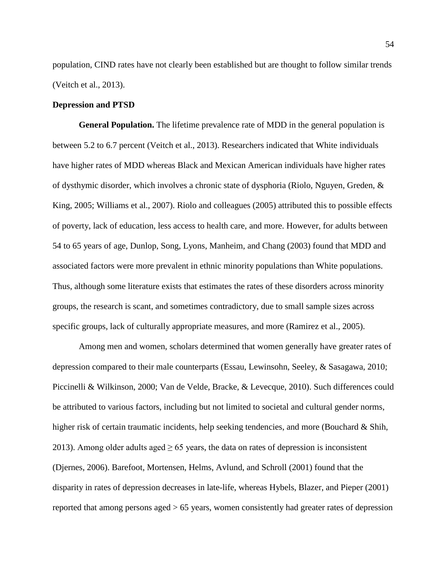population, CIND rates have not clearly been established but are thought to follow similar trends [\(Veitch et al., 2013\)](#page-125-0).

# **Depression and PTSD**

**General Population.** The lifetime prevalence rate of MDD in the general population is between 5.2 to 6.7 percent [\(Veitch et al., 2013\)](#page-125-0). Researchers indicated that White individuals have higher rates of MDD whereas Black and Mexican American individuals have higher rates of dysthymic disorder, which involves a chronic state of dysphoria [\(Riolo, Nguyen, Greden, &](#page-122-4)  [King, 2005;](#page-122-4) [Williams et al., 2007\)](#page-126-0). Riolo and colleagues [\(2005\)](#page-122-4) attributed this to possible effects of poverty, lack of education, less access to health care, and more. However, for adults between 54 to 65 years of age, [Dunlop, Song, Lyons, Manheim, and Chang \(2003\)](#page-114-0) found that MDD and associated factors were more prevalent in ethnic minority populations than White populations. Thus, although some literature exists that estimates the rates of these disorders across minority groups, the research is scant, and sometimes contradictory, due to small sample sizes across specific groups, lack of culturally appropriate measures, and more [\(Ramirez et al., 2005\)](#page-122-2).

Among men and women, scholars determined that women generally have greater rates of depression compared to their male counterparts [\(Essau, Lewinsohn, Seeley, & Sasagawa, 2010;](#page-114-1) [Piccinelli & Wilkinson, 2000;](#page-121-3) [Van de Velde, Bracke, & Levecque, 2010\)](#page-125-3). Such differences could be attributed to various factors, including but not limited to societal and cultural gender norms, higher risk of certain traumatic incidents, help seeking tendencies, and more (Bouchard & Shih, [2013\)](#page-110-1). Among older adults aged  $\geq 65$  years, the data on rates of depression is inconsistent [\(Djernes, 2006\)](#page-113-1). [Barefoot, Mortensen, Helms, Avlund, and Schroll \(2001\)](#page-110-2) found that the disparity in rates of depression decreases in late-life, whereas [Hybels, Blazer, and Pieper \(2001\)](#page-116-2) reported that among persons aged > 65 years, women consistently had greater rates of depression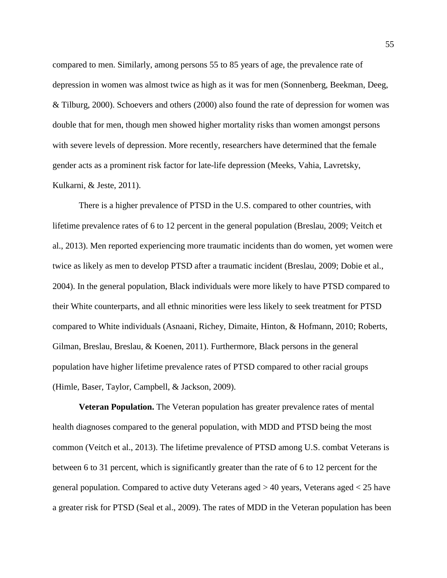compared to men. Similarly, among persons 55 to 85 years of age, the prevalence rate of depression in women was almost twice as high as it was for men [\(Sonnenberg, Beekman, Deeg,](#page-124-3)  [& Tilburg, 2000\)](#page-124-3). Schoevers and others [\(2000\)](#page-123-2) also found the rate of depression for women was double that for men, though men showed higher mortality risks than women amongst persons with severe levels of depression. More recently, researchers have determined that the female gender acts as a prominent risk factor for late-life depression [\(Meeks, Vahia, Lavretsky,](#page-119-1)  [Kulkarni, & Jeste, 2011\)](#page-119-1).

There is a higher prevalence of PTSD in the U.S. compared to other countries, with lifetime prevalence rates of 6 to 12 percent in the general population [\(Breslau, 2009;](#page-110-3) [Veitch et](#page-125-0)  [al., 2013\)](#page-125-0). Men reported experiencing more traumatic incidents than do women, yet women were twice as likely as men to develop PTSD after a traumatic incident [\(Breslau, 2009;](#page-110-3) [Dobie et al.,](#page-113-2)  [2004\)](#page-113-2). In the general population, Black individuals were more likely to have PTSD compared to their White counterparts, and all ethnic minorities were less likely to seek treatment for PTSD compared to White individuals [\(Asnaani, Richey, Dimaite, Hinton, & Hofmann, 2010;](#page-110-4) [Roberts,](#page-122-5)  [Gilman, Breslau, Breslau, & Koenen, 2011\)](#page-122-5). Furthermore, Black persons in the general population have higher lifetime prevalence rates of PTSD compared to other racial groups [\(Himle, Baser, Taylor, Campbell, & Jackson, 2009\)](#page-116-3).

**Veteran Population.** The Veteran population has greater prevalence rates of mental health diagnoses compared to the general population, with MDD and PTSD being the most common [\(Veitch et al., 2013\)](#page-125-0). The lifetime prevalence of PTSD among U.S. combat Veterans is between 6 to 31 percent, which is significantly greater than the rate of 6 to 12 percent for the general population. Compared to active duty Veterans aged > 40 years, Veterans aged < 25 have a greater risk for PTSD [\(Seal et al., 2009\)](#page-123-3). The rates of MDD in the Veteran population has been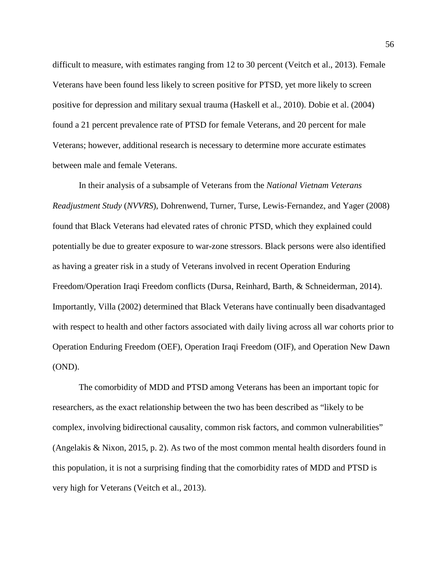difficult to measure, with estimates ranging from 12 to 30 percent [\(Veitch et al., 2013\)](#page-125-0). Female Veterans have been found less likely to screen positive for PTSD, yet more likely to screen positive for depression and military sexual trauma [\(Haskell et al., 2010\)](#page-115-3). [Dobie et al. \(2004\)](#page-113-2) found a 21 percent prevalence rate of PTSD for female Veterans, and 20 percent for male Veterans; however, additional research is necessary to determine more accurate estimates between male and female Veterans.

In their analysis of a subsample of Veterans from the *National Vietnam Veterans Readjustment Study* (*NVVRS*), [Dohrenwend, Turner, Turse, Lewis](#page-113-3)‐Fernandez, and Yager (2008) found that Black Veterans had elevated rates of chronic PTSD, which they explained could potentially be due to greater exposure to war-zone stressors. Black persons were also identified as having a greater risk in a study of Veterans involved in recent Operation Enduring Freedom/Operation Iraqi Freedom conflicts [\(Dursa, Reinhard, Barth, & Schneiderman, 2014\)](#page-114-2). Importantly, [Villa \(2002\)](#page-125-4) determined that Black Veterans have continually been disadvantaged with respect to health and other factors associated with daily living across all war cohorts prior to Operation Enduring Freedom (OEF), Operation Iraqi Freedom (OIF), and Operation New Dawn (OND).

The comorbidity of MDD and PTSD among Veterans has been an important topic for researchers, as the exact relationship between the two has been described as "likely to be complex, involving bidirectional causality, common risk factors, and common vulnerabilities" [\(Angelakis & Nixon, 2015, p. 2\)](#page-109-1). As two of the most common mental health disorders found in this population, it is not a surprising finding that the comorbidity rates of MDD and PTSD is very high for Veterans [\(Veitch et al., 2013\)](#page-125-0).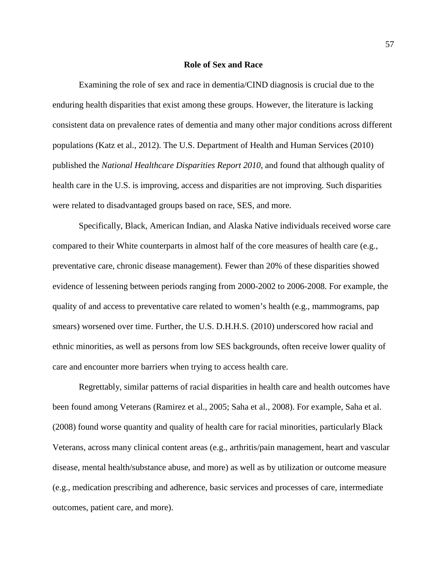#### **Role of Sex and Race**

Examining the role of sex and race in dementia/CIND diagnosis is crucial due to the enduring health disparities that exist among these groups. However, the literature is lacking consistent data on prevalence rates of dementia and many other major conditions across different populations [\(Katz et al., 2012\)](#page-117-1). The [U.S. Department of Health and Human Services \(2010\)](#page-125-5) published the *National Healthcare Disparities Report 2010*, and found that although quality of health care in the U.S. is improving, access and disparities are not improving. Such disparities were related to disadvantaged groups based on race, SES, and more.

Specifically, Black, American Indian, and Alaska Native individuals received worse care compared to their White counterparts in almost half of the core measures of health care (e.g., preventative care, chronic disease management). Fewer than 20% of these disparities showed evidence of lessening between periods ranging from 2000-2002 to 2006-2008. For example, the quality of and access to preventative care related to women's health (e.g., mammograms, pap smears) worsened over time. Further, the U.S. D.H.H.S. [\(2010\)](#page-125-5) underscored how racial and ethnic minorities, as well as persons from low SES backgrounds, often receive lower quality of care and encounter more barriers when trying to access health care.

Regrettably, similar patterns of racial disparities in health care and health outcomes have been found among Veterans [\(Ramirez et al., 2005;](#page-122-2) [Saha et al., 2008\)](#page-123-4). For example, [Saha et al.](#page-123-4)  (2008) found worse quantity and quality of health care for racial minorities, particularly Black Veterans, across many clinical content areas (e.g., arthritis/pain management, heart and vascular disease, mental health/substance abuse, and more) as well as by utilization or outcome measure (e.g., medication prescribing and adherence, basic services and processes of care, intermediate outcomes, patient care, and more).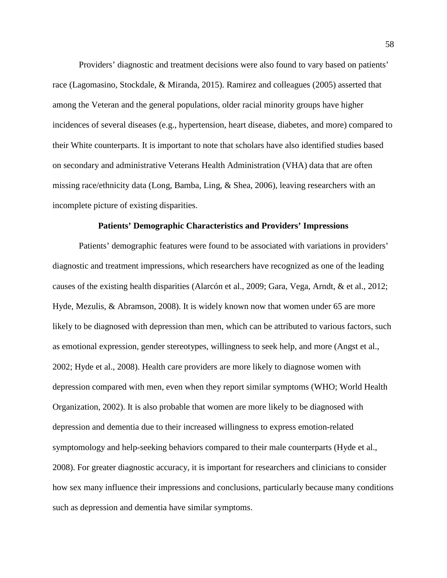Providers' diagnostic and treatment decisions were also found to vary based on patients' race [\(Lagomasino, Stockdale, & Miranda, 2015\)](#page-118-3). Ramirez and colleagues [\(2005\)](#page-122-2) asserted that among the Veteran and the general populations, older racial minority groups have higher incidences of several diseases (e.g., hypertension, heart disease, diabetes, and more) compared to their White counterparts. It is important to note that scholars have also identified studies based on secondary and administrative Veterans Health Administration (VHA) data that are often missing race/ethnicity data [\(Long, Bamba, Ling, & Shea, 2006\)](#page-118-4), leaving researchers with an incomplete picture of existing disparities.

#### **Patients' Demographic Characteristics and Providers' Impressions**

Patients' demographic features were found to be associated with variations in providers' diagnostic and treatment impressions, which researchers have recognized as one of the leading causes of the existing health disparities [\(Alarcón et al., 2009;](#page-109-2) [Gara, Vega, Arndt, & et al., 2012;](#page-115-4) [Hyde, Mezulis, & Abramson, 2008\)](#page-117-3). It is widely known now that women under 65 are more likely to be diagnosed with depression than men, which can be attributed to various factors, such as emotional expression, gender stereotypes, willingness to seek help, and more [\(Angst et al.,](#page-110-5)  [2002;](#page-110-5) [Hyde et al., 2008\)](#page-117-3). Health care providers are more likely to diagnose women with depression compared with men, even when they report similar symptoms [\(WHO; World Health](#page-127-3)  [Organization, 2002\)](#page-127-3). It is also probable that women are more likely to be diagnosed with depression and dementia due to their increased willingness to express emotion-related symptomology and help-seeking behaviors compared to their male counterparts [\(Hyde et al.,](#page-117-3)  [2008\)](#page-117-3). For greater diagnostic accuracy, it is important for researchers and clinicians to consider how sex many influence their impressions and conclusions, particularly because many conditions such as depression and dementia have similar symptoms.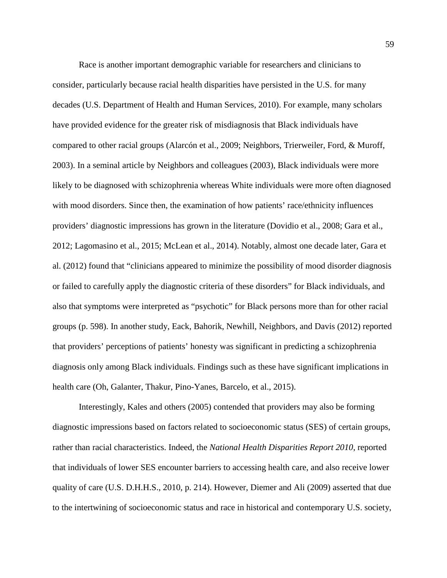Race is another important demographic variable for researchers and clinicians to consider, particularly because racial health disparities have persisted in the U.S. for many decades [\(U.S. Department of Health and Human Services, 2010\)](#page-125-5). For example, many scholars have provided evidence for the greater risk of misdiagnosis that Black individuals have compared to other racial groups [\(Alarcón et al., 2009;](#page-109-2) [Neighbors, Trierweiler, Ford, & Muroff,](#page-120-3)  [2003\)](#page-120-3). In a seminal article by Neighbors and colleagues [\(2003\)](#page-120-3), Black individuals were more likely to be diagnosed with schizophrenia whereas White individuals were more often diagnosed with mood disorders. Since then, the examination of how patients' race/ethnicity influences providers' diagnostic impressions has grown in the literature [\(Dovidio et al., 2008;](#page-113-4) [Gara et al.,](#page-115-4)  [2012;](#page-115-4) [Lagomasino et al., 2015;](#page-118-3) [McLean et al., 2014\)](#page-119-2). Notably, almost one decade later, [Gara et](#page-115-4)  al. (2012) found that "clinicians appeared to minimize the possibility of mood disorder diagnosis or failed to carefully apply the diagnostic criteria of these disorders" for Black individuals, and also that symptoms were interpreted as "psychotic" for Black persons more than for other racial groups [\(p. 598\)](#page-115-4). In another study, [Eack, Bahorik, Newhill, Neighbors, and Davis \(2012\)](#page-114-3) reported that providers' perceptions of patients' honesty was significant in predicting a schizophrenia diagnosis only among Black individuals. Findings such as these have significant implications in health care [\(Oh, Galanter, Thakur, Pino-Yanes, Barcelo, et al., 2015\)](#page-120-4).

Interestingly, Kales and others [\(2005\)](#page-117-4) contended that providers may also be forming diagnostic impressions based on factors related to socioeconomic status (SES) of certain groups, rather than racial characteristics. Indeed, the *National Health Disparities Report 2010*, reported that individuals of lower SES encounter barriers to accessing health care, and also receive lower quality of care [\(U.S. D.H.H.S., 2010, p. 214\)](#page-125-5). However, [Diemer and Ali \(2009\)](#page-113-5) asserted that due to the intertwining of socioeconomic status and race in historical and contemporary U.S. society,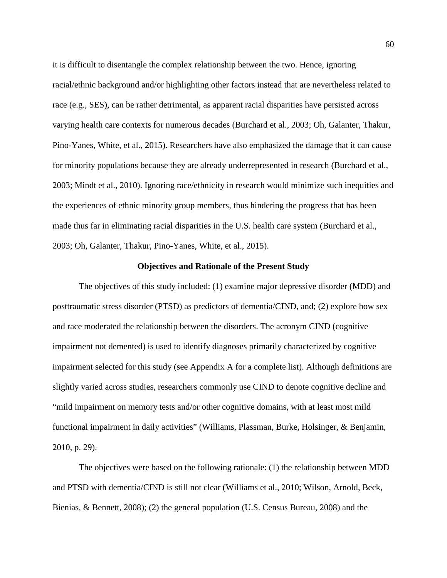it is difficult to disentangle the complex relationship between the two. Hence, ignoring racial/ethnic background and/or highlighting other factors instead that are nevertheless related to race (e.g., SES), can be rather detrimental, as apparent racial disparities have persisted across varying health care contexts for numerous decades [\(Burchard et al., 2003;](#page-110-6) [Oh, Galanter, Thakur,](#page-120-5)  [Pino-Yanes, White, et al., 2015\)](#page-120-5). Researchers have also emphasized the damage that it can cause for minority populations because they are already underrepresented in research [\(Burchard et al.,](#page-110-6)  [2003;](#page-110-6) [Mindt et al., 2010\)](#page-120-0). Ignoring race/ethnicity in research would minimize such inequities and the experiences of ethnic minority group members, thus hindering the progress that has been made thus far in eliminating racial disparities in the U.S. health care system [\(Burchard et al.,](#page-110-6)  [2003;](#page-110-6) [Oh, Galanter, Thakur, Pino-Yanes, White, et al., 2015\)](#page-120-5).

#### **Objectives and Rationale of the Present Study**

The objectives of this study included: (1) examine major depressive disorder (MDD) and posttraumatic stress disorder (PTSD) as predictors of dementia/CIND, and; (2) explore how sex and race moderated the relationship between the disorders. The acronym CIND (cognitive impairment not demented) is used to identify diagnoses primarily characterized by cognitive impairment selected for this study (see Appendix A for a complete list). Although definitions are slightly varied across studies, researchers commonly use CIND to denote cognitive decline and "mild impairment on memory tests and/or other cognitive domains, with at least most mild functional impairment in daily activities" [\(Williams, Plassman, Burke, Holsinger, & Benjamin,](#page-126-1)  [2010, p. 29\)](#page-126-1).

The objectives were based on the following rationale: (1) the relationship between MDD and PTSD with dementia/CIND is still not clear [\(Williams et al., 2010;](#page-126-1) [Wilson, Arnold, Beck,](#page-127-4)  [Bienias, & Bennett, 2008\)](#page-127-4); (2) the general population [\(U.S. Census Bureau, 2008\)](#page-125-1) and the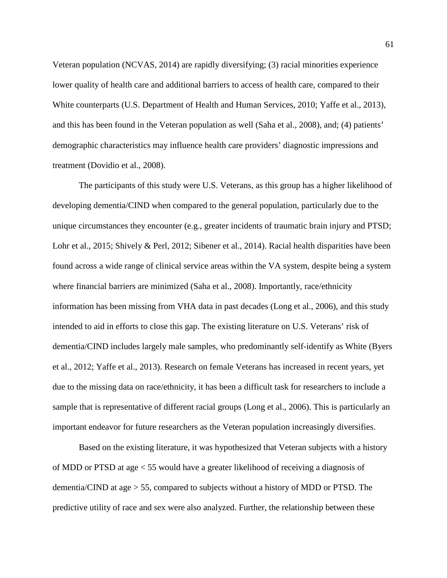Veteran population [\(NCVAS, 2014\)](#page-120-1) are rapidly diversifying; (3) racial minorities experience lower quality of health care and additional barriers to access of health care, compared to their White counterparts [\(U.S. Department of Health and Human Services, 2010;](#page-125-5) [Yaffe et al., 2013\)](#page-127-5), and this has been found in the Veteran population as well [\(Saha et al., 2008\)](#page-123-4), and; (4) patients' demographic characteristics may influence health care providers' diagnostic impressions and treatment [\(Dovidio et al., 2008\)](#page-113-4).

The participants of this study were U.S. Veterans, as this group has a higher likelihood of developing dementia/CIND when compared to the general population, particularly due to the unique circumstances they encounter (e.g., greater incidents of traumatic brain injury and PTSD; [Lohr et al., 2015;](#page-118-0) [Shively & Perl, 2012;](#page-124-1) [Sibener et al., 2014\)](#page-124-2). Racial health disparities have been found across a wide range of clinical service areas within the VA system, despite being a system where financial barriers are minimized [\(Saha et al., 2008\)](#page-123-4). Importantly, race/ethnicity information has been missing from VHA data in past decades [\(Long et al., 2006\)](#page-118-4), and this study intended to aid in efforts to close this gap. The existing literature on U.S. Veterans' risk of dementia/CIND includes largely male samples, who predominantly self-identify as White [\(Byers](#page-111-1)  [et al., 2012;](#page-111-1) [Yaffe et al., 2013\)](#page-127-5). Research on female Veterans has increased in recent years, yet due to the missing data on race/ethnicity, it has been a difficult task for researchers to include a sample that is representative of different racial groups [\(Long et al., 2006\)](#page-118-4). This is particularly an important endeavor for future researchers as the Veteran population increasingly diversifies.

Based on the existing literature, it was hypothesized that Veteran subjects with a history of MDD or PTSD at age < 55 would have a greater likelihood of receiving a diagnosis of dementia/CIND at age > 55, compared to subjects without a history of MDD or PTSD. The predictive utility of race and sex were also analyzed. Further, the relationship between these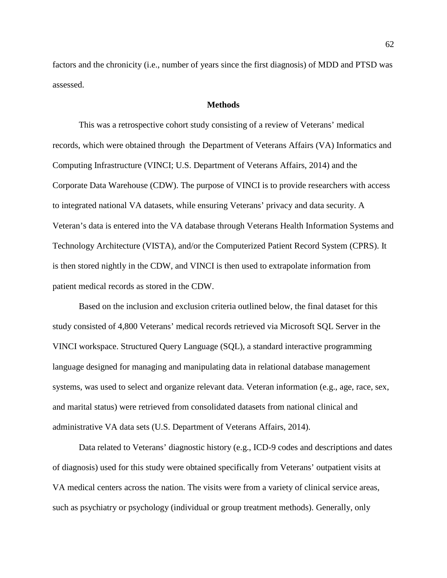factors and the chronicity (i.e., number of years since the first diagnosis) of MDD and PTSD was assessed.

# **Methods**

<span id="page-61-0"></span>This was a retrospective cohort study consisting of a review of Veterans' medical records, which were obtained through the Department of Veterans Affairs (VA) Informatics and Computing Infrastructure [\(VINCI; U.S. Department of Veterans Affairs, 2014\)](#page-125-6) and the Corporate Data Warehouse (CDW). The purpose of VINCI is to provide researchers with access to integrated national VA datasets, while ensuring Veterans' privacy and data security. A Veteran's data is entered into the VA database through Veterans Health Information Systems and Technology Architecture (VISTA), and/or the Computerized Patient Record System (CPRS). It is then stored nightly in the CDW, and VINCI is then used to extrapolate information from patient medical records as stored in the CDW.

Based on the inclusion and exclusion criteria outlined below, the final dataset for this study consisted of 4,800 Veterans' medical records retrieved via Microsoft SQL Server in the VINCI workspace. Structured Query Language (SQL), a standard interactive programming language designed for managing and manipulating data in relational database management systems, was used to select and organize relevant data. Veteran information (e.g., age, race, sex, and marital status) were retrieved from consolidated datasets from national clinical and administrative VA data sets [\(U.S. Department of Veterans Affairs, 2014\)](#page-125-6).

Data related to Veterans' diagnostic history (e.g., ICD-9 codes and descriptions and dates of diagnosis) used for this study were obtained specifically from Veterans' outpatient visits at VA medical centers across the nation. The visits were from a variety of clinical service areas, such as psychiatry or psychology (individual or group treatment methods). Generally, only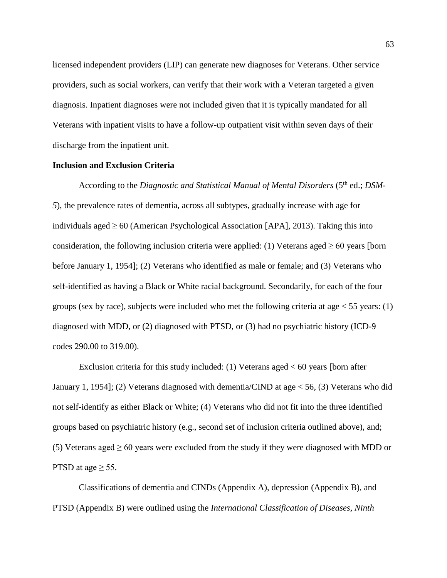licensed independent providers (LIP) can generate new diagnoses for Veterans. Other service providers, such as social workers, can verify that their work with a Veteran targeted a given diagnosis. Inpatient diagnoses were not included given that it is typically mandated for all Veterans with inpatient visits to have a follow-up outpatient visit within seven days of their discharge from the inpatient unit.

# **Inclusion and Exclusion Criteria**

According to the *Diagnostic and Statistical Manual of Mental Disorders* (5<sup>th</sup> ed.; *DSM-5*), the prevalence rates of dementia, across all subtypes, gradually increase with age for individuals aged  $\geq 60$  [\(American Psychological Association \[APA\], 2013\)](#page-109-3). Taking this into consideration, the following inclusion criteria were applied: (1) Veterans aged  $\geq 60$  years [born] before January 1, 1954]; (2) Veterans who identified as male or female; and (3) Veterans who self-identified as having a Black or White racial background. Secondarily, for each of the four groups (sex by race), subjects were included who met the following criteria at age  $\lt 55$  years: (1) diagnosed with MDD, or (2) diagnosed with PTSD, or (3) had no psychiatric history (ICD-9 codes 290.00 to 319.00).

Exclusion criteria for this study included: (1) Veterans aged < 60 years [born after January 1, 1954]; (2) Veterans diagnosed with dementia/CIND at age < 56, (3) Veterans who did not self-identify as either Black or White; (4) Veterans who did not fit into the three identified groups based on psychiatric history (e.g., second set of inclusion criteria outlined above), and; (5) Veterans aged  $\geq 60$  years were excluded from the study if they were diagnosed with MDD or PTSD at age  $\geq$  55.

Classifications of dementia and CINDs [\(Appendix A\)](#page-143-0), depression [\(Appendix B\)](#page-144-0), and PTSD [\(Appendix B\)](#page-144-0) were outlined using the *International Classification of Diseases, Ninth*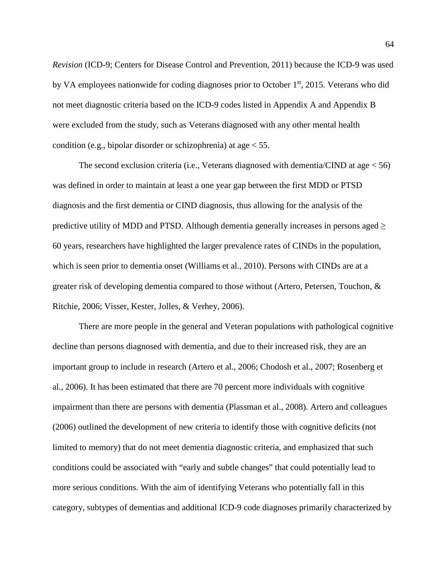*Revision* [\(ICD-9; Centers for Disease Control and Prevention, 2011\)](#page-111-4) because the ICD-9 was used by VA employees nationwide for coding diagnoses prior to October 1<sup>st</sup>, 2015. Veterans who did not meet diagnostic criteria based on the ICD-9 codes listed in [Appendix A](#page-143-0) and [Appendix B](#page-144-0) were excluded from the study, such as Veterans diagnosed with any other mental health condition (e.g., bipolar disorder or schizophrenia) at age < 55.

The second exclusion criteria (i.e., Veterans diagnosed with dementia/CIND at age  $<$  56) was defined in order to maintain at least a one year gap between the first MDD or PTSD diagnosis and the first dementia or CIND diagnosis, thus allowing for the analysis of the predictive utility of MDD and PTSD. Although dementia generally increases in persons aged  $\geq$ 60 years, researchers have highlighted the larger prevalence rates of CINDs in the population, which is seen prior to dementia onset [\(Williams et al., 2010\)](#page-126-1). Persons with CINDs are at a greater risk of developing dementia compared to those without [\(Artero, Petersen, Touchon, &](#page-110-7)  [Ritchie,](#page-110-7) 2006; [Visser, Kester, Jolles, & Verhey, 2006\)](#page-126-2).

There are more people in the general and Veteran populations with pathological cognitive decline than persons diagnosed with dementia, and due to their increased risk, they are an important group to include in research [\(Artero et al., 2006;](#page-110-7) [Chodosh et al., 2007;](#page-112-0) [Rosenberg et](#page-122-0)  [al., 2006\)](#page-122-0). It has been estimated that there are 70 percent more individuals with cognitive impairment than there are persons with dementia [\(Plassman et al., 2008\)](#page-121-2). Artero and colleagues [\(2006\)](#page-110-7) outlined the development of new criteria to identify those with cognitive deficits (not limited to memory) that do not meet dementia diagnostic criteria, and emphasized that such conditions could be associated with "early and subtle changes" that could potentially lead to more serious conditions. With the aim of identifying Veterans who potentially fall in this category, subtypes of dementias and additional ICD-9 code diagnoses primarily characterized by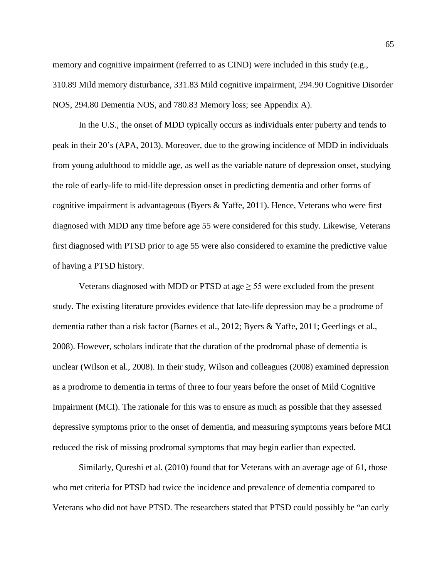memory and cognitive impairment (referred to as CIND) were included in this study (e.g., 310.89 Mild memory disturbance, 331.83 Mild cognitive impairment, 294.90 Cognitive Disorder NOS, 294.80 Dementia NOS, and 780.83 Memory loss; see Appendix A).

In the U.S., the onset of MDD typically occurs as individuals enter puberty and tends to peak in their 20's [\(APA, 2013\)](#page-109-3). Moreover, due to the growing incidence of MDD in individuals from young adulthood to middle age, as well as the variable nature of depression onset, studying the role of early-life to mid-life depression onset in predicting dementia and other forms of cognitive impairment is advantageous [\(Byers & Yaffe, 2011\)](#page-111-2). Hence, Veterans who were first diagnosed with MDD any time before age 55 were considered for this study. Likewise, Veterans first diagnosed with PTSD prior to age 55 were also considered to examine the predictive value of having a PTSD history.

Veterans diagnosed with MDD or PTSD at age  $\geq$  55 were excluded from the present study. The existing literature provides evidence that late-life depression may be a prodrome of dementia rather than a risk factor [\(Barnes et al., 2012;](#page-110-0) [Byers & Yaffe, 2011;](#page-111-2) [Geerlings et al.,](#page-115-2)  [2008\)](#page-115-2). However, scholars indicate that the duration of the prodromal phase of dementia is unclear [\(Wilson et al., 2008\)](#page-127-4). In their study, Wilson and colleagues [\(2008\)](#page-127-4) examined depression as a prodrome to dementia in terms of three to four years before the onset of Mild Cognitive Impairment (MCI). The rationale for this was to ensure as much as possible that they assessed depressive symptoms prior to the onset of dementia, and measuring symptoms years before MCI reduced the risk of missing prodromal symptoms that may begin earlier than expected.

Similarly, [Qureshi et al. \(2010\)](#page-121-4) found that for Veterans with an average age of 61, those who met criteria for PTSD had twice the incidence and prevalence of dementia compared to Veterans who did not have PTSD. The researchers stated that PTSD could possibly be "an early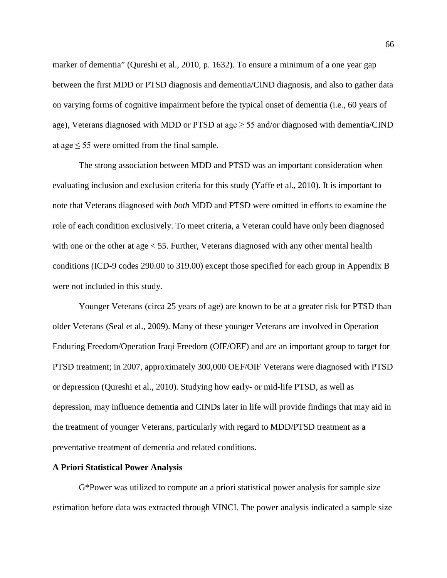marker of dementia" [\(Qureshi et al., 2010, p. 1632\)](#page-121-4). To ensure a minimum of a one year gap between the first MDD or PTSD diagnosis and dementia/CIND diagnosis, and also to gather data on varying forms of cognitive impairment before the typical onset of dementia (i.e., 60 years of age), Veterans diagnosed with MDD or PTSD at age  $\geq$  55 and/or diagnosed with dementia/CIND at age  $\leq$  55 were omitted from the final sample.

The strong association between MDD and PTSD was an important consideration when evaluating inclusion and exclusion criteria for this study [\(Yaffe et al., 2010\)](#page-127-0). It is important to note that Veterans diagnosed with *both* MDD and PTSD were omitted in efforts to examine the role of each condition exclusively. To meet criteria, a Veteran could have only been diagnosed with one or the other at age < 55. Further, Veterans diagnosed with any other mental health conditions (ICD-9 codes 290.00 to 319.00) except those specified for each group in [Appendix B](#page-144-0) were not included in this study.

Younger Veterans (circa 25 years of age) are known to be at a greater risk for PTSD than older Veterans [\(Seal et al., 2009\)](#page-123-3). Many of these younger Veterans are involved in Operation Enduring Freedom/Operation Iraqi Freedom (OIF/OEF) and are an important group to target for PTSD treatment; in 2007, approximately 300,000 OEF/OIF Veterans were diagnosed with PTSD or depression [\(Qureshi et al., 2010\)](#page-121-4). Studying how early- or mid-life PTSD, as well as depression, may influence dementia and CINDs later in life will provide findings that may aid in the treatment of younger Veterans, particularly with regard to MDD/PTSD treatment as a preventative treatment of dementia and related conditions.

# **A Priori Statistical Power Analysis**

G\*Power was utilized to compute an a priori statistical power analysis for sample size estimation before data was extracted through VINCI. The power analysis indicated a sample size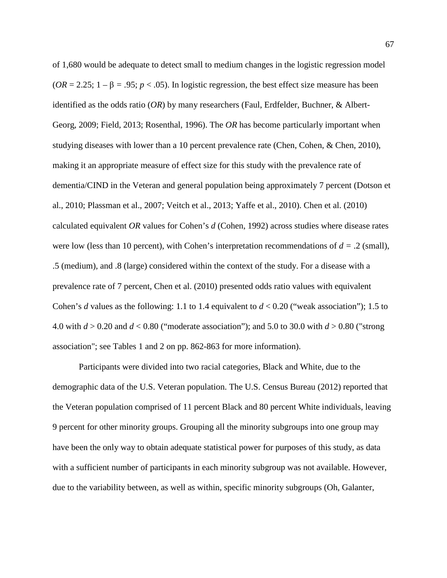of 1,680 would be adequate to detect small to medium changes in the logistic regression model  $(OR = 2.25; 1 - \beta = .95; p < .05)$ . In logistic regression, the best effect size measure has been identified as the odds ratio (*OR*) by many researchers [\(Faul, Erdfelder, Buchner, & Albert-](#page-115-5)[Georg, 2009;](#page-115-5) [Field, 2013;](#page-115-6) [Rosenthal, 1996\)](#page-122-6). The *OR* has become particularly important when studying diseases with lower than a 10 percent prevalence rate [\(Chen, Cohen, & Chen, 2010\)](#page-111-5), making it an appropriate measure of effect size for this study with the prevalence rate of dementia/CIND in the Veteran and general population being approximately 7 percent [\(Dotson et](#page-113-0)  [al., 2010;](#page-113-0) [Plassman et al., 2007;](#page-121-1) [Veitch et al., 2013;](#page-125-0) [Yaffe et al., 2010\)](#page-127-0). [Chen et al. \(2010\)](#page-111-5) calculated equivalent *OR* values for Cohen's *d* [\(Cohen, 1992\)](#page-112-3) across studies where disease rates were low (less than 10 percent), with Cohen's interpretation recommendations of  $d = .2$  (small), .5 (medium), and .8 (large) considered within the context of the study. For a disease with a prevalence rate of 7 percent, [Chen et al. \(2010\)](#page-111-5) presented odds ratio values with equivalent Cohen's *d* values as the following: 1.1 to 1.4 equivalent to  $d < 0.20$  ("weak association"); 1.5 to 4.0 with *d* > 0.20 and *d* < 0.80 ("moderate association"); and 5.0 to 30.0 with *d* > 0.80 [\("strong](#page-111-5)  [association"; see Tables 1 and 2 on pp. 862-863 for more information\)](#page-111-5).

Participants were divided into two racial categories, Black and White, due to the demographic data of the U.S. Veteran population. The [U.S. Census Bureau \(2012\)](#page-125-7) reported that the Veteran population comprised of 11 percent Black and 80 percent White individuals, leaving 9 percent for other minority groups. Grouping all the minority subgroups into one group may have been the only way to obtain adequate statistical power for purposes of this study, as data with a sufficient number of participants in each minority subgroup was not available. However, due to the variability between, as well as within, specific minority subgroups [\(Oh, Galanter,](#page-120-4)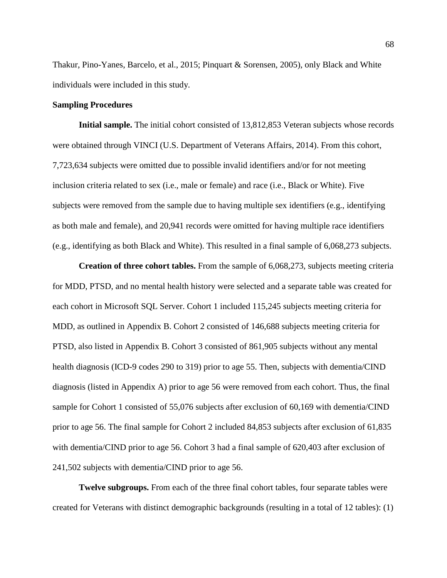[Thakur, Pino-Yanes, Barcelo, et al., 2015;](#page-120-4) [Pinquart & Sorensen, 2005\)](#page-121-5), only Black and White individuals were included in this study.

# <span id="page-67-0"></span>**Sampling Procedures**

**Initial sample.** The initial cohort consisted of 13,812,853 Veteran subjects whose records were obtained through VINCI [\(U.S. Department of Veterans Affairs, 2014\)](#page-125-6). From this cohort, 7,723,634 subjects were omitted due to possible invalid identifiers and/or for not meeting inclusion criteria related to sex (i.e., male or female) and race (i.e., Black or White). Five subjects were removed from the sample due to having multiple sex identifiers (e.g., identifying as both male and female), and 20,941 records were omitted for having multiple race identifiers (e.g., identifying as both Black and White). This resulted in a final sample of 6,068,273 subjects.

**Creation of three cohort tables.** From the sample of 6,068,273, subjects meeting criteria for MDD, PTSD, and no mental health history were selected and a separate table was created for each cohort in Microsoft SQL Server. Cohort 1 included 115,245 subjects meeting criteria for MDD, as outlined in [Appendix B.](#page-144-0) Cohort 2 consisted of 146,688 subjects meeting criteria for PTSD, also listed in [Appendix B.](#page-144-0) Cohort 3 consisted of 861,905 subjects without any mental health diagnosis (ICD-9 codes 290 to 319) prior to age 55. Then, subjects with dementia/CIND diagnosis (listed in [Appendix A\)](#page-143-0) prior to age 56 were removed from each cohort. Thus, the final sample for Cohort 1 consisted of 55,076 subjects after exclusion of 60,169 with dementia/CIND prior to age 56. The final sample for Cohort 2 included 84,853 subjects after exclusion of 61,835 with dementia/CIND prior to age 56. Cohort 3 had a final sample of 620,403 after exclusion of 241,502 subjects with dementia/CIND prior to age 56.

**Twelve subgroups.** From each of the three final cohort tables, four separate tables were created for Veterans with distinct demographic backgrounds (resulting in a total of 12 tables): (1)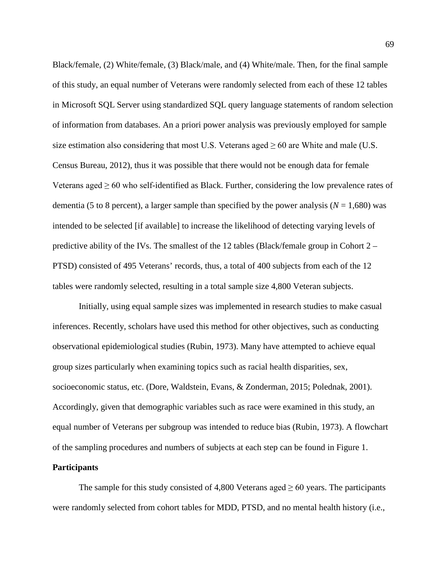Black/female, (2) White/female, (3) Black/male, and (4) White/male. Then, for the final sample of this study, an equal number of Veterans were randomly selected from each of these 12 tables in Microsoft SQL Server using standardized SQL query language statements of random selection of information from databases. An a priori power analysis was previously employed for sample size estimation also considering that most U.S. Veterans aged  $\geq 60$  are White and male (U.S. [Census Bureau, 2012\)](#page-125-7), thus it was possible that there would not be enough data for female Veterans aged  $\geq 60$  who self-identified as Black. Further, considering the low prevalence rates of dementia (5 to 8 percent), a larger sample than specified by the power analysis ( $N = 1.680$ ) was intended to be selected [if available] to increase the likelihood of detecting varying levels of predictive ability of the IVs. The smallest of the 12 tables (Black/female group in Cohort 2 – PTSD) consisted of 495 Veterans' records, thus, a total of 400 subjects from each of the 12 tables were randomly selected, resulting in a total sample size 4,800 Veteran subjects.

Initially, using equal sample sizes was implemented in research studies to make casual inferences. Recently, scholars have used this method for other objectives, such as conducting observational epidemiological studies [\(Rubin, 1973\)](#page-123-5). Many have attempted to achieve equal group sizes particularly when examining topics such as racial health disparities, sex, socioeconomic status, etc. [\(Dore, Waldstein, Evans, & Zonderman, 2015;](#page-113-6) [Polednak, 2001\)](#page-121-6). Accordingly, given that demographic variables such as race were examined in this study, an equal number of Veterans per subgroup was intended to reduce bias [\(Rubin, 1973\)](#page-123-5). A flowchart of the sampling procedures and numbers of subjects at each step can be found in [Figure 1.](#page-138-0)

# **Participants**

The sample for this study consisted of 4,800 Veterans aged  $\geq 60$  years. The participants were randomly selected from cohort tables for MDD, PTSD, and no mental health history (i.e.,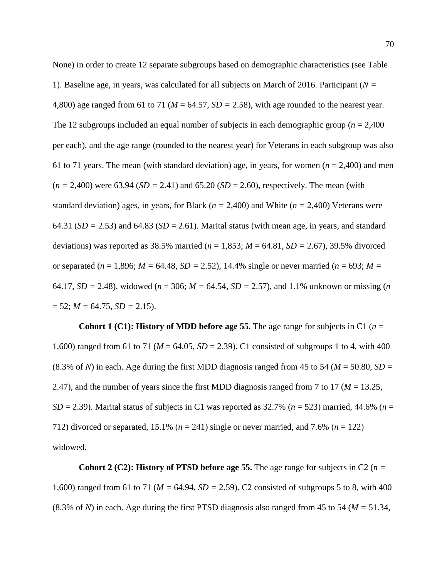None) in order to create 12 separate subgroups based on demographic characteristics (see Table 1). Baseline age, in years, was calculated for all subjects on March of 2016. Participant (*N =*  4,800) age ranged from 61 to 71 ( $M = 64.57$ ,  $SD = 2.58$ ), with age rounded to the nearest year. The 12 subgroups included an equal number of subjects in each demographic group (*n* = 2,400 per each), and the age range (rounded to the nearest year) for Veterans in each subgroup was also 61 to 71 years. The mean (with standard deviation) age, in years, for women ( $n = 2,400$ ) and men  $(n = 2,400)$  were 63.94 (*SD* = 2.41) and 65.20 (*SD* = 2.60), respectively. The mean (with standard deviation) ages, in years, for Black ( $n = 2,400$ ) and White ( $n = 2,400$ ) Veterans were 64.31 ( $SD = 2.53$ ) and 64.83 ( $SD = 2.61$ ). Marital status (with mean age, in years, and standard deviations) was reported as 38.5% married (*n* = 1,853; *M* = 64.81, *SD =* 2.67), 39.5% divorced or separated ( $n = 1,896$ ;  $M = 64.48$ ,  $SD = 2.52$ ), 14.4% single or never married ( $n = 693$ ;  $M =$ 64.17,  $SD = 2.48$ ), widowed ( $n = 306$ ;  $M = 64.54$ ,  $SD = 2.57$ ), and 1.1% unknown or missing (*n*  $= 52$ ; *M* = 64.75, *SD* = 2.15).

**Cohort 1** (C1): **History of MDD** before age 55. The age range for subjects in C1 ( $n =$ 1,600) ranged from 61 to 71 (*M* = 64.05, *SD* = 2.39). C1 consisted of subgroups 1 to 4, with 400 (8.3% of *N*) in each. Age during the first MDD diagnosis ranged from 45 to 54 ( $M = 50.80$ ,  $SD =$ 2.47), and the number of years since the first MDD diagnosis ranged from 7 to 17 ( $M = 13.25$ ,  $SD = 2.39$ ). Marital status of subjects in C1 was reported as 32.7% ( $n = 523$ ) married, 44.6% ( $n =$ 712) divorced or separated, 15.1% (*n* = 241) single or never married, and 7.6% (*n* = 122) widowed.

**Cohort 2** (C2): **History of PTSD before age 55.** The age range for subjects in C2 ( $n =$ 1,600) ranged from 61 to 71 (*M =* 64.94, *SD =* 2.59). C2 consisted of subgroups 5 to 8, with 400 (8.3% of *N*) in each. Age during the first PTSD diagnosis also ranged from 45 to 54 (*M =* 51.34,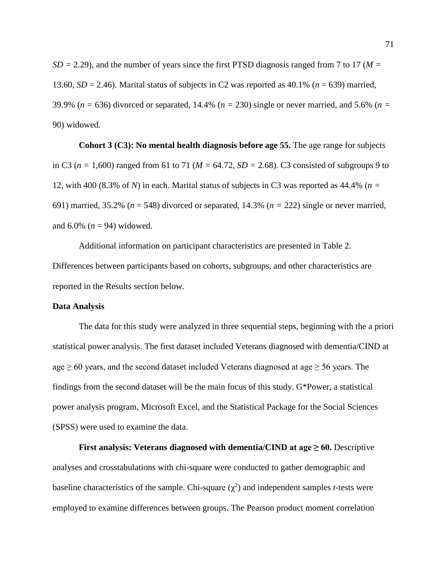$SD = 2.29$ ), and the number of years since the first PTSD diagnosis ranged from 7 to 17 ( $M =$ 13.60, *SD* = 2.46). Marital status of subjects in C2 was reported as 40.1% (*n* = 639) married, 39.9% (*n =* 636) divorced or separated, 14.4% (*n =* 230) single or never married, and 5.6% (*n =*  90) widowed.

**Cohort 3 (C3): No mental health diagnosis before age 55.** The age range for subjects in C3 (*n =* 1,600) ranged from 61 to 71 (*M =* 64.72, *SD =* 2.68). C3 consisted of subgroups 9 to 12, with 400 (8.3% of *N*) in each. Marital status of subjects in C3 was reported as 44.4% (*n =*  691) married, 35.2% (*n* = 548) divorced or separated, 14.3% (*n =* 222) single or never married, and  $6.0\%$  ( $n = 94$ ) widowed.

Additional information on participant characteristics are presented in Table 2. Differences between participants based on cohorts, subgroups, and other characteristics are reported in the Results section below.

# **Data Analysis**

The data for this study were analyzed in three sequential steps, beginning with the a priori statistical power analysis. The first dataset included Veterans diagnosed with dementia/CIND at age  $\geq 60$  years, and the second dataset included Veterans diagnosed at age  $\geq 56$  years. The findings from the second dataset will be the main focus of this study. G\*Power, a statistical power analysis program, Microsoft Excel, and the Statistical Package for the Social Sciences (SPSS) were used to examine the data.

**First analysis: Veterans diagnosed with dementia/CIND at**  $age \ge 60$ **. Descriptive** analyses and crosstabulations with chi-square were conducted to gather demographic and baseline characteristics of the sample. Chi-square  $(\chi^2)$  and independent samples *t*-tests were employed to examine differences between groups. The Pearson product moment correlation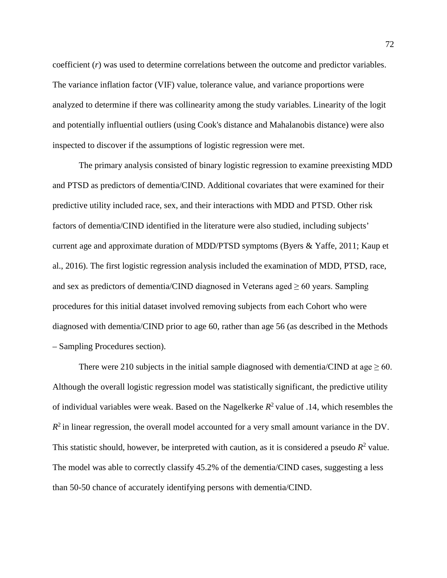coefficient (*r*) was used to determine correlations between the outcome and predictor variables. The variance inflation factor (VIF) value, tolerance value, and variance proportions were analyzed to determine if there was collinearity among the study variables. Linearity of the logit and potentially influential outliers (using Cook's distance and Mahalanobis distance) were also inspected to discover if the assumptions of logistic regression were met.

The primary analysis consisted of binary logistic regression to examine preexisting MDD and PTSD as predictors of dementia/CIND. Additional covariates that were examined for their predictive utility included race, sex, and their interactions with MDD and PTSD. Other risk factors of dementia/CIND identified in the literature were also studied, including subjects' current age and approximate duration of MDD/PTSD symptoms [\(Byers & Yaffe, 2011;](#page-111-2) [Kaup et](#page-117-2)  [al., 2016\)](#page-117-2). The first logistic regression analysis included the examination of MDD, PTSD, race, and sex as predictors of dementia/CIND diagnosed in Veterans aged  $\geq 60$  years. Sampling procedures for this initial dataset involved removing subjects from each Cohort who were diagnosed with dementia/CIND prior to age 60, rather than age 56 (as described in the [Methods](#page-61-0) – [Sampling Procedures](#page-67-0) section).

There were 210 subjects in the initial sample diagnosed with dementia/CIND at age  $\geq 60$ . Although the overall logistic regression model was statistically significant, the predictive utility of individual variables were weak. Based on the Nagelkerke  $R^2$  value of .14, which resembles the  $R^2$  in linear regression, the overall model accounted for a very small amount variance in the DV. This statistic should, however, be interpreted with caution, as it is considered a pseudo  $R^2$  value. The model was able to correctly classify 45.2% of the dementia/CIND cases, suggesting a less than 50-50 chance of accurately identifying persons with dementia/CIND.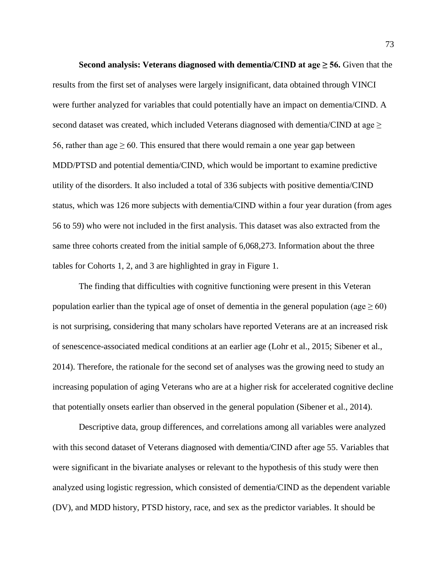**Second analysis:** Veterans diagnosed with dementia/CIND at age  $\geq$  56. Given that the results from the first set of analyses were largely insignificant, data obtained through VINCI were further analyzed for variables that could potentially have an impact on dementia/CIND. A second dataset was created, which included Veterans diagnosed with dementia/CIND at age > 56, rather than age  $\geq 60$ . This ensured that there would remain a one year gap between MDD/PTSD and potential dementia/CIND, which would be important to examine predictive utility of the disorders. It also included a total of 336 subjects with positive dementia/CIND status, which was 126 more subjects with dementia/CIND within a four year duration (from ages 56 to 59) who were not included in the first analysis. This dataset was also extracted from the same three cohorts created from the initial sample of 6,068,273. Information about the three tables for Cohorts 1, 2, and 3 are highlighted in gray in [Figure 1.](#page-138-0)

The finding that difficulties with cognitive functioning were present in this Veteran population earlier than the typical age of onset of dementia in the general population (age  $\geq 60$ ) is not surprising, considering that many scholars have reported Veterans are at an increased risk of senescence-associated medical conditions at an earlier age [\(Lohr et al., 2015;](#page-118-0) [Sibener et al.,](#page-124-0)  [2014\)](#page-124-0). Therefore, the rationale for the second set of analyses was the growing need to study an increasing population of aging Veterans who are at a higher risk for accelerated cognitive decline that potentially onsets earlier than observed in the general population [\(Sibener et al., 2014\)](#page-124-0).

Descriptive data, group differences, and correlations among all variables were analyzed with this second dataset of Veterans diagnosed with dementia/CIND after age 55. Variables that were significant in the bivariate analyses or relevant to the hypothesis of this study were then analyzed using logistic regression, which consisted of dementia/CIND as the dependent variable (DV), and MDD history, PTSD history, race, and sex as the predictor variables. It should be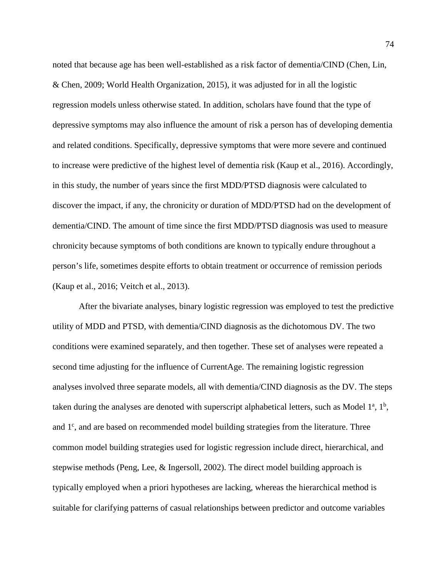noted that because age has been well-established as a risk factor of dementia/CIND [\(Chen, Lin,](#page-111-0)  [& Chen, 2009;](#page-111-0) [World Health Organization, 2015\)](#page-127-0), it was adjusted for in all the logistic regression models unless otherwise stated. In addition, scholars have found that the type of depressive symptoms may also influence the amount of risk a person has of developing dementia and related conditions. Specifically, depressive symptoms that were more severe and continued to increase were predictive of the highest level of dementia risk [\(Kaup et al., 2016\)](#page-117-0). Accordingly, in this study, the number of years since the first MDD/PTSD diagnosis were calculated to discover the impact, if any, the chronicity or duration of MDD/PTSD had on the development of dementia/CIND. The amount of time since the first MDD/PTSD diagnosis was used to measure chronicity because symptoms of both conditions are known to typically endure throughout a person's life, sometimes despite efforts to obtain treatment or occurrence of remission periods [\(Kaup et al., 2016;](#page-117-0) [Veitch et al., 2013\)](#page-125-0).

After the bivariate analyses, binary logistic regression was employed to test the predictive utility of MDD and PTSD, with dementia/CIND diagnosis as the dichotomous DV. The two conditions were examined separately, and then together. These set of analyses were repeated a second time adjusting for the influence of CurrentAge. The remaining logistic regression analyses involved three separate models, all with dementia/CIND diagnosis as the DV. The steps taken during the analyses are denoted with superscript alphabetical letters, such as Model  $1^a$ ,  $1^b$ , and 1<sup>c</sup>, and are based on recommended model building strategies from the literature. Three common model building strategies used for logistic regression include direct, hierarchical, and stepwise methods [\(Peng, Lee, & Ingersoll, 2002\)](#page-120-0). The direct model building approach is typically employed when a priori hypotheses are lacking, whereas the hierarchical method is suitable for clarifying patterns of casual relationships between predictor and outcome variables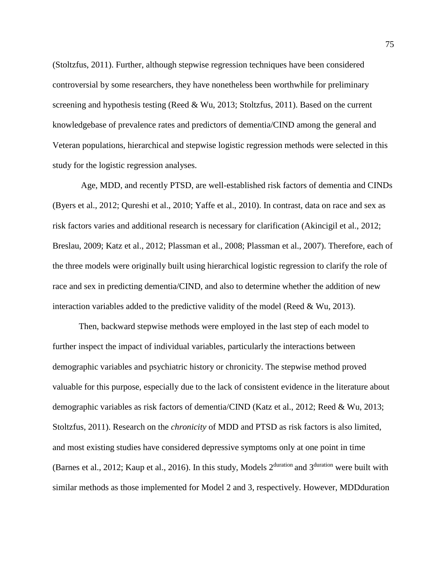[\(Stoltzfus, 2011\)](#page-124-1). Further, although stepwise regression techniques have been considered controversial by some researchers, they have nonetheless been worthwhile for preliminary screening and hypothesis testing [\(Reed & Wu, 2013;](#page-122-0) [Stoltzfus, 2011\)](#page-124-1). Based on the current knowledgebase of prevalence rates and predictors of dementia/CIND among the general and Veteran populations, hierarchical and stepwise logistic regression methods were selected in this study for the logistic regression analyses.

Age, MDD, and recently PTSD, are well-established risk factors of dementia and CINDs [\(Byers et al., 2012;](#page-111-1) [Qureshi et al., 2010;](#page-121-0) [Yaffe et al., 2010\)](#page-127-1). In contrast, data on race and sex as risk factors varies and additional research is necessary for clarification [\(Akincigil et al., 2012;](#page-109-0) [Breslau, 2009;](#page-110-0) [Katz et al., 2012;](#page-117-1) [Plassman et al., 2008;](#page-121-1) [Plassman et al., 2007\)](#page-121-2). Therefore, each of the three models were originally built using hierarchical logistic regression to clarify the role of race and sex in predicting dementia/CIND, and also to determine whether the addition of new interaction variables added to the predictive validity of the model (Reed  $& Wu, 2013$ ).

Then, backward stepwise methods were employed in the last step of each model to further inspect the impact of individual variables, particularly the interactions between demographic variables and psychiatric history or chronicity. The stepwise method proved valuable for this purpose, especially due to the lack of consistent evidence in the literature about demographic variables as risk factors of dementia/CIND [\(Katz et al., 2012;](#page-117-1) [Reed & Wu, 2013;](#page-122-0) [Stoltzfus, 2011\)](#page-124-1). Research on the *chronicity* of MDD and PTSD as risk factors is also limited, and most existing studies have considered depressive symptoms only at one point in time [\(Barnes et al., 2012;](#page-110-1) [Kaup et al., 2016\)](#page-117-0). In this study, Models 2<sup>duration</sup> and 3<sup>duration</sup> were built with similar methods as those implemented for Model 2 and 3, respectively. However, MDDduration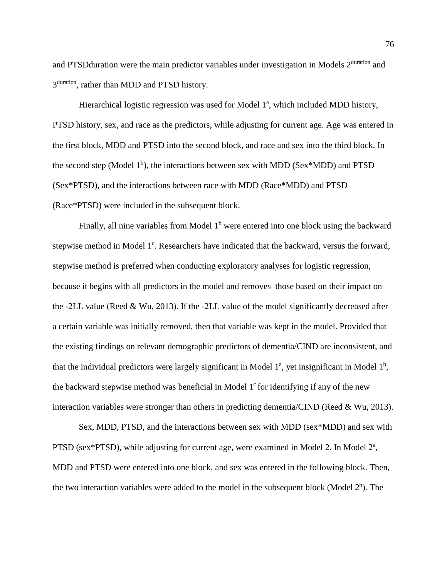and PTSD duration were the main predictor variables under investigation in Models 2<sup>duration</sup> and 3<sup>duration</sup>, rather than MDD and PTSD history.

Hierarchical logistic regression was used for Model 1<sup>a</sup>, which included MDD history, PTSD history, sex, and race as the predictors, while adjusting for current age. Age was entered in the first block, MDD and PTSD into the second block, and race and sex into the third block. In the second step (Model 1<sup>b</sup>), the interactions between sex with MDD (Sex\*MDD) and PTSD (Sex\*PTSD), and the interactions between race with MDD (Race\*MDD) and PTSD (Race\*PTSD) were included in the subsequent block.

Finally, all nine variables from Model  $1<sup>b</sup>$  were entered into one block using the backward stepwise method in Model 1<sup>c</sup>. Researchers have indicated that the backward, versus the forward, stepwise method is preferred when conducting exploratory analyses for logistic regression, because it begins with all predictors in the model and removes those based on their impact on the -2LL value [\(Reed & Wu, 2013\)](#page-122-0). If the -2LL value of the model significantly decreased after a certain variable was initially removed, then that variable was kept in the model. Provided that the existing findings on relevant demographic predictors of dementia/CIND are inconsistent, and that the individual predictors were largely significant in Model  $1^a$ , yet insignificant in Model  $1^b$ , the backward stepwise method was beneficial in Model  $1<sup>c</sup>$  for identifying if any of the new interaction variables were stronger than others in predicting dementia/CIND [\(Reed & Wu, 2013\)](#page-122-0).

Sex, MDD, PTSD, and the interactions between sex with MDD (sex\*MDD) and sex with PTSD (sex\*PTSD), while adjusting for current age, were examined in Model 2. In Model 2<sup>a</sup>, MDD and PTSD were entered into one block, and sex was entered in the following block. Then, the two interaction variables were added to the model in the subsequent block (Model  $2<sup>b</sup>$ ). The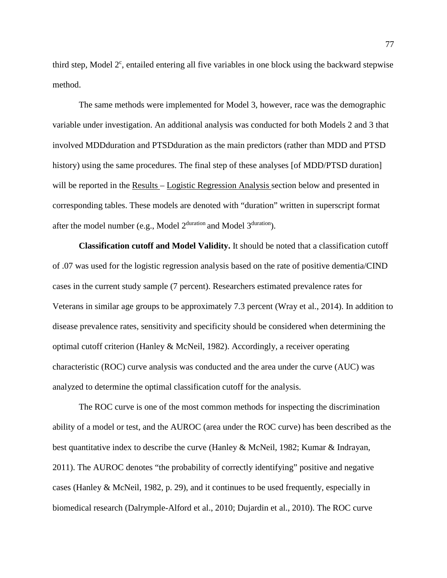third step, Model  $2^c$ , entailed entering all five variables in one block using the backward stepwise method.

The same methods were implemented for Model 3, however, race was the demographic variable under investigation. An additional analysis was conducted for both Models 2 and 3 that involved MDDduration and PTSDduration as the main predictors (rather than MDD and PTSD history) using the same procedures. The final step of these analyses [of MDD/PTSD duration] will be reported in the [Results –](#page-77-0) [Logistic Regression Analysis s](#page-84-0)ection below and presented in corresponding tables. These models are denoted with "duration" written in superscript format after the model number (e.g., Model 2duration and Model 3duration).

**Classification cutoff and Model Validity.** It should be noted that a classification cutoff of .07 was used for the logistic regression analysis based on the rate of positive dementia/CIND cases in the current study sample (7 percent). Researchers estimated prevalence rates for Veterans in similar age groups to be approximately 7.3 percent [\(Wray et al., 2014\)](#page-127-2). In addition to disease prevalence rates, sensitivity and specificity should be considered when determining the optimal cutoff criterion [\(Hanley & McNeil, 1982\)](#page-115-0). Accordingly, a receiver operating characteristic (ROC) curve analysis was conducted and the area under the curve (AUC) was analyzed to determine the optimal classification cutoff for the analysis.

The ROC curve is one of the most common methods for inspecting the discrimination ability of a model or test, and the AUROC (area under the ROC curve) has been described as the best quantitative index to describe the curve [\(Hanley & McNeil, 1982;](#page-115-0) [Kumar & Indrayan,](#page-117-2)  [2011\)](#page-117-2). The AUROC denotes "the probability of correctly identifying" positive and negative cases [\(Hanley & McNeil, 1982, p. 29\)](#page-115-0), and it continues to be used frequently, especially in biomedical research [\(Dalrymple-Alford et al., 2010;](#page-112-0) [Dujardin et al., 2010\)](#page-114-0). The ROC curve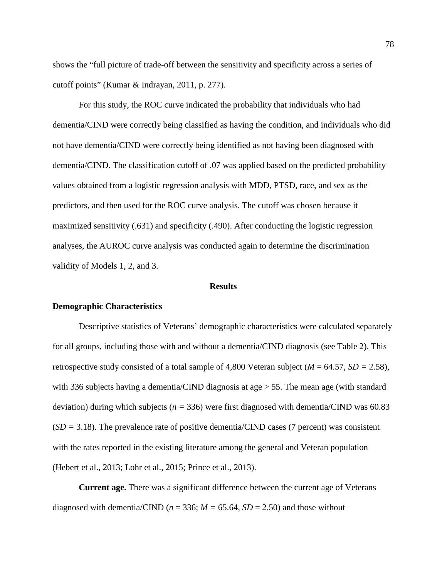shows the "full picture of trade-off between the sensitivity and specificity across a series of cutoff points" [\(Kumar & Indrayan, 2011, p. 277\)](#page-117-2).

For this study, the ROC curve indicated the probability that individuals who had dementia/CIND were correctly being classified as having the condition, and individuals who did not have dementia/CIND were correctly being identified as not having been diagnosed with dementia/CIND. The classification cutoff of .07 was applied based on the predicted probability values obtained from a logistic regression analysis with MDD, PTSD, race, and sex as the predictors, and then used for the ROC curve analysis. The cutoff was chosen because it maximized sensitivity (.631) and specificity (.490). After conducting the logistic regression analyses, the AUROC curve analysis was conducted again to determine the discrimination validity of Models 1, 2, and 3.

## **Results**

#### <span id="page-77-0"></span>**Demographic Characteristics**

Descriptive statistics of Veterans' demographic characteristics were calculated separately for all groups, including those with and without a dementia/CIND diagnosis (see Table 2). This retrospective study consisted of a total sample of 4,800 Veteran subject (*M* = 64.57, *SD =* 2.58), with 336 subjects having a dementia/CIND diagnosis at age  $>$  55. The mean age (with standard deviation) during which subjects ( $n = 336$ ) were first diagnosed with dementia/CIND was 60.83  $(SD = 3.18)$ . The prevalence rate of positive dementia/CIND cases (7 percent) was consistent with the rates reported in the existing literature among the general and Veteran population [\(Hebert et al., 2013;](#page-116-0) [Lohr et al., 2015;](#page-118-0) [Prince et al., 2013\)](#page-121-3).

**Current age.** There was a significant difference between the current age of Veterans diagnosed with dementia/CIND ( $n = 336$ ;  $M = 65.64$ ,  $SD = 2.50$ ) and those without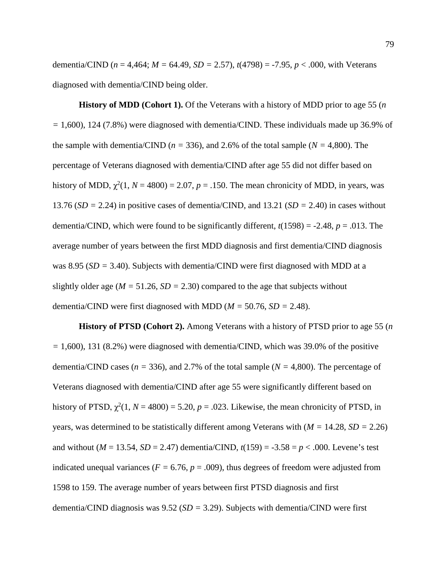dementia/CIND (*n* = 4,464; *M =* 64.49, *SD =* 2.57), *t*(4798) = -7.95, *p* < .000, with Veterans diagnosed with dementia/CIND being older.

**History of MDD (Cohort 1).** Of the Veterans with a history of MDD prior to age 55 (*n =* 1,600), 124 (7.8%) were diagnosed with dementia/CIND. These individuals made up 36.9% of the sample with dementia/CIND ( $n = 336$ ), and 2.6% of the total sample ( $N = 4,800$ ). The percentage of Veterans diagnosed with dementia/CIND after age 55 did not differ based on history of MDD,  $\chi^2(1, N = 4800) = 2.07$ ,  $p = .150$ . The mean chronicity of MDD, in years, was 13.76 (*SD =* 2.24) in positive cases of dementia/CIND, and 13.21 (*SD =* 2.40) in cases without dementia/CIND, which were found to be significantly different,  $t(1598) = -2.48$ ,  $p = .013$ . The average number of years between the first MDD diagnosis and first dementia/CIND diagnosis was 8.95 (*SD =* 3.40). Subjects with dementia/CIND were first diagnosed with MDD at a slightly older age ( $M = 51.26$ ,  $SD = 2.30$ ) compared to the age that subjects without dementia/CIND were first diagnosed with MDD (*M =* 50.76, *SD =* 2.48).

**History of PTSD (Cohort 2).** Among Veterans with a history of PTSD prior to age 55 (*n =* 1,600), 131 (8.2%) were diagnosed with dementia/CIND, which was 39.0% of the positive dementia/CIND cases (*n =* 336), and 2.7% of the total sample (*N =* 4,800). The percentage of Veterans diagnosed with dementia/CIND after age 55 were significantly different based on history of PTSD,  $\chi^2(1, N = 4800) = 5.20$ ,  $p = .023$ . Likewise, the mean chronicity of PTSD, in years, was determined to be statistically different among Veterans with (*M =* 14.28, *SD =* 2.26) and without ( $M = 13.54$ ,  $SD = 2.47$ ) dementia/CIND,  $t(159) = -3.58 = p < .000$ . Levene's test indicated unequal variances ( $F = 6.76$ ,  $p = .009$ ), thus degrees of freedom were adjusted from 1598 to 159. The average number of years between first PTSD diagnosis and first dementia/CIND diagnosis was 9.52 (*SD =* 3.29). Subjects with dementia/CIND were first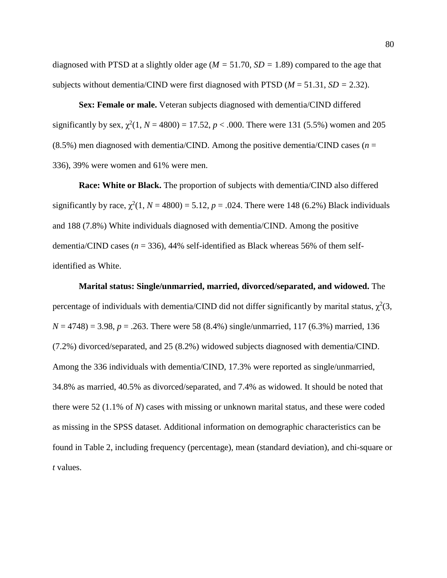diagnosed with PTSD at a slightly older age (*M =* 51.70, *SD =* 1.89) compared to the age that subjects without dementia/CIND were first diagnosed with PTSD  $(M = 51.31, SD = 2.32)$ .

**Sex: Female or male.** Veteran subjects diagnosed with dementia/CIND differed significantly by sex,  $\chi^2(1, N = 4800) = 17.52$ ,  $p < .000$ . There were 131 (5.5%) women and 205 (8.5%) men diagnosed with dementia/CIND. Among the positive dementia/CIND cases ( $n =$ 336), 39% were women and 61% were men.

**Race: White or Black.** The proportion of subjects with dementia/CIND also differed significantly by race,  $\chi^2(1, N = 4800) = 5.12$ ,  $p = .024$ . There were 148 (6.2%) Black individuals and 188 (7.8%) White individuals diagnosed with dementia/CIND. Among the positive dementia/CIND cases  $(n = 336)$ , 44% self-identified as Black whereas 56% of them selfidentified as White.

**Marital status: Single/unmarried, married, divorced/separated, and widowed.** The percentage of individuals with dementia/CIND did not differ significantly by marital status,  $\chi^2(3)$ ,  $N = 4748$ ) = 3.98,  $p = .263$ . There were 58 (8.4%) single/unmarried, 117 (6.3%) married, 136 (7.2%) divorced/separated, and 25 (8.2%) widowed subjects diagnosed with dementia/CIND. Among the 336 individuals with dementia/CIND, 17.3% were reported as single/unmarried, 34.8% as married, 40.5% as divorced/separated, and 7.4% as widowed. It should be noted that there were 52 (1.1% of *N*) cases with missing or unknown marital status, and these were coded as missing in the SPSS dataset. Additional information on demographic characteristics can be found in Table 2, including frequency (percentage), mean (standard deviation), and chi-square or *t* values.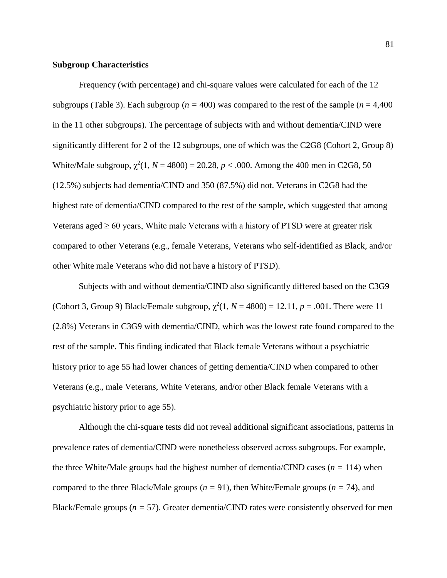## **Subgroup Characteristics**

Frequency (with percentage) and chi-square values were calculated for each of the 12 subgroups (Table 3). Each subgroup ( $n = 400$ ) was compared to the rest of the sample ( $n = 4,400$ ) in the 11 other subgroups). The percentage of subjects with and without dementia/CIND were significantly different for 2 of the 12 subgroups, one of which was the C2G8 (Cohort 2, Group 8) White/Male subgroup,  $\chi^2(1, N = 4800) = 20.28$ ,  $p < .000$ . Among the 400 men in C2G8, 50 (12.5%) subjects had dementia/CIND and 350 (87.5%) did not. Veterans in C2G8 had the highest rate of dementia/CIND compared to the rest of the sample, which suggested that among Veterans aged  $\geq 60$  years, White male Veterans with a history of PTSD were at greater risk compared to other Veterans (e.g., female Veterans, Veterans who self-identified as Black, and/or other White male Veterans who did not have a history of PTSD).

Subjects with and without dementia/CIND also significantly differed based on the C3G9 (Cohort 3, Group 9) Black/Female subgroup,  $\chi^2(1, N = 4800) = 12.11$ ,  $p = .001$ . There were 11 (2.8%) Veterans in C3G9 with dementia/CIND, which was the lowest rate found compared to the rest of the sample. This finding indicated that Black female Veterans without a psychiatric history prior to age 55 had lower chances of getting dementia/CIND when compared to other Veterans (e.g., male Veterans, White Veterans, and/or other Black female Veterans with a psychiatric history prior to age 55).

Although the chi-square tests did not reveal additional significant associations, patterns in prevalence rates of dementia/CIND were nonetheless observed across subgroups. For example, the three White/Male groups had the highest number of dementia/CIND cases  $(n = 114)$  when compared to the three Black/Male groups (*n =* 91), then White/Female groups (*n =* 74), and Black/Female groups (*n =* 57). Greater dementia/CIND rates were consistently observed for men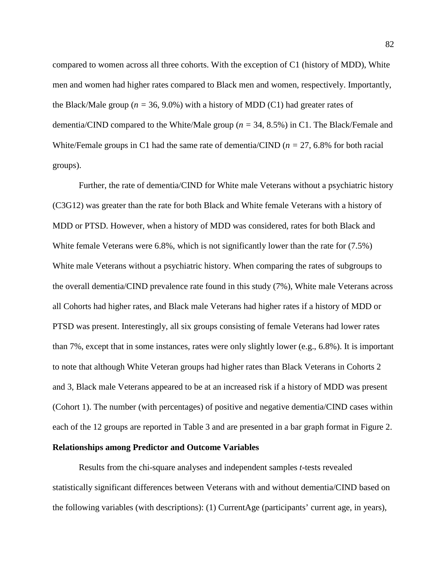compared to women across all three cohorts. With the exception of C1 (history of MDD), White men and women had higher rates compared to Black men and women, respectively. Importantly, the Black/Male group ( $n = 36, 9.0\%$ ) with a history of MDD (C1) had greater rates of dementia/CIND compared to the White/Male group (*n =* 34, 8.5%) in C1. The Black/Female and White/Female groups in C1 had the same rate of dementia/CIND (*n =* 27, 6.8% for both racial groups).

Further, the rate of dementia/CIND for White male Veterans without a psychiatric history (C3G12) was greater than the rate for both Black and White female Veterans with a history of MDD or PTSD. However, when a history of MDD was considered, rates for both Black and White female Veterans were 6.8%, which is not significantly lower than the rate for  $(7.5\%)$ White male Veterans without a psychiatric history. When comparing the rates of subgroups to the overall dementia/CIND prevalence rate found in this study (7%), White male Veterans across all Cohorts had higher rates, and Black male Veterans had higher rates if a history of MDD or PTSD was present. Interestingly, all six groups consisting of female Veterans had lower rates than 7%, except that in some instances, rates were only slightly lower (e.g., 6.8%). It is important to note that although White Veteran groups had higher rates than Black Veterans in Cohorts 2 and 3, Black male Veterans appeared to be at an increased risk if a history of MDD was present (Cohort 1). The number (with percentages) of positive and negative dementia/CIND cases within each of the 12 groups are reported in [Table 3](#page-130-0) and are presented in a bar graph format in [Figure 2.](#page-139-0)

### **Relationships among Predictor and Outcome Variables**

Results from the chi-square analyses and independent samples *t*-tests revealed statistically significant differences between Veterans with and without dementia/CIND based on the following variables (with descriptions): (1) CurrentAge (participants' current age, in years),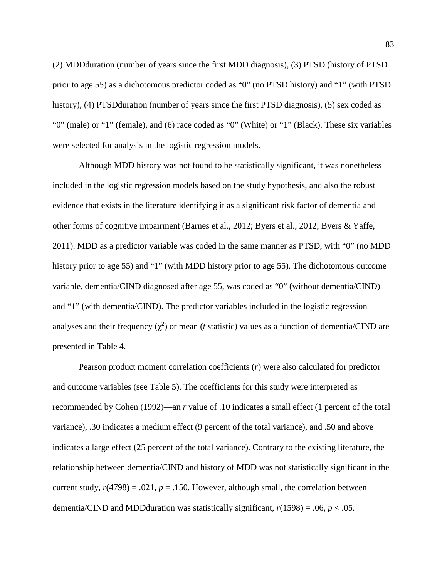(2) MDDduration (number of years since the first MDD diagnosis), (3) PTSD (history of PTSD prior to age 55) as a dichotomous predictor coded as "0" (no PTSD history) and "1" (with PTSD history), (4) PTSD duration (number of years since the first PTSD diagnosis), (5) sex coded as "0" (male) or "1" (female), and (6) race coded as "0" (White) or "1" (Black). These six variables were selected for analysis in the logistic regression models.

Although MDD history was not found to be statistically significant, it was nonetheless included in the logistic regression models based on the study hypothesis, and also the robust evidence that exists in the literature identifying it as a significant risk factor of dementia and other forms of cognitive impairment [\(Barnes et al., 2012;](#page-110-1) [Byers et al., 2012;](#page-111-1) [Byers & Yaffe,](#page-111-2)  [2011\)](#page-111-2). MDD as a predictor variable was coded in the same manner as PTSD, with "0" (no MDD history prior to age 55) and "1" (with MDD history prior to age 55). The dichotomous outcome variable, dementia/CIND diagnosed after age 55, was coded as "0" (without dementia/CIND) and "1" (with dementia/CIND). The predictor variables included in the logistic regression analyses and their frequency  $(\chi^2)$  or mean (*t* statistic) values as a function of dementia/CIND are presented in [Table 4.](#page-131-0)

Pearson product moment correlation coefficients (*r*) were also calculated for predictor and outcome variables (see [Table 5\)](#page-132-0). The coefficients for this study were interpreted as recommended by [Cohen \(1992\)—](#page-112-1)an *r* value of .10 indicates a small effect (1 percent of the total variance), .30 indicates a medium effect (9 percent of the total variance), and .50 and above indicates a large effect (25 percent of the total variance). Contrary to the existing literature, the relationship between dementia/CIND and history of MDD was not statistically significant in the current study,  $r(4798) = .021$ ,  $p = .150$ . However, although small, the correlation between dementia/CIND and MDDduration was statistically significant, *r*(1598) = .06, *p* < .05.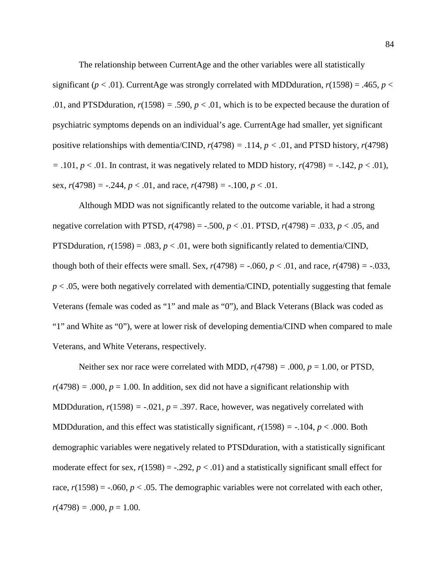The relationship between CurrentAge and the other variables were all statistically significant ( $p < .01$ ). CurrentAge was strongly correlated with MDDduration,  $r(1598) = .465$ ,  $p <$ .01, and PTSD duration,  $r(1598) = .590$ ,  $p < .01$ , which is to be expected because the duration of psychiatric symptoms depends on an individual's age. CurrentAge had smaller, yet significant positive relationships with dementia/CIND,  $r(4798) = .114$ ,  $p < .01$ , and PTSD history,  $r(4798)$  $= .101, p < .01$ . In contrast, it was negatively related to MDD history,  $r(4798) = -.142, p < .01$ ), sex,  $r(4798) = -.244$ ,  $p < .01$ , and race,  $r(4798) = -.100$ ,  $p < .01$ .

Although MDD was not significantly related to the outcome variable, it had a strong negative correlation with PTSD,  $r(4798) = -.500$ ,  $p < .01$ . PTSD,  $r(4798) = .033$ ,  $p < .05$ , and PTSD duration,  $r(1598) = .083$ ,  $p < .01$ , were both significantly related to dementia/CIND, though both of their effects were small. Sex,  $r(4798) = -.060$ ,  $p < .01$ , and race,  $r(4798) = -.033$ ,  $p < .05$ , were both negatively correlated with dementia/CIND, potentially suggesting that female Veterans (female was coded as "1" and male as "0"), and Black Veterans (Black was coded as "1" and White as "0"), were at lower risk of developing dementia/CIND when compared to male Veterans, and White Veterans, respectively.

Neither sex nor race were correlated with MDD,  $r(4798) = .000$ ,  $p = 1.00$ , or PTSD,  $r(4798) = .000$ ,  $p = 1.00$ . In addition, sex did not have a significant relationship with MDDduration,  $r(1598) = -0.021$ ,  $p = 0.397$ . Race, however, was negatively correlated with MDD duration, and this effect was statistically significant,  $r(1598) = -104$ ,  $p < .000$ . Both demographic variables were negatively related to PTSDduration, with a statistically significant moderate effect for sex,  $r(1598) = -.292$ ,  $p < .01$ ) and a statistically significant small effect for race,  $r(1598) = -0.060$ ,  $p < 0.05$ . The demographic variables were not correlated with each other,  $r(4798) = .000, p = 1.00.$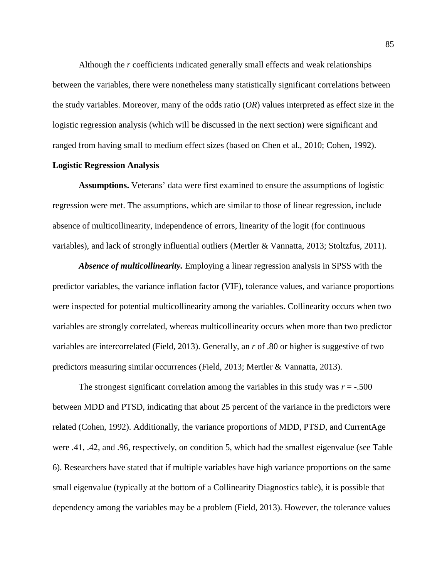Although the *r* coefficients indicated generally small effects and weak relationships between the variables, there were nonetheless many statistically significant correlations between the study variables. Moreover, many of the odds ratio (*OR*) values interpreted as effect size in the logistic regression analysis (which will be discussed in the next section) were significant and ranged from having small to medium effect sizes (based on Chen [et al., 2010;](#page-111-3) [Cohen, 1992\)](#page-112-1).

## <span id="page-84-0"></span>**Logistic Regression Analysis**

**Assumptions.** Veterans' data were first examined to ensure the assumptions of logistic regression were met. The assumptions, which are similar to those of linear regression, include absence of multicollinearity, independence of errors, linearity of the logit (for continuous variables), and lack of strongly influential outliers [\(Mertler & Vannatta, 2013;](#page-119-0) [Stoltzfus, 2011\)](#page-124-1).

*Absence of multicollinearity.* Employing a linear regression analysis in SPSS with the predictor variables, the variance inflation factor (VIF), tolerance values, and variance proportions were inspected for potential multicollinearity among the variables. Collinearity occurs when two variables are strongly correlated, whereas multicollinearity occurs when more than two predictor variables are intercorrelated [\(Field, 2013\)](#page-115-1). Generally, an *r* of .80 or higher is suggestive of two predictors measuring similar occurrences [\(Field, 2013;](#page-115-1) [Mertler & Vannatta, 2013\)](#page-119-0).

The strongest significant correlation among the variables in this study was  $r = -0.500$ between MDD and PTSD, indicating that about 25 percent of the variance in the predictors were related [\(Cohen, 1992\)](#page-112-1). Additionally, the variance proportions of MDD, PTSD, and CurrentAge were .41, .42, and .96, respectively, on condition 5, which had the smallest eigenvalue (see [Table](#page-133-0)  [6\)](#page-133-0). Researchers have stated that if multiple variables have high variance proportions on the same small eigenvalue (typically at the bottom of a [Collinearity Diagnostics table\)](#page-133-0), it is possible that dependency among the variables may be a problem [\(Field, 2013\)](#page-115-1). However, the tolerance values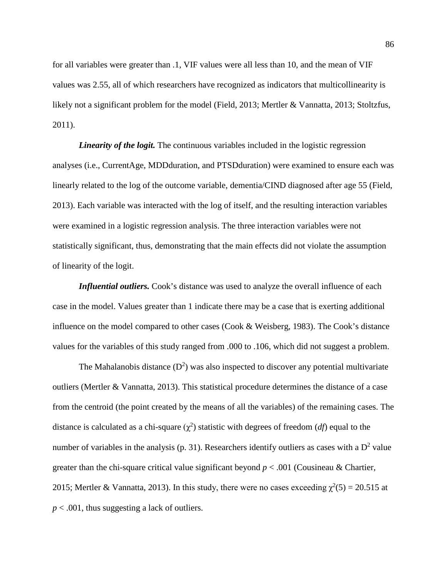for all variables were greater than .1, VIF values were all less than 10, and the mean of VIF values was 2.55, all of which researchers have recognized as indicators that multicollinearity is likely not a significant problem for the model [\(Field, 2013;](#page-115-1) [Mertler & Vannatta, 2013;](#page-119-0) [Stoltzfus,](#page-124-1)  [2011\)](#page-124-1).

*Linearity of the logit.* The continuous variables included in the logistic regression analyses (i.e., CurrentAge, MDDduration, and PTSDduration) were examined to ensure each was linearly related to the log of the outcome variable, dementia/CIND diagnosed after age 55 [\(Field,](#page-115-1)  [2013\)](#page-115-1). Each variable was interacted with the log of itself, and the resulting interaction variables were examined in a logistic regression analysis. The three interaction variables were not statistically significant, thus, demonstrating that the main effects did not violate the assumption of linearity of the logit.

*Influential outliers.* Cook's distance was used to analyze the overall influence of each case in the model. Values greater than 1 indicate there may be a case that is exerting additional influence on the model compared to other cases [\(Cook & Weisberg, 1983\)](#page-112-2). The Cook's distance values for the variables of this study ranged from .000 to .106, which did not suggest a problem.

The Mahalanobis distance  $(D^2)$  was also inspected to discover any potential multivariate outliers [\(Mertler & Vannatta, 2013\)](#page-119-0). This statistical procedure determines the distance of a case from the centroid (the point created by the means of all the variables) of the remaining cases. The distance is calculated as a chi-square  $(\chi^2)$  statistic with degrees of freedom (*df*) equal to the number of variables in the analysis [\(p. 31\)](#page-119-0). Researchers identify outliers as cases with a  $D^2$  value greater than the chi-square critical value significant beyond *p* < .001 [\(Cousineau & Chartier,](#page-112-3)  [2015;](#page-112-3) [Mertler & Vannatta, 2013\)](#page-119-0). In this study, there were no cases exceeding  $\chi^2(5) = 20.515$  at *p* < .001, thus suggesting a lack of outliers.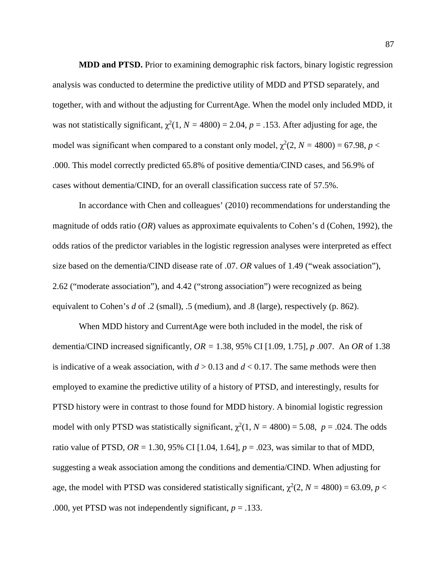**MDD and PTSD.** Prior to examining demographic risk factors, binary logistic regression analysis was conducted to determine the predictive utility of MDD and PTSD separately, and together, with and without the adjusting for CurrentAge. When the model only included MDD, it was not statistically significant,  $\chi^2(1, N = 4800) = 2.04$ ,  $p = .153$ . After adjusting for age, the model was significant when compared to a constant only model,  $\chi^2(2, N = 4800) = 67.98$ ,  $p <$ .000. This model correctly predicted 65.8% of positive dementia/CIND cases, and 56.9% of cases without dementia/CIND, for an overall classification success rate of 57.5%.

In accordance with Chen and colleagues' [\(2010\)](#page-111-3) recommendations for understanding the magnitude of odds ratio (*OR*) values as approximate equivalents to Cohen's d [\(Cohen, 1992\)](#page-112-1), the odds ratios of the predictor variables in the logistic regression analyses were interpreted as effect size based on the dementia/CIND disease rate of .07. *OR* values of 1.49 ("weak association"), 2.62 ("moderate association"), and 4.42 ("strong association") were recognized as being equivalent to Cohen's *d* of .2 (small), .5 (medium), and .8 (large), respectively [\(p. 862\)](#page-111-3).

When MDD history and CurrentAge were both included in the model, the risk of dementia/CIND increased significantly, *OR =* 1.38, 95% CI [1.09, 1.75], *p* .007. An *OR* of 1.38 is indicative of a weak association, with  $d > 0.13$  and  $d < 0.17$ . The same methods were then employed to examine the predictive utility of a history of PTSD, and interestingly, results for PTSD history were in contrast to those found for MDD history. A binomial logistic regression model with only PTSD was statistically significant,  $\chi^2(1, N = 4800) = 5.08$ ,  $p = .024$ . The odds ratio value of PTSD,  $OR = 1.30$ , 95% CI [1.04, 1.64],  $p = .023$ , was similar to that of MDD, suggesting a weak association among the conditions and dementia/CIND. When adjusting for age, the model with PTSD was considered statistically significant,  $\chi^2(2, N = 4800) = 63.09$ ,  $p <$ .000, yet PTSD was not independently significant,  $p = .133$ .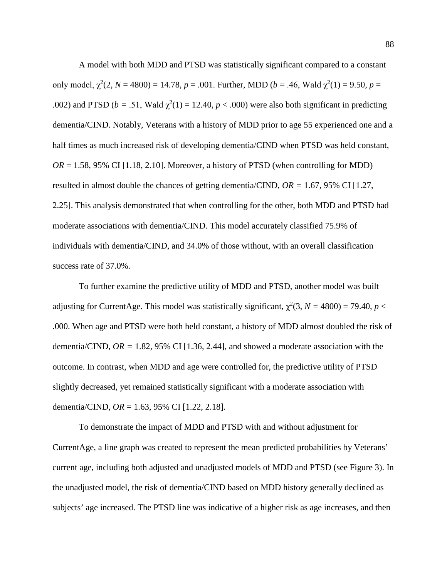A model with both MDD and PTSD was statistically significant compared to a constant only model,  $\chi^2(2, N = 4800) = 14.78$ ,  $p = .001$ . Further, MDD ( $b = .46$ , Wald  $\chi^2(1) = 9.50$ ,  $p =$ .002) and PTSD ( $b = .51$ , Wald  $\chi^2(1) = 12.40$ ,  $p < .000$ ) were also both significant in predicting dementia/CIND. Notably, Veterans with a history of MDD prior to age 55 experienced one and a half times as much increased risk of developing dementia/CIND when PTSD was held constant,  $OR = 1.58$ , 95% CI [1.18, 2.10]. Moreover, a history of PTSD (when controlling for MDD) resulted in almost double the chances of getting dementia/CIND, *OR =* 1.67, 95% CI [1.27, 2.25]. This analysis demonstrated that when controlling for the other, both MDD and PTSD had moderate associations with dementia/CIND. This model accurately classified 75.9% of individuals with dementia/CIND, and 34.0% of those without, with an overall classification success rate of 37.0%.

To further examine the predictive utility of MDD and PTSD, another model was built adjusting for CurrentAge. This model was statistically significant,  $\chi^2(3, N = 4800) = 79.40, p <$ .000. When age and PTSD were both held constant, a history of MDD almost doubled the risk of dementia/CIND,  $OR = 1.82, 95\%$  CI [1.36, 2.44], and showed a moderate association with the outcome. In contrast, when MDD and age were controlled for, the predictive utility of PTSD slightly decreased, yet remained statistically significant with a moderate association with dementia/CIND, *OR* = 1.63, 95% CI [1.22, 2.18].

To demonstrate the impact of MDD and PTSD with and without adjustment for CurrentAge, a line graph was created to represent the mean predicted probabilities by Veterans' current age, including both adjusted and unadjusted models of MDD and PTSD (see [Figure 3\)](#page-140-0). In the unadjusted model, the risk of dementia/CIND based on MDD history generally declined as subjects' age increased. The PTSD line was indicative of a higher risk as age increases, and then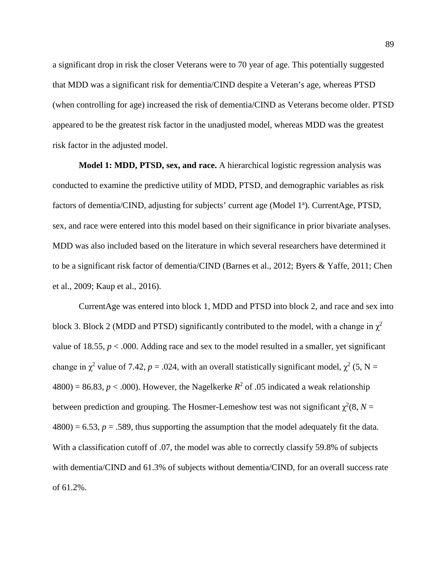a significant drop in risk the closer Veterans were to 70 year of age. This potentially suggested that MDD was a significant risk for dementia/CIND despite a Veteran's age, whereas PTSD (when controlling for age) increased the risk of dementia/CIND as Veterans become older. PTSD appeared to be the greatest risk factor in the unadjusted model, whereas MDD was the greatest risk factor in the adjusted model.

**Model 1: MDD, PTSD, sex, and race.** A hierarchical logistic regression analysis was conducted to examine the predictive utility of MDD, PTSD, and demographic variables as risk factors of dementia/CIND, adjusting for subjects' current age (Model 1<sup>a</sup>). CurrentAge, PTSD, sex, and race were entered into this model based on their significance in prior bivariate analyses. MDD was also included based on the literature in which several researchers have determined it to be a significant risk factor of dementia/CIND [\(Barnes et al., 2012;](#page-110-1) [Byers & Yaffe, 2011;](#page-111-2) [Chen](#page-111-0)  [et al., 2009;](#page-111-0) [Kaup et al., 2016\)](#page-117-0).

CurrentAge was entered into block 1, MDD and PTSD into block 2, and race and sex into block 3. Block 2 (MDD and PTSD) significantly contributed to the model, with a change in  $\chi^2$ value of 18.55,  $p < .000$ . Adding race and sex to the model resulted in a smaller, yet significant change in  $\chi^2$  value of 7.42,  $p = .024$ , with an overall statistically significant model,  $\chi^2$  (5, N =  $4800$ ) = 86.83, *p* < .000). However, the Nagelkerke *R*<sup>2</sup> of .05 indicated a weak relationship between prediction and grouping. The Hosmer-Lemeshow test was not significant  $\chi^2(8, N =$  $4800$ ) = 6.53,  $p = 0.589$ , thus supporting the assumption that the model adequately fit the data. With a classification cutoff of .07, the model was able to correctly classify 59.8% of subjects with dementia/CIND and 61.3% of subjects without dementia/CIND, for an overall success rate of 61.2%.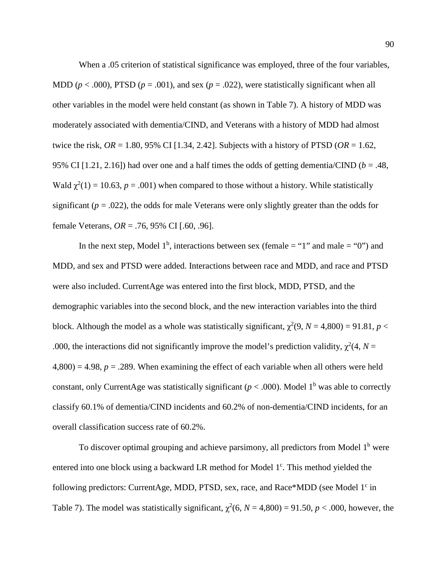When a .05 criterion of statistical significance was employed, three of the four variables, MDD ( $p < .000$ ), PTSD ( $p = .001$ ), and sex ( $p = .022$ ), were statistically significant when all other variables in the model were held constant (as shown in [Table 7\)](#page-134-0). A history of MDD was moderately associated with dementia/CIND, and Veterans with a history of MDD had almost twice the risk,  $OR = 1.80$ , 95% CI [1.34, 2.42]. Subjects with a history of PTSD ( $OR = 1.62$ , 95% CI [1.21, 2.16]) had over one and a half times the odds of getting dementia/CIND ( $b = .48$ , Wald  $\chi^2(1) = 10.63$ ,  $p = .001$ ) when compared to those without a history. While statistically significant  $(p = .022)$ , the odds for male Veterans were only slightly greater than the odds for female Veterans, *OR* = .76, 95% CI [.60, .96].

In the next step, Model 1<sup>b</sup>, interactions between sex (female = "1" and male = "0") and MDD, and sex and PTSD were added. Interactions between race and MDD, and race and PTSD were also included. CurrentAge was entered into the first block, MDD, PTSD, and the demographic variables into the second block, and the new interaction variables into the third block. Although the model as a whole was statistically significant,  $\chi^2(9, N = 4,800) = 91.81$ ,  $p <$ .000, the interactions did not significantly improve the model's prediction validity,  $\chi^2$ (4, *N* =  $4,800$ ) = 4.98,  $p = 0.289$ . When examining the effect of each variable when all others were held constant, only CurrentAge was statistically significant ( $p < .000$ ). Model 1<sup>b</sup> was able to correctly classify 60.1% of dementia/CIND incidents and 60.2% of non-dementia/CIND incidents, for an overall classification success rate of 60.2%.

To discover optimal grouping and achieve parsimony, all predictors from Model  $1<sup>b</sup>$  were entered into one block using a backward LR method for Model 1<sup>c</sup>. This method yielded the following predictors: CurrentAge, MDD, PTSD, sex, race, and Race\*MDD (see Model  $1<sup>c</sup>$  in [Table 7\)](#page-134-0). The model was statistically significant,  $\chi^2(6, N = 4,800) = 91.50, p < .000$ , however, the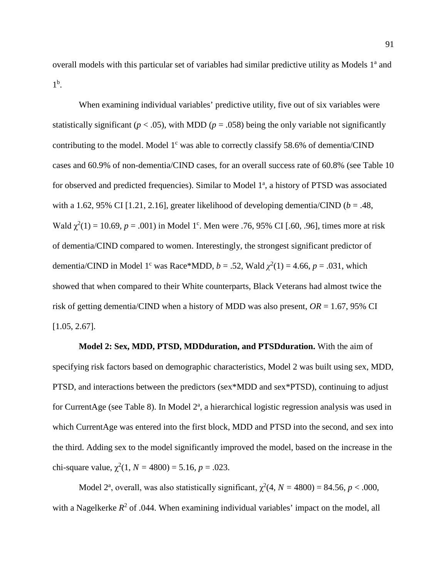overall models with this particular set of variables had similar predictive utility as Models 1<sup>a</sup> and  $1^{\rm b}$ .

When examining individual variables' predictive utility, five out of six variables were statistically significant ( $p < .05$ ), with MDD ( $p = .058$ ) being the only variable not significantly contributing to the model. Model  $1<sup>c</sup>$  was able to correctly classify 58.6% of dementia/CIND cases and 60.9% of non-dementia/CIND cases, for an overall success rate of 60.8% (see [Table 10](#page-137-0) for observed and predicted frequencies). Similar to Model 1<sup>a</sup>, a history of PTSD was associated with a 1.62, 95% CI [1.21, 2.16], greater likelihood of developing dementia/CIND ( $b = .48$ , Wald  $\chi^2(1) = 10.69$ , *p* = .001) in Model 1<sup>c</sup>. Men were .76, 95% CI [.60, .96], times more at risk of dementia/CIND compared to women. Interestingly, the strongest significant predictor of dementia/CIND in Model 1<sup>c</sup> was Race\*MDD,  $b = .52$ , Wald  $\chi^2(1) = 4.66$ ,  $p = .031$ , which showed that when compared to their White counterparts, Black Veterans had almost twice the risk of getting dementia/CIND when a history of MDD was also present, *OR* = 1.67, 95% CI [1.05, 2.67].

**Model 2: Sex, MDD, PTSD, MDDduration, and PTSDduration.** With the aim of specifying risk factors based on demographic characteristics, Model 2 was built using sex, MDD, PTSD, and interactions between the predictors (sex\*MDD and sex\*PTSD), continuing to adjust for CurrentAge (see [Table 8\)](#page-135-0). In Model 2<sup>a</sup>, a hierarchical logistic regression analysis was used in which CurrentAge was entered into the first block, MDD and PTSD into the second, and sex into the third. Adding sex to the model significantly improved the model, based on the increase in the chi-square value,  $\chi^2(1, N = 4800) = 5.16, p = .023$ .

Model 2<sup>a</sup>, overall, was also statistically significant,  $\chi^2(4, N = 4800) = 84.56$ ,  $p < .000$ , with a Nagelkerke  $R^2$  of .044. When examining individual variables' impact on the model, all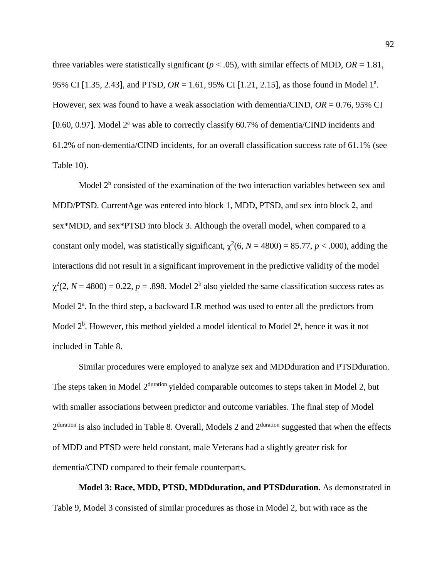three variables were statistically significant ( $p < .05$ ), with similar effects of MDD,  $OR = 1.81$ , 95% CI [1.35, 2.43], and PTSD,  $OR = 1.61$ , 95% CI [1.21, 2.15], as those found in Model 1<sup>a</sup>. However, sex was found to have a weak association with dementia/CIND, *OR* = 0.76, 95% CI [0.60, 0.97]. Model  $2^a$  was able to correctly classify 60.7% of dementia/CIND incidents and 61.2% of non-dementia/CIND incidents, for an overall classification success rate of 61.1% (see [Table 10\)](#page-137-0).

Model  $2<sup>b</sup>$  consisted of the examination of the two interaction variables between sex and MDD/PTSD. CurrentAge was entered into block 1, MDD, PTSD, and sex into block 2, and sex\*MDD, and sex\*PTSD into block 3. Although the overall model, when compared to a constant only model, was statistically significant,  $\chi^2(6, N = 4800) = 85.77, p < .000$ ), adding the interactions did not result in a significant improvement in the predictive validity of the model  $\chi^2(2, N = 4800) = 0.22, p = .898$ . Model 2<sup>b</sup> also yielded the same classification success rates as Model  $2^a$ . In the third step, a backward LR method was used to enter all the predictors from Model  $2^b$ . However, this method yielded a model identical to Model  $2^a$ , hence it was it not included in [Table 8.](#page-135-0)

Similar procedures were employed to analyze sex and MDDduration and PTSDduration. The steps taken in Model 2<sup>duration</sup> yielded comparable outcomes to steps taken in Model 2, but with smaller associations between predictor and outcome variables. The final step of Model 2<sup>duration</sup> is also included in [Table 8.](#page-135-0) Overall, Models 2 and 2<sup>duration</sup> suggested that when the effects of MDD and PTSD were held constant, male Veterans had a slightly greater risk for dementia/CIND compared to their female counterparts.

**Model 3: Race, MDD, PTSD, MDDduration, and PTSDduration.** As demonstrated in [Table 9,](#page-136-0) Model 3 consisted of similar procedures as those in Model 2, but with race as the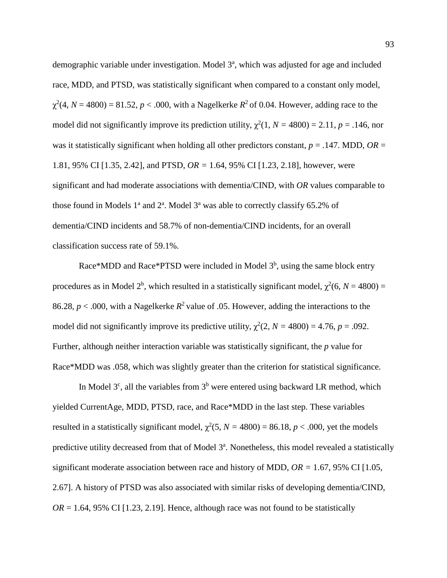demographic variable under investigation. Model 3<sup>a</sup>, which was adjusted for age and included race, MDD, and PTSD, was statistically significant when compared to a constant only model,  $\chi^2$ (4, *N* = 4800) = 81.52, *p* < .000, with a Nagelkerke *R*<sup>2</sup> of 0.04. However, adding race to the model did not significantly improve its prediction utility,  $\chi^2(1, N = 4800) = 2.11$ ,  $p = .146$ , nor was it statistically significant when holding all other predictors constant,  $p = .147$ . MDD,  $OR =$ 1.81, 95% CI [1.35, 2.42], and PTSD, *OR =* 1.64, 95% CI [1.23, 2.18], however, were significant and had moderate associations with dementia/CIND, with *OR* values comparable to those found in Models  $1^a$  and  $2^a$ . Model  $3^a$  was able to correctly classify 65.2% of dementia/CIND incidents and 58.7% of non-dementia/CIND incidents, for an overall classification success rate of 59.1%.

Race\*MDD and Race\*PTSD were included in Model  $3<sup>b</sup>$ , using the same block entry procedures as in Model  $2^b$ , which resulted in a statistically significant model,  $\chi^2(6, N = 4800) =$ 86.28,  $p < .000$ , with a Nagelkerke  $R^2$  value of .05. However, adding the interactions to the model did not significantly improve its predictive utility,  $\chi^2(2, N = 4800) = 4.76$ ,  $p = .092$ . Further, although neither interaction variable was statistically significant, the *p* value for Race\*MDD was .058, which was slightly greater than the criterion for statistical significance.

In Model  $3<sup>c</sup>$ , all the variables from  $3<sup>b</sup>$  were entered using backward LR method, which yielded CurrentAge, MDD, PTSD, race, and Race\*MDD in the last step. These variables resulted in a statistically significant model,  $\chi^2$ (5, *N* = 4800) = 86.18, *p* < .000, yet the models predictive utility decreased from that of Model 3<sup>a</sup>. Nonetheless, this model revealed a statistically significant moderate association between race and history of MDD, *OR =* 1.67, 95% CI [1.05, 2.67]. A history of PTSD was also associated with similar risks of developing dementia/CIND,  $OR = 1.64$ , 95% CI [1.23, 2.19]. Hence, although race was not found to be statistically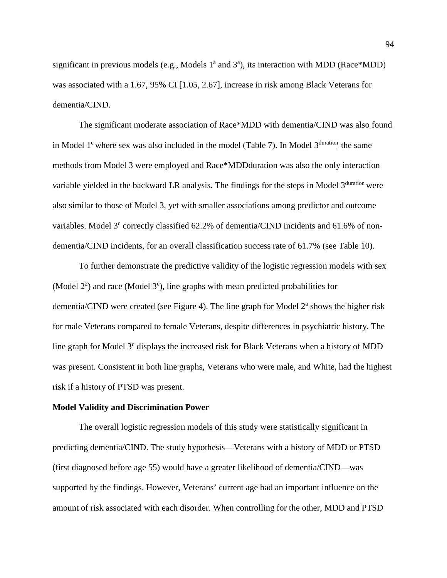significant in previous models (e.g., Models  $1^a$  and  $3^a$ ), its interaction with MDD (Race\*MDD) was associated with a 1.67, 95% CI [1.05, 2.67], increase in risk among Black Veterans for dementia/CIND.

The significant moderate association of Race\*MDD with dementia/CIND was also found in Model 1<sup>c</sup> where sex was also included in the model [\(Table 7\)](#page-134-0). In Model  $3<sup>duration</sup>$ , the same methods from Model 3 were employed and Race\*MDDduration was also the only interaction variable yielded in the backward LR analysis. The findings for the steps in Model  $3<sup>duration</sup>$  were also similar to those of Model 3, yet with smaller associations among predictor and outcome variables. Model  $3<sup>c</sup>$  correctly classified 62.2% of dementia/CIND incidents and 61.6% of nondementia/CIND incidents, for an overall classification success rate of 61.7% (see [Table 10\)](#page-137-0).

To further demonstrate the predictive validity of the logistic regression models with sex (Model  $2^2$ ) and race (Model  $3^c$ ), line graphs with mean predicted probabilities for dementia/CIND were created (see [Figure 4\)](#page-142-0). The line graph for Model  $2<sup>a</sup>$  shows the higher risk for male Veterans compared to female Veterans, despite differences in psychiatric history. The line graph for Model  $3<sup>c</sup>$  displays the increased risk for Black Veterans when a history of MDD was present. Consistent in both line graphs, Veterans who were male, and White, had the highest risk if a history of PTSD was present.

### **Model Validity and Discrimination Power**

The overall logistic regression models of this study were statistically significant in predicting dementia/CIND. The study hypothesis—Veterans with a history of MDD or PTSD (first diagnosed before age 55) would have a greater likelihood of dementia/CIND—was supported by the findings. However, Veterans' current age had an important influence on the amount of risk associated with each disorder. When controlling for the other, MDD and PTSD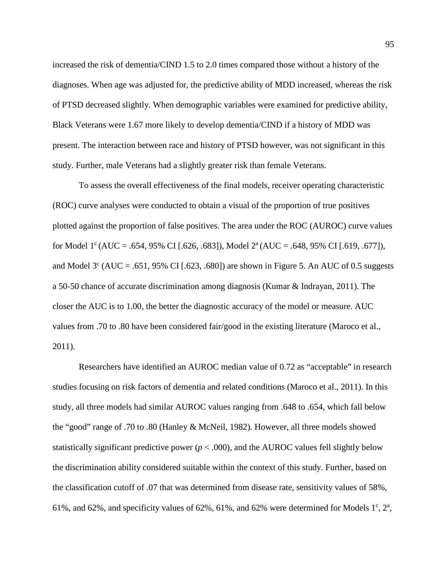increased the risk of dementia/CIND 1.5 to 2.0 times compared those without a history of the diagnoses. When age was adjusted for, the predictive ability of MDD increased, whereas the risk of PTSD decreased slightly. When demographic variables were examined for predictive ability, Black Veterans were 1.67 more likely to develop dementia/CIND if a history of MDD was present. The interaction between race and history of PTSD however, was not significant in this study. Further, male Veterans had a slightly greater risk than female Veterans.

To assess the overall effectiveness of the final models, receiver operating characteristic (ROC) curve analyses were conducted to obtain a visual of the proportion of true positives plotted against the proportion of false positives. The area under the ROC (AUROC) curve values for Model 1<sup>c</sup> (AUC = .654, 95% CI [.626, .683]), Model  $2^a$  (AUC = .648, 95% CI [.619, .677]), and Model  $3^{\circ}$  (AUC = .651, 95% CI [.623, .680]) are shown in [Figure 5.](#page-142-0) An AUC of 0.5 suggests a 50-50 chance of accurate discrimination among diagnosis [\(Kumar & Indrayan, 2011\)](#page-117-2). The closer the AUC is to 1.00, the better the diagnostic accuracy of the model or measure. AUC values from .70 to .80 have been considered fair/good in the existing literature [\(Maroco et al.,](#page-118-1)  [2011\)](#page-118-1).

Researchers have identified an AUROC median value of 0.72 as "acceptable" in research studies focusing on risk factors of dementia and related conditions [\(Maroco et al., 2011\)](#page-118-1). In this study, all three models had similar AUROC values ranging from .648 to .654, which fall below the "good" range of .70 to .80 [\(Hanley & McNeil, 1982\)](#page-115-0). However, all three models showed statistically significant predictive power ( $p < .000$ ), and the AUROC values fell slightly below the discrimination ability considered suitable within the context of this study. Further, based on the classification cutoff of .07 that was determined from disease rate, sensitivity values of 58%, 61%, and 62%, and specificity values of 62%, 61%, and 62% were determined for Models  $1^{\circ}$ ,  $2^{\circ}$ ,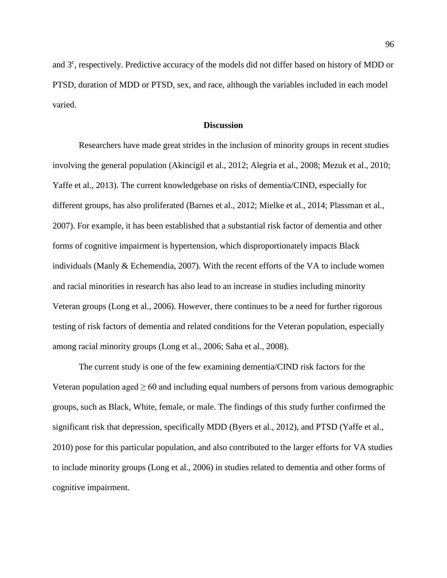and 3<sup>c</sup>, respectively. Predictive accuracy of the models did not differ based on history of MDD or PTSD, duration of MDD or PTSD, sex, and race, although the variables included in each model varied.

### **Discussion**

Researchers have made great strides in the inclusion of minority groups in recent studies involving the general population [\(Akincigil et al., 2012;](#page-109-0) [Alegria et al., 2008;](#page-109-1) [Mezuk et al., 2010;](#page-119-1) [Yaffe et al., 2013\)](#page-127-3). The current knowledgebase on risks of dementia/CIND, especially for different groups, has also proliferated [\(Barnes et al., 2012;](#page-110-1) [Mielke et al., 2014;](#page-120-1) [Plassman et al.,](#page-121-2)  [2007\)](#page-121-2). For example, it has been established that a substantial risk factor of dementia and other forms of cognitive impairment is hypertension, which disproportionately impacts Black individuals [\(Manly & Echemendia, 2007\)](#page-118-2). With the recent efforts of the VA to include women and racial minorities in research has also lead to an increase in studies including minority Veteran groups [\(Long et al., 2006\)](#page-118-3). However, there continues to be a need for further rigorous testing of risk factors of dementia and related conditions for the Veteran population, especially among racial minority groups [\(Long et al., 2006;](#page-118-3) [Saha et al., 2008\)](#page-123-0).

The current study is one of the few examining dementia/CIND risk factors for the Veteran population aged  $\geq 60$  and including equal numbers of persons from various demographic groups, such as Black, White, female, or male. The findings of this study further confirmed the significant risk that depression, specifically MDD [\(Byers et al., 2012\)](#page-111-1), and PTSD [\(Yaffe et al.,](#page-127-1)  [2010\)](#page-127-1) pose for this particular population, and also contributed to the larger efforts for VA studies to include minority groups [\(Long et al., 2006\)](#page-118-3) in studies related to dementia and other forms of cognitive impairment.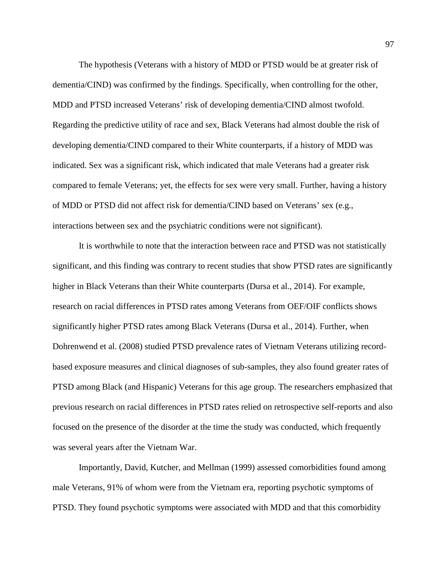The hypothesis (Veterans with a history of MDD or PTSD would be at greater risk of dementia/CIND) was confirmed by the findings. Specifically, when controlling for the other, MDD and PTSD increased Veterans' risk of developing dementia/CIND almost twofold. Regarding the predictive utility of race and sex, Black Veterans had almost double the risk of developing dementia/CIND compared to their White counterparts, if a history of MDD was indicated. Sex was a significant risk, which indicated that male Veterans had a greater risk compared to female Veterans; yet, the effects for sex were very small. Further, having a history of MDD or PTSD did not affect risk for dementia/CIND based on Veterans' sex (e.g., interactions between sex and the psychiatric conditions were not significant).

It is worthwhile to note that the interaction between race and PTSD was not statistically significant, and this finding was contrary to recent studies that show PTSD rates are significantly higher in Black Veterans than their White counterparts [\(Dursa et al., 2014\)](#page-114-1). For example, research on racial differences in PTSD rates among Veterans from OEF/OIF conflicts shows significantly higher PTSD rates among Black Veterans (Dursa et [al., 2014\)](#page-114-1). Further, when [Dohrenwend et al. \(2008\)](#page-113-0) studied PTSD prevalence rates of Vietnam Veterans utilizing recordbased exposure measures and clinical diagnoses of sub-samples, they also found greater rates of PTSD among Black (and Hispanic) Veterans for this age group. The researchers emphasized that previous research on racial differences in PTSD rates relied on retrospective self-reports and also focused on the presence of the disorder at the time the study was conducted, which frequently was several years after the Vietnam War.

Importantly, [David, Kutcher, and Mellman \(1999\)](#page-112-4) assessed comorbidities found among male Veterans, 91% of whom were from the Vietnam era, reporting psychotic symptoms of PTSD. They found psychotic symptoms were associated with MDD and that this comorbidity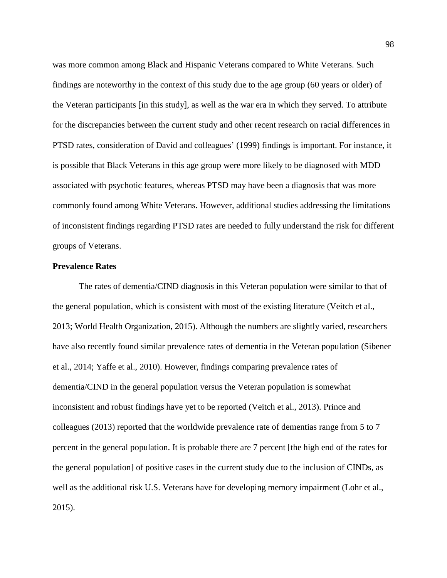was more common among Black and Hispanic Veterans compared to White Veterans. Such findings are noteworthy in the context of this study due to the age group (60 years or older) of the Veteran participants [in this study], as well as the war era in which they served. To attribute for the discrepancies between the current study and other recent research on racial differences in PTSD rates, consideration of David and colleagues' [\(1999\)](#page-112-4) findings is important. For instance, it is possible that Black Veterans in this age group were more likely to be diagnosed with MDD associated with psychotic features, whereas PTSD may have been a diagnosis that was more commonly found among White Veterans. However, additional studies addressing the limitations of inconsistent findings regarding PTSD rates are needed to fully understand the risk for different groups of Veterans.

# **Prevalence Rates**

The rates of dementia/CIND diagnosis in this Veteran population were similar to that of the general population, which is consistent with most of the existing literature [\(Veitch et al.,](#page-125-0)  [2013;](#page-125-0) [World Health Organization, 2015\)](#page-127-0). Although the numbers are slightly varied, researchers have also recently found similar prevalence rates of dementia in the Veteran population [\(Sibener](#page-124-0)  [et al., 2014;](#page-124-0) [Yaffe et al., 2010\)](#page-127-1). However, findings comparing prevalence rates of dementia/CIND in the general population versus the Veteran population is somewhat inconsistent and robust findings have yet to be reported [\(Veitch et al., 2013\)](#page-125-0). Prince and colleagues [\(2013\)](#page-121-3) reported that the worldwide prevalence rate of dementias range from 5 to 7 percent in the general population. It is probable there are 7 percent [the high end of the rates for the general population] of positive cases in the current study due to the inclusion of CINDs, as well as the additional risk U.S. Veterans have for developing memory impairment [\(Lohr et al.,](#page-118-0)  [2015\)](#page-118-0).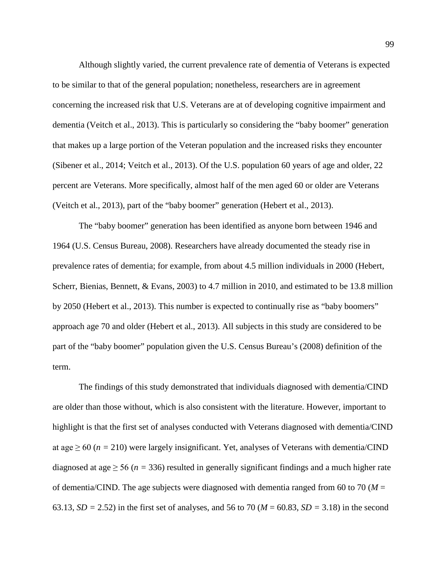Although slightly varied, the current prevalence rate of dementia of Veterans is expected to be similar to that of the general population; nonetheless, researchers are in agreement concerning the increased risk that U.S. Veterans are at of developing cognitive impairment and dementia [\(Veitch et al., 2013\)](#page-125-0). This is particularly so considering the "baby boomer" generation that makes up a large portion of the Veteran population and the increased risks they encounter [\(Sibener et al., 2014;](#page-124-0) [Veitch et al., 2013\)](#page-125-0). Of the U.S. population 60 years of age and older, 22 percent are Veterans. More specifically, almost half of the men aged 60 or older are Veterans [\(Veitch et al., 2013\)](#page-125-0), part of the "baby boomer" generation [\(Hebert et al., 2013\)](#page-116-0).

The "baby boomer" generation has been identified as anyone born between 1946 and 1964 [\(U.S. Census Bureau, 2008\)](#page-125-1). Researchers have already documented the steady rise in prevalence rates of dementia; for example, from about 4.5 million individuals in 2000 [\(Hebert,](#page-116-1)  [Scherr, Bienias, Bennett, & Evans, 2003\)](#page-116-1) to 4.7 million in 2010, and estimated to be 13.8 million by 2050 [\(Hebert et al., 2013\)](#page-116-0). This number is expected to continually rise as "baby boomers" approach age 70 and older [\(Hebert et al., 2013\)](#page-116-0). All subjects in this study are considered to be part of the "baby boomer" population given the U.S. Census Bureau's [\(2008\)](#page-125-1) definition of the term.

The findings of this study demonstrated that individuals diagnosed with dementia/CIND are older than those without, which is also consistent with the literature. However, important to highlight is that the first set of analyses conducted with Veterans diagnosed with dementia/CIND at age  $\geq 60$  ( $n = 210$ ) were largely insignificant. Yet, analyses of Veterans with dementia/CIND diagnosed at age  $\geq$  56 ( $n = 336$ ) resulted in generally significant findings and a much higher rate of dementia/CIND. The age subjects were diagnosed with dementia ranged from 60 to 70 (*M* = 63.13, *SD =* 2.52) in the first set of analyses, and 56 to 70 (*M* = 60.83, *SD =* 3.18) in the second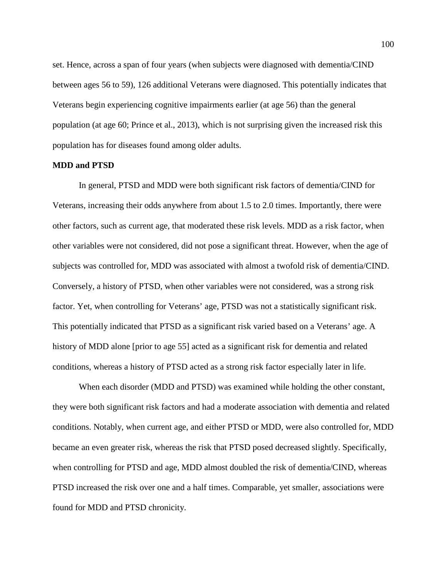set. Hence, across a span of four years (when subjects were diagnosed with dementia/CIND between ages 56 to 59), 126 additional Veterans were diagnosed. This potentially indicates that Veterans begin experiencing cognitive impairments earlier (at age 56) than the general population [\(at age 60; Prince et al., 2013\)](#page-121-3), which is not surprising given the increased risk this population has for diseases found among older adults.

### **MDD and PTSD**

In general, PTSD and MDD were both significant risk factors of dementia/CIND for Veterans, increasing their odds anywhere from about 1.5 to 2.0 times. Importantly, there were other factors, such as current age, that moderated these risk levels. MDD as a risk factor, when other variables were not considered, did not pose a significant threat. However, when the age of subjects was controlled for, MDD was associated with almost a twofold risk of dementia/CIND. Conversely, a history of PTSD, when other variables were not considered, was a strong risk factor. Yet, when controlling for Veterans' age, PTSD was not a statistically significant risk. This potentially indicated that PTSD as a significant risk varied based on a Veterans' age. A history of MDD alone [prior to age 55] acted as a significant risk for dementia and related conditions, whereas a history of PTSD acted as a strong risk factor especially later in life.

When each disorder (MDD and PTSD) was examined while holding the other constant, they were both significant risk factors and had a moderate association with dementia and related conditions. Notably, when current age, and either PTSD or MDD, were also controlled for, MDD became an even greater risk, whereas the risk that PTSD posed decreased slightly. Specifically, when controlling for PTSD and age, MDD almost doubled the risk of dementia/CIND, whereas PTSD increased the risk over one and a half times. Comparable, yet smaller, associations were found for MDD and PTSD chronicity.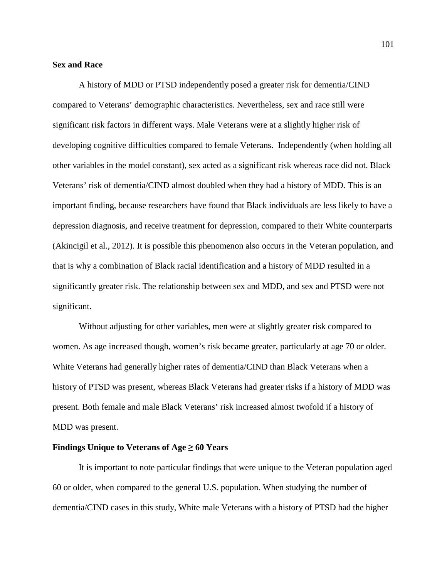## **Sex and Race**

A history of MDD or PTSD independently posed a greater risk for dementia/CIND compared to Veterans' demographic characteristics. Nevertheless, sex and race still were significant risk factors in different ways. Male Veterans were at a slightly higher risk of developing cognitive difficulties compared to female Veterans. Independently (when holding all other variables in the model constant), sex acted as a significant risk whereas race did not. Black Veterans' risk of dementia/CIND almost doubled when they had a history of MDD. This is an important finding, because researchers have found that Black individuals are less likely to have a depression diagnosis, and receive treatment for depression, compared to their White counterparts [\(Akincigil et al., 2012\)](#page-109-0). It is possible this phenomenon also occurs in the Veteran population, and that is why a combination of Black racial identification and a history of MDD resulted in a significantly greater risk. The relationship between sex and MDD, and sex and PTSD were not significant.

Without adjusting for other variables, men were at slightly greater risk compared to women. As age increased though, women's risk became greater, particularly at age 70 or older. White Veterans had generally higher rates of dementia/CIND than Black Veterans when a history of PTSD was present, whereas Black Veterans had greater risks if a history of MDD was present. Both female and male Black Veterans' risk increased almost twofold if a history of MDD was present.

## **Findings Unique to Veterans of**  $Age \geq 60$  **Years**

It is important to note particular findings that were unique to the Veteran population aged 60 or older, when compared to the general U.S. population. When studying the number of dementia/CIND cases in this study, White male Veterans with a history of PTSD had the higher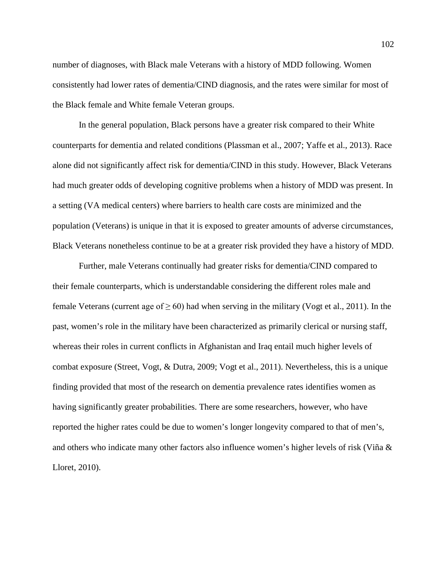number of diagnoses, with Black male Veterans with a history of MDD following. Women consistently had lower rates of dementia/CIND diagnosis, and the rates were similar for most of the Black female and White female Veteran groups.

In the general population, Black persons have a greater risk compared to their White counterparts for dementia and related conditions [\(Plassman et al., 2007;](#page-121-2) [Yaffe et al., 2013\)](#page-127-3). Race alone did not significantly affect risk for dementia/CIND in this study. However, Black Veterans had much greater odds of developing cognitive problems when a history of MDD was present. In a setting (VA medical centers) where barriers to health care costs are minimized and the population (Veterans) is unique in that it is exposed to greater amounts of adverse circumstances, Black Veterans nonetheless continue to be at a greater risk provided they have a history of MDD.

Further, male Veterans continually had greater risks for dementia/CIND compared to their female counterparts, which is understandable considering the different roles male and female Veterans (current age of  $\geq 60$ ) had when serving in the military [\(Vogt et al., 2011\)](#page-126-0). In the past, women's role in the military have been characterized as primarily clerical or nursing staff, whereas their roles in current conflicts in Afghanistan and Iraq entail much higher levels of combat exposure [\(Street, Vogt, & Dutra, 2009;](#page-124-2) [Vogt et al., 2011\)](#page-126-0). Nevertheless, this is a unique finding provided that most of the research on dementia prevalence rates identifies women as having significantly greater probabilities. There are some researchers, however, who have reported the higher rates could be due to women's longer longevity compared to that of men's, and others who indicate many other factors also influence women's higher levels of risk [\(Viña &](#page-125-2)  [Lloret, 2010\)](#page-125-2).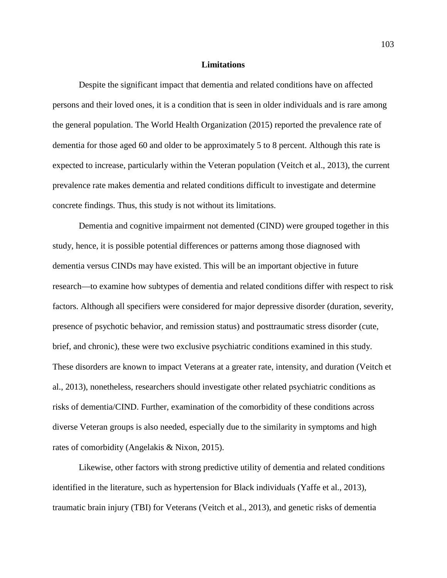### **Limitations**

Despite the significant impact that dementia and related conditions have on affected persons and their loved ones, it is a condition that is seen in older individuals and is rare among the general population. The [World Health Organization \(2015\)](#page-127-0) reported the prevalence rate of dementia for those aged 60 and older to be approximately 5 to 8 percent. Although this rate is expected to increase, particularly within the Veteran population [\(Veitch et al., 2013\)](#page-125-0), the current prevalence rate makes dementia and related conditions difficult to investigate and determine concrete findings. Thus, this study is not without its limitations.

Dementia and cognitive impairment not demented (CIND) were grouped together in this study, hence, it is possible potential differences or patterns among those diagnosed with dementia versus CINDs may have existed. This will be an important objective in future research—to examine how subtypes of dementia and related conditions differ with respect to risk factors. Although all specifiers were considered for major depressive disorder (duration, severity, presence of psychotic behavior, and remission status) and posttraumatic stress disorder (cute, brief, and chronic), these were two exclusive psychiatric conditions examined in this study. These disorders are known to impact Veterans at a greater rate, intensity, and duration [\(Veitch et](#page-125-0)  [al., 2013\)](#page-125-0), nonetheless, researchers should investigate other related psychiatric conditions as risks of dementia/CIND. Further, examination of the comorbidity of these conditions across diverse Veteran groups is also needed, especially due to the similarity in symptoms and high rates of comorbidity [\(Angelakis & Nixon, 2015\)](#page-109-2).

Likewise, other factors with strong predictive utility of dementia and related conditions identified in the literature, such as hypertension for Black individuals [\(Yaffe et al., 2013\)](#page-127-3), traumatic brain injury (TBI) for Veterans [\(Veitch et al., 2013\)](#page-125-0), and genetic risks of dementia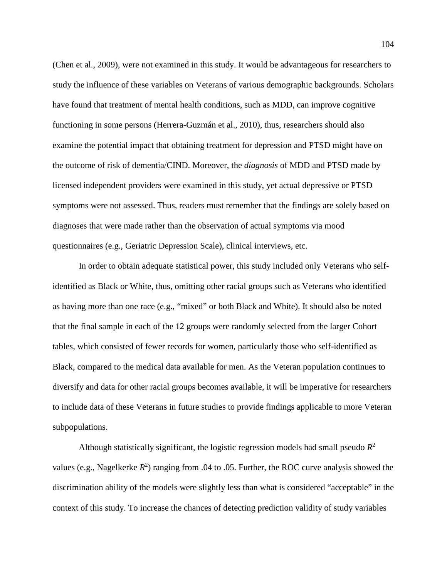[\(Chen et al., 2009\)](#page-111-0), were not examined in this study. It would be advantageous for researchers to study the influence of these variables on Veterans of various demographic backgrounds. Scholars have found that treatment of mental health conditions, such as MDD, can improve cognitive functioning in some persons [\(Herrera-Guzmán et al., 2010\)](#page-116-2), thus, researchers should also examine the potential impact that obtaining treatment for depression and PTSD might have on the outcome of risk of dementia/CIND. Moreover, the *diagnosis* of MDD and PTSD made by licensed independent providers were examined in this study, yet actual depressive or PTSD symptoms were not assessed. Thus, readers must remember that the findings are solely based on diagnoses that were made rather than the observation of actual symptoms via mood questionnaires (e.g., Geriatric Depression Scale), clinical interviews, etc.

In order to obtain adequate statistical power, this study included only Veterans who selfidentified as Black or White, thus, omitting other racial groups such as Veterans who identified as having more than one race (e.g., "mixed" or both Black and White). It should also be noted that the final sample in each of the 12 groups were randomly selected from the larger Cohort tables, which consisted of fewer records for women, particularly those who self-identified as Black, compared to the medical data available for men. As the Veteran population continues to diversify and data for other racial groups becomes available, it will be imperative for researchers to include data of these Veterans in future studies to provide findings applicable to more Veteran subpopulations.

Although statistically significant, the logistic regression models had small pseudo  $R^2$ values (e.g., Nagelkerke  $R^2$ ) ranging from .04 to .05. Further, the ROC curve analysis showed the discrimination ability of the models were slightly less than what is considered "acceptable" in the context of this study. To increase the chances of detecting prediction validity of study variables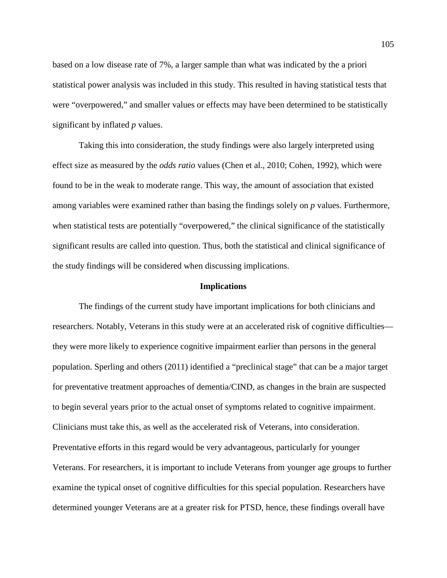based on a low disease rate of 7%, a larger sample than what was indicated by the a priori statistical power analysis was included in this study. This resulted in having statistical tests that were "overpowered," and smaller values or effects may have been determined to be statistically significant by inflated *p* values.

Taking this into consideration, the study findings were also largely interpreted using effect size as measured by the *odds ratio* values [\(Chen et al., 2010;](#page-111-3) [Cohen, 1992\)](#page-112-1), which were found to be in the weak to moderate range. This way, the amount of association that existed among variables were examined rather than basing the findings solely on *p* values. Furthermore, when statistical tests are potentially "overpowered," the clinical significance of the statistically significant results are called into question. Thus, both the statistical and clinical significance of the study findings will be considered when discussing implications.

## **Implications**

The findings of the current study have important implications for both clinicians and researchers. Notably, Veterans in this study were at an accelerated risk of cognitive difficulties they were more likely to experience cognitive impairment earlier than persons in the general population. Sperling and others [\(2011\)](#page-124-3) identified a "preclinical stage" that can be a major target for preventative treatment approaches of dementia/CIND, as changes in the brain are suspected to begin several years prior to the actual onset of symptoms related to cognitive impairment. Clinicians must take this, as well as the accelerated risk of Veterans, into consideration. Preventative efforts in this regard would be very advantageous, particularly for younger Veterans. For researchers, it is important to include Veterans from younger age groups to further examine the typical onset of cognitive difficulties for this special population. Researchers have determined younger Veterans are at a greater risk for PTSD, hence, these findings overall have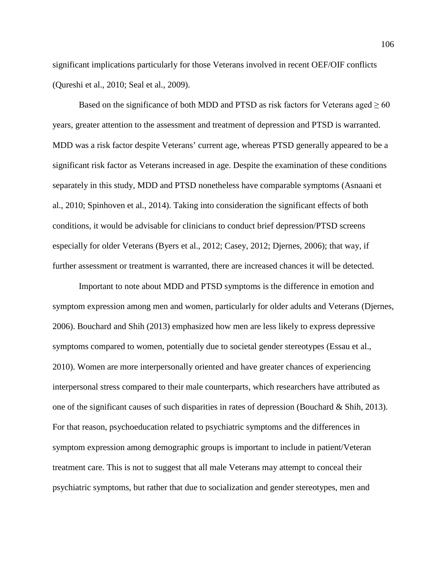significant implications particularly for those Veterans involved in recent OEF/OIF conflicts [\(Qureshi et al., 2010;](#page-121-0) [Seal et al., 2009\)](#page-123-1).

Based on the significance of both MDD and PTSD as risk factors for Veterans aged  $\geq 60$ years, greater attention to the assessment and treatment of depression and PTSD is warranted. MDD was a risk factor despite Veterans' current age, whereas PTSD generally appeared to be a significant risk factor as Veterans increased in age. Despite the examination of these conditions separately in this study, MDD and PTSD nonetheless have comparable symptoms [\(Asnaani et](#page-110-2)  [al., 2010;](#page-110-2) [Spinhoven et al., 2014\)](#page-124-4). Taking into consideration the significant effects of both conditions, it would be advisable for clinicians to conduct brief depression/PTSD screens especially for older Veterans [\(Byers et al., 2012;](#page-111-1) [Casey, 2012;](#page-111-4) [Djernes, 2006\)](#page-113-1); that way, if further assessment or treatment is warranted, there are increased chances it will be detected.

Important to note about MDD and PTSD symptoms is the difference in emotion and symptom expression among men and women, particularly for older adults and Veterans [\(Djernes,](#page-113-1)  [2006\)](#page-113-1). [Bouchard and Shih \(2013\)](#page-110-3) emphasized how men are less likely to express depressive symptoms compared to women, potentially due to societal gender stereotypes [\(Essau](#page-114-2) et al., [2010\)](#page-114-2). Women are more interpersonally oriented and have greater chances of experiencing interpersonal stress compared to their male counterparts, which researchers have attributed as one of the significant causes of such disparities in rates of depression [\(Bouchard & Shih, 2013\)](#page-110-3). For that reason, psychoeducation related to psychiatric symptoms and the differences in symptom expression among demographic groups is important to include in patient/Veteran treatment care. This is not to suggest that all male Veterans may attempt to conceal their psychiatric symptoms, but rather that due to socialization and gender stereotypes, men and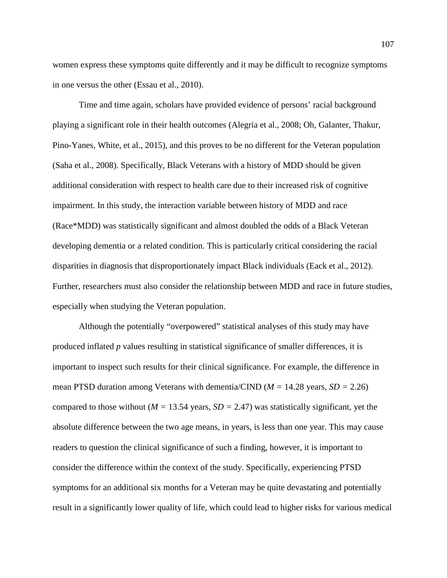women express these symptoms quite differently and it may be difficult to recognize symptoms in one versus the other [\(Essau et al., 2010\)](#page-114-2).

Time and time again, scholars have provided evidence of persons' racial background playing a significant role in their health outcomes [\(Alegria et al., 2008;](#page-109-1) [Oh, Galanter, Thakur,](#page-120-2)  [Pino-Yanes, White, et al., 2015\)](#page-120-2), and this proves to be no different for the Veteran population [\(Saha et al., 2008\)](#page-123-0). Specifically, Black Veterans with a history of MDD should be given additional consideration with respect to health care due to their increased risk of cognitive impairment. In this study, the interaction variable between history of MDD and race (Race\*MDD) was statistically significant and almost doubled the odds of a Black Veteran developing dementia or a related condition. This is particularly critical considering the racial disparities in diagnosis that disproportionately impact Black individuals [\(Eack et al., 2012\)](#page-114-3). Further, researchers must also consider the relationship between MDD and race in future studies, especially when studying the Veteran population.

Although the potentially "overpowered" statistical analyses of this study may have produced inflated *p* values resulting in statistical significance of smaller differences, it is important to inspect such results for their clinical significance. For example, the difference in mean PTSD duration among Veterans with dementia/CIND (*M =* 14.28 years, *SD =* 2.26) compared to those without ( $M = 13.54$  years,  $SD = 2.47$ ) was statistically significant, yet the absolute difference between the two age means, in years, is less than one year. This may cause readers to question the clinical significance of such a finding, however, it is important to consider the difference within the context of the study. Specifically, experiencing PTSD symptoms for an additional six months for a Veteran may be quite devastating and potentially result in a significantly lower quality of life, which could lead to higher risks for various medical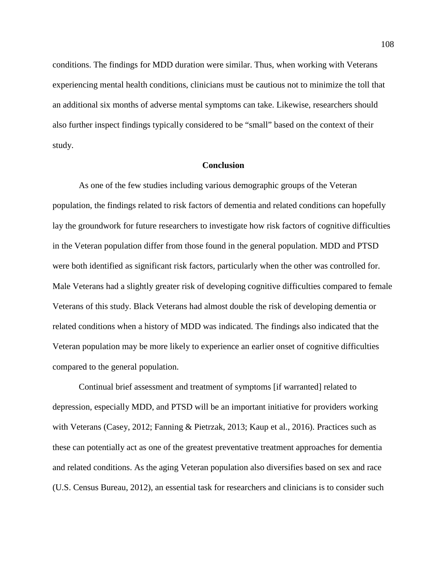conditions. The findings for MDD duration were similar. Thus, when working with Veterans experiencing mental health conditions, clinicians must be cautious not to minimize the toll that an additional six months of adverse mental symptoms can take. Likewise, researchers should also further inspect findings typically considered to be "small" based on the context of their study.

## **Conclusion**

As one of the few studies including various demographic groups of the Veteran population, the findings related to risk factors of dementia and related conditions can hopefully lay the groundwork for future researchers to investigate how risk factors of cognitive difficulties in the Veteran population differ from those found in the general population. MDD and PTSD were both identified as significant risk factors, particularly when the other was controlled for. Male Veterans had a slightly greater risk of developing cognitive difficulties compared to female Veterans of this study. Black Veterans had almost double the risk of developing dementia or related conditions when a history of MDD was indicated. The findings also indicated that the Veteran population may be more likely to experience an earlier onset of cognitive difficulties compared to the general population.

Continual brief assessment and treatment of symptoms [if warranted] related to depression, especially MDD, and PTSD will be an important initiative for providers working with Veterans [\(Casey, 2012;](#page-111-4) [Fanning & Pietrzak, 2013;](#page-114-4) [Kaup et al., 2016\)](#page-117-0). Practices such as these can potentially act as one of the greatest preventative treatment approaches for dementia and related conditions. As the aging Veteran population also diversifies based on sex and race [\(U.S. Census Bureau, 2012\)](#page-125-3), an essential task for researchers and clinicians is to consider such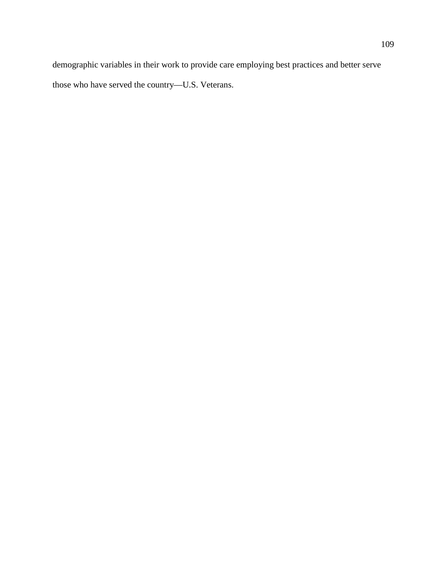demographic variables in their work to provide care employing best practices and better serve those who have served the country—U.S. Veterans.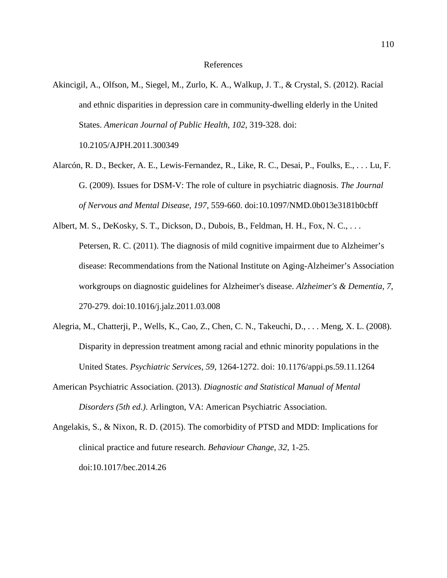- Akincigil, A., Olfson, M., Siegel, M., Zurlo, K. A., Walkup, J. T., & Crystal, S. (2012). Racial and ethnic disparities in depression care in community-dwelling elderly in the United States. *American Journal of Public Health, 102*, 319-328. doi: 10.2105/AJPH.2011.300349
- Alarcón, R. D., Becker, A. E., Lewis-Fernandez, R., Like, R. C., Desai, P., Foulks, E., . . . Lu, F. G. (2009). Issues for DSM-V: The role of culture in psychiatric diagnosis. *The Journal of Nervous and Mental Disease, 197*, 559-660. doi:10.1097/NMD.0b013e3181b0cbff
- Albert, M. S., DeKosky, S. T., Dickson, D., Dubois, B., Feldman, H. H., Fox, N. C., ... Petersen, R. C. (2011). The diagnosis of mild cognitive impairment due to Alzheimer's disease: Recommendations from the National Institute on Aging-Alzheimer's Association workgroups on diagnostic guidelines for Alzheimer's disease. *Alzheimer's & Dementia, 7*, 270-279. doi:10.1016/j.jalz.2011.03.008
- Alegria, M., Chatterji, P., Wells, K., Cao, Z., Chen, C. N., Takeuchi, D., . . . Meng, X. L. (2008). Disparity in depression treatment among racial and ethnic minority populations in the United States. *Psychiatric Services, 59*, 1264-1272. doi: 10.1176/appi.ps.59.11.1264
- American Psychiatric Association. (2013). *Diagnostic and Statistical Manual of Mental Disorders (5th ed.)*. Arlington, VA: American Psychiatric Association.
- Angelakis, S., & Nixon, R. D. (2015). The comorbidity of PTSD and MDD: Implications for clinical practice and future research. *Behaviour Change, 32*, 1-25. doi:10.1017/bec.2014.26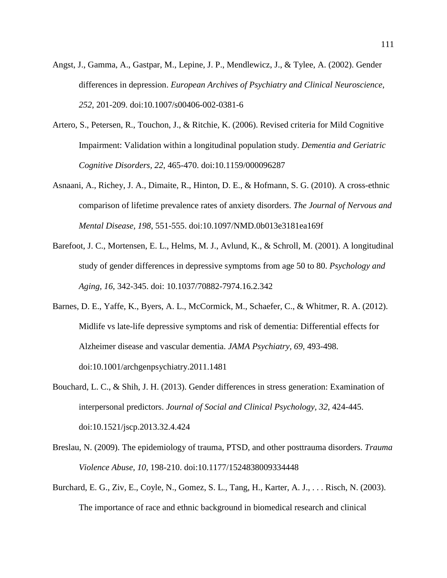- Angst, J., Gamma, A., Gastpar, M., Lepine, J. P., Mendlewicz, J., & Tylee, A. (2002). Gender differences in depression. *European Archives of Psychiatry and Clinical Neuroscience, 252*, 201-209. doi:10.1007/s00406-002-0381-6
- Artero, S., Petersen, R., Touchon, J., & Ritchie, K. (2006). Revised criteria for Mild Cognitive Impairment: Validation within a longitudinal population study. *Dementia and Geriatric Cognitive Disorders, 22*, 465-470. doi:10.1159/000096287
- Asnaani, A., Richey, J. A., Dimaite, R., Hinton, D. E., & Hofmann, S. G. (2010). A cross-ethnic comparison of lifetime prevalence rates of anxiety disorders. *The Journal of Nervous and Mental Disease, 198*, 551-555. doi:10.1097/NMD.0b013e3181ea169f
- Barefoot, J. C., Mortensen, E. L., Helms, M. J., Avlund, K., & Schroll, M. (2001). A longitudinal study of gender differences in depressive symptoms from age 50 to 80. *Psychology and Aging, 16*, 342-345. doi: 10.1037/70882-7974.16.2.342
- Barnes, D. E., Yaffe, K., Byers, A. L., McCormick, M., Schaefer, C., & Whitmer, R. A. (2012). Midlife vs late-life depressive symptoms and risk of dementia: Differential effects for Alzheimer disease and vascular dementia. *JAMA Psychiatry, 69*, 493-498. doi:10.1001/archgenpsychiatry.2011.1481
- Bouchard, L. C., & Shih, J. H. (2013). Gender differences in stress generation: Examination of interpersonal predictors. *Journal of Social and Clinical Psychology, 32*, 424-445. doi:10.1521/jscp.2013.32.4.424
- Breslau, N. (2009). The epidemiology of trauma, PTSD, and other posttrauma disorders. *Trauma Violence Abuse, 10*, 198-210. doi:10.1177/1524838009334448
- Burchard, E. G., Ziv, E., Coyle, N., Gomez, S. L., Tang, H., Karter, A. J., . . . Risch, N. (2003). The importance of race and ethnic background in biomedical research and clinical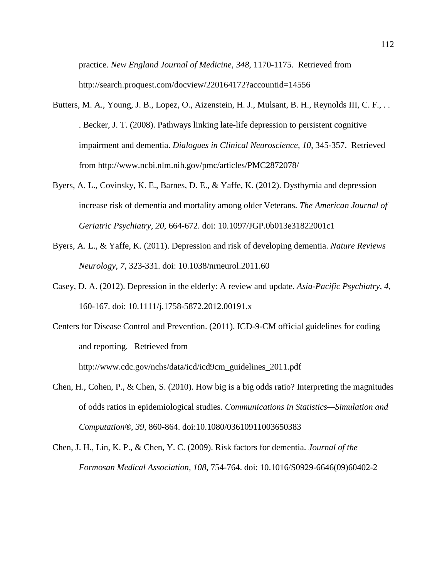practice. *New England Journal of Medicine, 348*, 1170-1175. Retrieved from http://search.proquest.com/docview/220164172?accountid=14556

- Butters, M. A., Young, J. B., Lopez, O., Aizenstein, H. J., Mulsant, B. H., Reynolds III, C. F., . . . Becker, J. T. (2008). Pathways linking late-life depression to persistent cognitive impairment and dementia. *Dialogues in Clinical Neuroscience, 10*, 345-357. Retrieved from http://www.ncbi.nlm.nih.gov/pmc/articles/PMC2872078/
- Byers, A. L., Covinsky, K. E., Barnes, D. E., & Yaffe, K. (2012). Dysthymia and depression increase risk of dementia and mortality among older Veterans. *The American Journal of Geriatric Psychiatry, 20*, 664-672. doi: 10.1097/JGP.0b013e31822001c1
- Byers, A. L., & Yaffe, K. (2011). Depression and risk of developing dementia. *Nature Reviews Neurology, 7*, 323-331. doi: 10.1038/nrneurol.2011.60
- Casey, D. A. (2012). Depression in the elderly: A review and update. *Asia-Pacific Psychiatry, 4*, 160-167. doi: 10.1111/j.1758-5872.2012.00191.x
- Centers for Disease Control and Prevention. (2011). ICD-9-CM official guidelines for coding and reporting. Retrieved from http://www.cdc.gov/nchs/data/icd/icd9cm\_guidelines\_2011.pdf
- Chen, H., Cohen, P., & Chen, S. (2010). How big is a big odds ratio? Interpreting the magnitudes of odds ratios in epidemiological studies. *Communications in Statistics—Simulation and Computation®, 39*, 860-864. doi:10.1080/03610911003650383
- Chen, J. H., Lin, K. P., & Chen, Y. C. (2009). Risk factors for dementia. *Journal of the Formosan Medical Association, 108*, 754-764. doi: 10.1016/S0929-6646(09)60402-2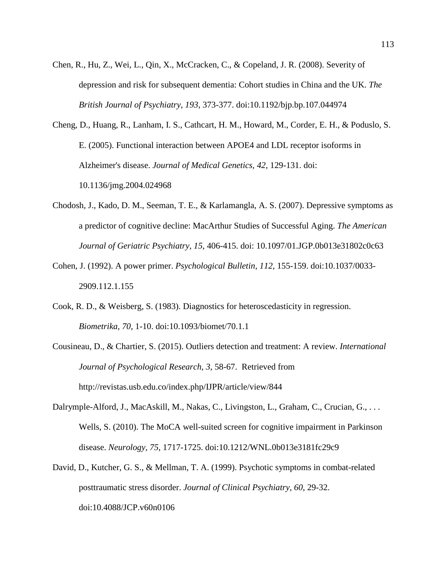Chen, R., Hu, Z., Wei, L., Qin, X., McCracken, C., & Copeland, J. R. (2008). Severity of depression and risk for subsequent dementia: Cohort studies in China and the UK. *The British Journal of Psychiatry, 193*, 373-377. doi:10.1192/bjp.bp.107.044974

Cheng, D., Huang, R., Lanham, I. S., Cathcart, H. M., Howard, M., Corder, E. H., & Poduslo, S. E. (2005). Functional interaction between APOE4 and LDL receptor isoforms in Alzheimer's disease. *Journal of Medical Genetics, 42*, 129-131. doi: 10.1136/jmg.2004.024968

- Chodosh, J., Kado, D. M., Seeman, T. E., & Karlamangla, A. S. (2007). Depressive symptoms as a predictor of cognitive decline: MacArthur Studies of Successful Aging. *The American Journal of Geriatric Psychiatry, 15*, 406-415. doi: 10.1097/01.JGP.0b013e31802c0c63
- Cohen, J. (1992). A power primer. *Psychological Bulletin, 112*, 155-159. doi:10.1037/0033- 2909.112.1.155
- Cook, R. D., & Weisberg, S. (1983). Diagnostics for heteroscedasticity in regression. *Biometrika, 70*, 1-10. doi:10.1093/biomet/70.1.1
- Cousineau, D., & Chartier, S. (2015). Outliers detection and treatment: A review. *International Journal of Psychological Research, 3*, 58-67. Retrieved from http://revistas.usb.edu.co/index.php/IJPR/article/view/844
- Dalrymple-Alford, J., MacAskill, M., Nakas, C., Livingston, L., Graham, C., Crucian, G., ... Wells, S. (2010). The MoCA well-suited screen for cognitive impairment in Parkinson disease. *Neurology, 75*, 1717-1725. doi:10.1212/WNL.0b013e3181fc29c9
- David, D., Kutcher, G. S., & Mellman, T. A. (1999). Psychotic symptoms in combat-related posttraumatic stress disorder. *Journal of Clinical Psychiatry, 60*, 29-32. doi:10.4088/JCP.v60n0106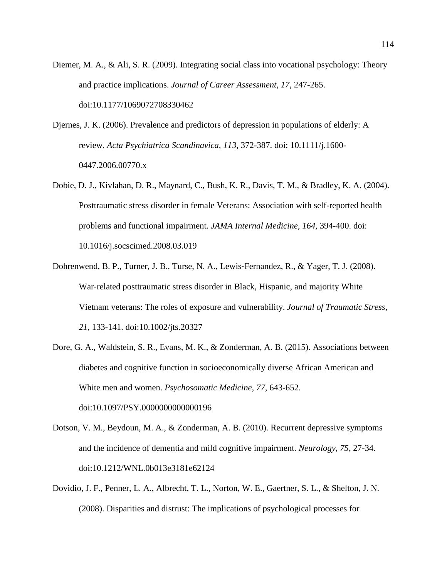- Diemer, M. A., & Ali, S. R. (2009). Integrating social class into vocational psychology: Theory and practice implications. *Journal of Career Assessment, 17*, 247-265. doi:10.1177/1069072708330462
- Djernes, J. K. (2006). Prevalence and predictors of depression in populations of elderly: A review. *Acta Psychiatrica Scandinavica, 113*, 372-387. doi: 10.1111/j.1600- 0447.2006.00770.x
- Dobie, D. J., Kivlahan, D. R., Maynard, C., Bush, K. R., Davis, T. M., & Bradley, K. A. (2004). Posttraumatic stress disorder in female Veterans: Association with self-reported health problems and functional impairment. *JAMA Internal Medicine, 164*, 394-400. doi: 10.1016/j.socscimed.2008.03.019
- Dohrenwend, B. P., Turner, J. B., Turse, N. A., Lewis‐Fernandez, R., & Yager, T. J. (2008). War-related posttraumatic stress disorder in Black, Hispanic, and majority White Vietnam veterans: The roles of exposure and vulnerability. *Journal of Traumatic Stress, 21*, 133-141. doi:10.1002/jts.20327
- Dore, G. A., Waldstein, S. R., Evans, M. K., & Zonderman, A. B. (2015). Associations between diabetes and cognitive function in socioeconomically diverse African American and White men and women. *Psychosomatic Medicine, 77*, 643-652. doi:10.1097/PSY.0000000000000196
- Dotson, V. M., Beydoun, M. A., & Zonderman, A. B. (2010). Recurrent depressive symptoms and the incidence of dementia and mild cognitive impairment. *Neurology, 75*, 27-34. doi:10.1212/WNL.0b013e3181e62124
- Dovidio, J. F., Penner, L. A., Albrecht, T. L., Norton, W. E., Gaertner, S. L., & Shelton, J. N. (2008). Disparities and distrust: The implications of psychological processes for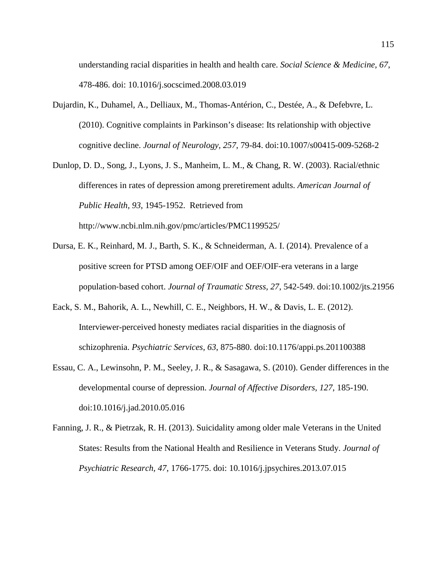understanding racial disparities in health and health care. *Social Science & Medicine, 67*, 478-486. doi: 10.1016/j.socscimed.2008.03.019

- Dujardin, K., Duhamel, A., Delliaux, M., Thomas-Antérion, C., Destée, A., & Defebvre, L. (2010). Cognitive complaints in Parkinson's disease: Its relationship with objective cognitive decline. *Journal of Neurology, 257*, 79-84. doi:10.1007/s00415-009-5268-2
- Dunlop, D. D., Song, J., Lyons, J. S., Manheim, L. M., & Chang, R. W. (2003). Racial/ethnic differences in rates of depression among preretirement adults. *American Journal of Public Health, 93*, 1945-1952. Retrieved from http://www.ncbi.nlm.nih.gov/pmc/articles/PMC1199525/
- Dursa, E. K., Reinhard, M. J., Barth, S. K., & Schneiderman, A. I. (2014). Prevalence of a positive screen for PTSD among OEF/OIF and OEF/OIF‐era veterans in a large population‐based cohort. *Journal of Traumatic Stress, 27*, 542-549. doi:10.1002/jts.21956
- Eack, S. M., Bahorik, A. L., Newhill, C. E., Neighbors, H. W., & Davis, L. E. (2012). Interviewer-perceived honesty mediates racial disparities in the diagnosis of schizophrenia. *Psychiatric Services, 63*, 875-880. doi:10.1176/appi.ps.201100388
- Essau, C. A., Lewinsohn, P. M., Seeley, J. R., & Sasagawa, S. (2010). Gender differences in the developmental course of depression. *Journal of Affective Disorders, 127*, 185-190. doi:10.1016/j.jad.2010.05.016
- Fanning, J. R., & Pietrzak, R. H. (2013). Suicidality among older male Veterans in the United States: Results from the National Health and Resilience in Veterans Study. *Journal of Psychiatric Research, 47*, 1766-1775. doi: 10.1016/j.jpsychires.2013.07.015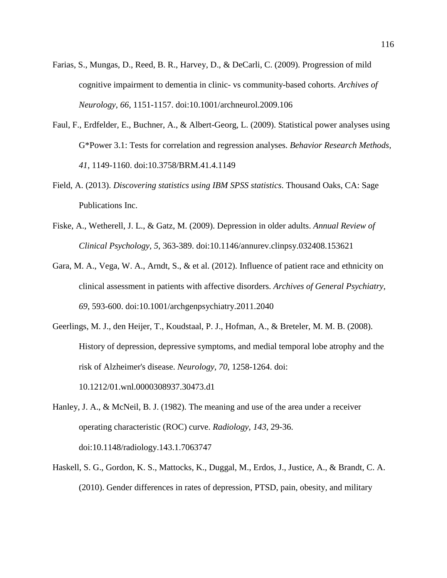- Farias, S., Mungas, D., Reed, B. R., Harvey, D., & DeCarli, C. (2009). Progression of mild cognitive impairment to dementia in clinic- vs community-based cohorts. *Archives of Neurology, 66*, 1151-1157. doi:10.1001/archneurol.2009.106
- Faul, F., Erdfelder, E., Buchner, A., & Albert-Georg, L. (2009). Statistical power analyses using G\*Power 3.1: Tests for correlation and regression analyses. *Behavior Research Methods, 41*, 1149-1160. doi:10.3758/BRM.41.4.1149
- Field, A. (2013). *Discovering statistics using IBM SPSS statistics*. Thousand Oaks, CA: Sage Publications Inc.
- Fiske, A., Wetherell, J. L., & Gatz, M. (2009). Depression in older adults. *Annual Review of Clinical Psychology, 5*, 363-389. doi:10.1146/annurev.clinpsy.032408.153621
- Gara, M. A., Vega, W. A., Arndt, S., & et al. (2012). Influence of patient race and ethnicity on clinical assessment in patients with affective disorders. *Archives of General Psychiatry, 69*, 593-600. doi:10.1001/archgenpsychiatry.2011.2040
- Geerlings, M. J., den Heijer, T., Koudstaal, P. J., Hofman, A., & Breteler, M. M. B. (2008). History of depression, depressive symptoms, and medial temporal lobe atrophy and the risk of Alzheimer's disease. *Neurology, 70*, 1258-1264. doi: 10.1212/01.wnl.0000308937.30473.d1
- Hanley, J. A., & McNeil, B. J. (1982). The meaning and use of the area under a receiver operating characteristic (ROC) curve. *Radiology, 143*, 29-36. doi:10.1148/radiology.143.1.7063747
- Haskell, S. G., Gordon, K. S., Mattocks, K., Duggal, M., Erdos, J., Justice, A., & Brandt, C. A. (2010). Gender differences in rates of depression, PTSD, pain, obesity, and military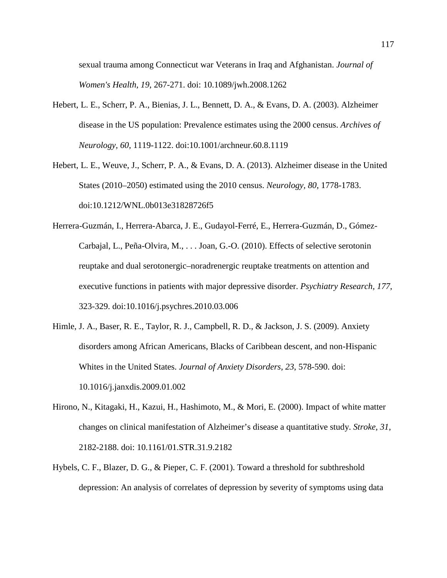sexual trauma among Connecticut war Veterans in Iraq and Afghanistan. *Journal of Women's Health, 19*, 267-271. doi: 10.1089/jwh.2008.1262

- Hebert, L. E., Scherr, P. A., Bienias, J. L., Bennett, D. A., & Evans, D. A. (2003). Alzheimer disease in the US population: Prevalence estimates using the 2000 census. *Archives of Neurology, 60*, 1119-1122. doi:10.1001/archneur.60.8.1119
- Hebert, L. E., Weuve, J., Scherr, P. A., & Evans, D. A. (2013). Alzheimer disease in the United States (2010–2050) estimated using the 2010 census. *Neurology, 80*, 1778-1783. doi:10.1212/WNL.0b013e31828726f5
- Herrera-Guzmán, I., Herrera-Abarca, J. E., Gudayol-Ferré, E., Herrera-Guzmán, D., Gómez-Carbajal, L., Peña-Olvira, M., . . . Joan, G.-O. (2010). Effects of selective serotonin reuptake and dual serotonergic–noradrenergic reuptake treatments on attention and executive functions in patients with major depressive disorder. *Psychiatry Research, 177*, 323-329. doi:10.1016/j.psychres.2010.03.006
- Himle, J. A., Baser, R. E., Taylor, R. J., Campbell, R. D., & Jackson, J. S. (2009). Anxiety disorders among African Americans, Blacks of Caribbean descent, and non-Hispanic Whites in the United States. *Journal of Anxiety Disorders, 23*, 578-590. doi: 10.1016/j.janxdis.2009.01.002
- Hirono, N., Kitagaki, H., Kazui, H., Hashimoto, M., & Mori, E. (2000). Impact of white matter changes on clinical manifestation of Alzheimer's disease a quantitative study. *Stroke, 31*, 2182-2188. doi: 10.1161/01.STR.31.9.2182
- Hybels, C. F., Blazer, D. G., & Pieper, C. F. (2001). Toward a threshold for subthreshold depression: An analysis of correlates of depression by severity of symptoms using data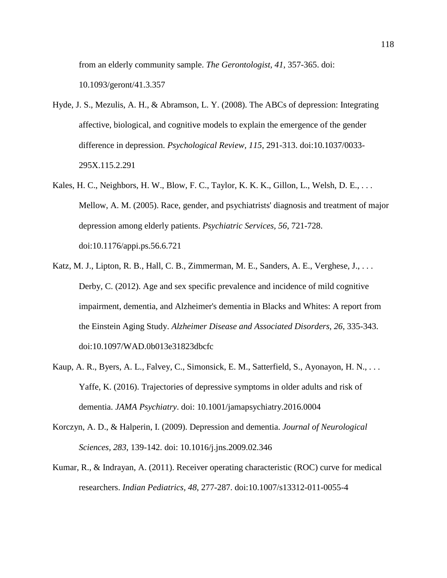from an elderly community sample. *The Gerontologist, 41*, 357-365. doi: 10.1093/geront/41.3.357

- Hyde, J. S., Mezulis, A. H., & Abramson, L. Y. (2008). The ABCs of depression: Integrating affective, biological, and cognitive models to explain the emergence of the gender difference in depression. *Psychological Review, 115*, 291-313. doi:10.1037/0033- 295X.115.2.291
- Kales, H. C., Neighbors, H. W., Blow, F. C., Taylor, K. K. K., Gillon, L., Welsh, D. E., . . . Mellow, A. M. (2005). Race, gender, and psychiatrists' diagnosis and treatment of major depression among elderly patients. *Psychiatric Services, 56*, 721-728. doi:10.1176/appi.ps.56.6.721
- Katz, M. J., Lipton, R. B., Hall, C. B., Zimmerman, M. E., Sanders, A. E., Verghese, J., . . . Derby, C. (2012). Age and sex specific prevalence and incidence of mild cognitive impairment, dementia, and Alzheimer's dementia in Blacks and Whites: A report from the Einstein Aging Study. *Alzheimer Disease and Associated Disorders, 26*, 335-343. doi:10.1097/WAD.0b013e31823dbcfc
- Kaup, A. R., Byers, A. L., Falvey, C., Simonsick, E. M., Satterfield, S., Ayonayon, H. N., . . . Yaffe, K. (2016). Trajectories of depressive symptoms in older adults and risk of dementia. *JAMA Psychiatry*. doi: 10.1001/jamapsychiatry.2016.0004
- Korczyn, A. D., & Halperin, I. (2009). Depression and dementia. *Journal of Neurological Sciences, 283*, 139-142. doi: 10.1016/j.jns.2009.02.346
- Kumar, R., & Indrayan, A. (2011). Receiver operating characteristic (ROC) curve for medical researchers. *Indian Pediatrics, 48*, 277-287. doi:10.1007/s13312-011-0055-4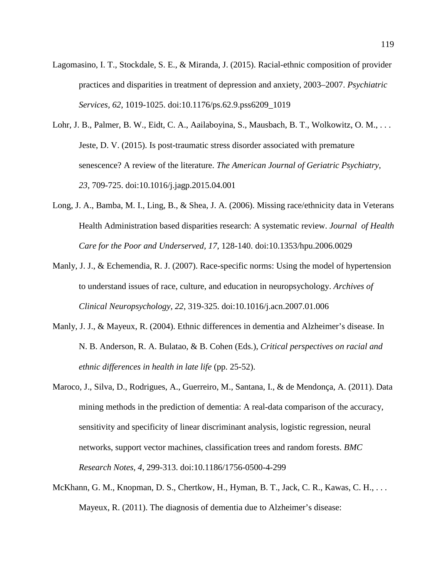- Lagomasino, I. T., Stockdale, S. E., & Miranda, J. (2015). Racial-ethnic composition of provider practices and disparities in treatment of depression and anxiety, 2003–2007. *Psychiatric Services, 62*, 1019-1025. doi:10.1176/ps.62.9.pss6209\_1019
- Lohr, J. B., Palmer, B. W., Eidt, C. A., Aailaboyina, S., Mausbach, B. T., Wolkowitz, O. M., ... Jeste, D. V. (2015). Is post-traumatic stress disorder associated with premature senescence? A review of the literature. *The American Journal of Geriatric Psychiatry, 23*, 709-725. doi:10.1016/j.jagp.2015.04.001
- Long, J. A., Bamba, M. I., Ling, B., & Shea, J. A. (2006). Missing race/ethnicity data in Veterans Health Administration based disparities research: A systematic review. *Journal of Health Care for the Poor and Underserved, 17*, 128-140. doi:10.1353/hpu.2006.0029
- Manly, J. J., & Echemendia, R. J. (2007). Race-specific norms: Using the model of hypertension to understand issues of race, culture, and education in neuropsychology. *Archives of Clinical Neuropsychology, 22*, 319-325. doi:10.1016/j.acn.2007.01.006
- Manly, J. J., & Mayeux, R. (2004). Ethnic differences in dementia and Alzheimer's disease. In N. B. Anderson, R. A. Bulatao, & B. Cohen (Eds.), *Critical perspectives on racial and ethnic differences in health in late life* (pp. 25-52).
- Maroco, J., Silva, D., Rodrigues, A., Guerreiro, M., Santana, I., & de Mendonça, A. (2011). Data mining methods in the prediction of dementia: A real-data comparison of the accuracy, sensitivity and specificity of linear discriminant analysis, logistic regression, neural networks, support vector machines, classification trees and random forests. *BMC Research Notes, 4*, 299-313. doi:10.1186/1756-0500-4-299
- McKhann, G. M., Knopman, D. S., Chertkow, H., Hyman, B. T., Jack, C. R., Kawas, C. H., ... Mayeux, R. (2011). The diagnosis of dementia due to Alzheimer's disease: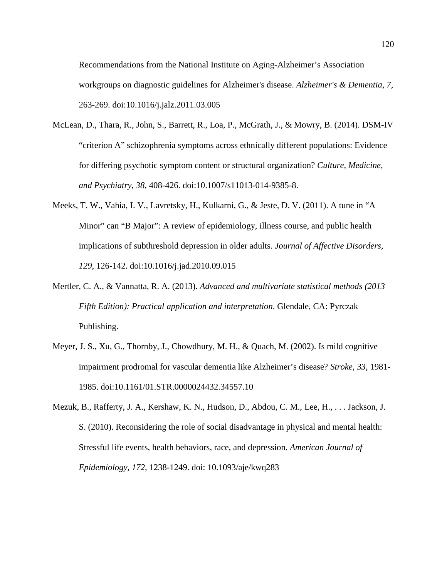Recommendations from the National Institute on Aging-Alzheimer's Association workgroups on diagnostic guidelines for Alzheimer's disease. *Alzheimer's & Dementia, 7*, 263-269. doi:10.1016/j.jalz.2011.03.005

- McLean, D., Thara, R., John, S., Barrett, R., Loa, P., McGrath, J., & Mowry, B. (2014). DSM-IV "criterion A" schizophrenia symptoms across ethnically different populations: Evidence for differing psychotic symptom content or structural organization? *Culture, Medicine, and Psychiatry, 38*, 408-426. doi:10.1007/s11013-014-9385-8.
- Meeks, T. W., Vahia, I. V., Lavretsky, H., Kulkarni, G., & Jeste, D. V. (2011). A tune in "A Minor" can "B Major": A review of epidemiology, illness course, and public health implications of subthreshold depression in older adults. *Journal of Affective Disorders, 129*, 126-142. doi:10.1016/j.jad.2010.09.015
- Mertler, C. A., & Vannatta, R. A. (2013). *Advanced and multivariate statistical methods (2013 Fifth Edition): Practical application and interpretation*. Glendale, CA: Pyrczak Publishing.
- Meyer, J. S., Xu, G., Thornby, J., Chowdhury, M. H., & Quach, M. (2002). Is mild cognitive impairment prodromal for vascular dementia like Alzheimer's disease? *Stroke, 33*, 1981- 1985. doi:10.1161/01.STR.0000024432.34557.10
- Mezuk, B., Rafferty, J. A., Kershaw, K. N., Hudson, D., Abdou, C. M., Lee, H., . . . Jackson, J. S. (2010). Reconsidering the role of social disadvantage in physical and mental health: Stressful life events, health behaviors, race, and depression. *American Journal of Epidemiology, 172*, 1238-1249. doi: 10.1093/aje/kwq283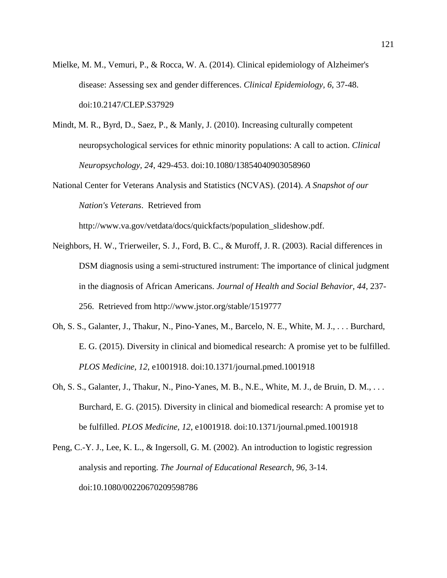- Mielke, M. M., Vemuri, P., & Rocca, W. A. (2014). Clinical epidemiology of Alzheimer's disease: Assessing sex and gender differences. *Clinical Epidemiology, 6*, 37-48. doi:10.2147/CLEP.S37929
- Mindt, M. R., Byrd, D., Saez, P., & Manly, J. (2010). Increasing culturally competent neuropsychological services for ethnic minority populations: A call to action. *Clinical Neuropsychology, 24*, 429-453. doi:10.1080/13854040903058960
- National Center for Veterans Analysis and Statistics (NCVAS). (2014). *A Snapshot of our Nation's Veterans*. Retrieved from

http://www.va.gov/vetdata/docs/quickfacts/population\_slideshow.pdf.

- Neighbors, H. W., Trierweiler, S. J., Ford, B. C., & Muroff, J. R. (2003). Racial differences in DSM diagnosis using a semi-structured instrument: The importance of clinical judgment in the diagnosis of African Americans. *Journal of Health and Social Behavior, 44*, 237- 256. Retrieved from http://www.jstor.org/stable/1519777
- Oh, S. S., Galanter, J., Thakur, N., Pino-Yanes, M., Barcelo, N. E., White, M. J., . . . Burchard, E. G. (2015). Diversity in clinical and biomedical research: A promise yet to be fulfilled. *PLOS Medicine, 12*, e1001918. doi:10.1371/journal.pmed.1001918
- Oh, S. S., Galanter, J., Thakur, N., Pino-Yanes, M. B., N.E., White, M. J., de Bruin, D. M., . . . Burchard, E. G. (2015). Diversity in clinical and biomedical research: A promise yet to be fulfilled. *PLOS Medicine, 12*, e1001918. doi:10.1371/journal.pmed.1001918
- Peng, C.-Y. J., Lee, K. L., & Ingersoll, G. M. (2002). An introduction to logistic regression analysis and reporting. *The Journal of Educational Research, 96*, 3-14. doi:10.1080/00220670209598786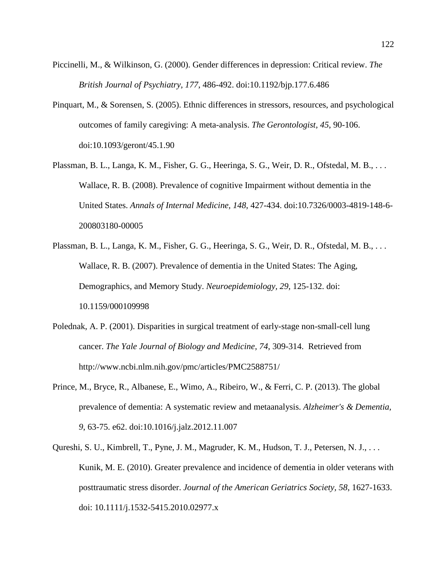- Piccinelli, M., & Wilkinson, G. (2000). Gender differences in depression: Critical review. *The British Journal of Psychiatry, 177*, 486-492. doi:10.1192/bjp.177.6.486
- Pinquart, M., & Sorensen, S. (2005). Ethnic differences in stressors, resources, and psychological outcomes of family caregiving: A meta-analysis. *The Gerontologist, 45*, 90-106. doi:10.1093/geront/45.1.90
- Plassman, B. L., Langa, K. M., Fisher, G. G., Heeringa, S. G., Weir, D. R., Ofstedal, M. B., . . . Wallace, R. B. (2008). Prevalence of cognitive Impairment without dementia in the United States. *Annals of Internal Medicine, 148*, 427-434. doi:10.7326/0003-4819-148-6- 200803180-00005
- Plassman, B. L., Langa, K. M., Fisher, G. G., Heeringa, S. G., Weir, D. R., Ofstedal, M. B., ... Wallace, R. B. (2007). Prevalence of dementia in the United States: The Aging, Demographics, and Memory Study. *Neuroepidemiology, 29*, 125-132. doi: 10.1159/000109998
- Polednak, A. P. (2001). Disparities in surgical treatment of early-stage non-small-cell lung cancer. *The Yale Journal of Biology and Medicine, 74*, 309-314. Retrieved from http://www.ncbi.nlm.nih.gov/pmc/articles/PMC2588751/
- Prince, M., Bryce, R., Albanese, E., Wimo, A., Ribeiro, W., & Ferri, C. P. (2013). The global prevalence of dementia: A systematic review and metaanalysis. *Alzheimer's & Dementia, 9*, 63-75. e62. doi:10.1016/j.jalz.2012.11.007
- Qureshi, S. U., Kimbrell, T., Pyne, J. M., Magruder, K. M., Hudson, T. J., Petersen, N. J., . . . Kunik, M. E. (2010). Greater prevalence and incidence of dementia in older veterans with posttraumatic stress disorder. *Journal of the American Geriatrics Society, 58*, 1627-1633. doi: 10.1111/j.1532-5415.2010.02977.x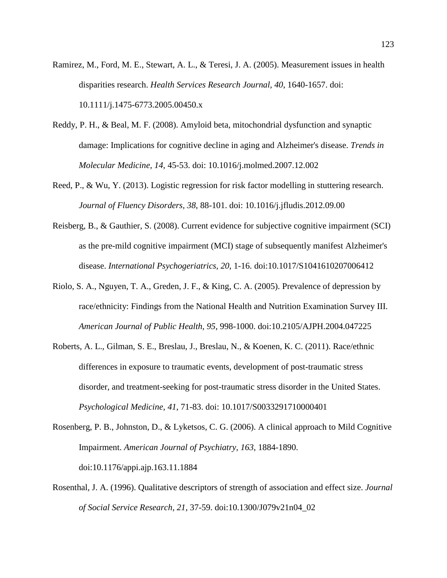Ramirez, M., Ford, M. E., Stewart, A. L., & Teresi, J. A. (2005). Measurement issues in health disparities research. *Health Services Research Journal, 40*, 1640-1657. doi: 10.1111/j.1475-6773.2005.00450.x

- Reddy, P. H., & Beal, M. F. (2008). Amyloid beta, mitochondrial dysfunction and synaptic damage: Implications for cognitive decline in aging and Alzheimer's disease. *Trends in Molecular Medicine, 14*, 45-53. doi: 10.1016/j.molmed.2007.12.002
- Reed, P., & Wu, Y. (2013). Logistic regression for risk factor modelling in stuttering research. *Journal of Fluency Disorders, 38*, 88-101. doi: 10.1016/j.jfludis.2012.09.00
- Reisberg, B., & Gauthier, S. (2008). Current evidence for subjective cognitive impairment (SCI) as the pre-mild cognitive impairment (MCI) stage of subsequently manifest Alzheimer's disease. *International Psychogeriatrics, 20*, 1-16. doi:10.1017/S1041610207006412
- Riolo, S. A., Nguyen, T. A., Greden, J. F., & King, C. A. (2005). Prevalence of depression by race/ethnicity: Findings from the National Health and Nutrition Examination Survey III. *American Journal of Public Health, 95*, 998-1000. doi:10.2105/AJPH.2004.047225
- Roberts, A. L., Gilman, S. E., Breslau, J., Breslau, N., & Koenen, K. C. (2011). Race/ethnic differences in exposure to traumatic events, development of post-traumatic stress disorder, and treatment-seeking for post-traumatic stress disorder in the United States. *Psychological Medicine, 41*, 71-83. doi: 10.1017/S0033291710000401
- Rosenberg, P. B., Johnston, D., & Lyketsos, C. G. (2006). A clinical approach to Mild Cognitive Impairment. *American Journal of Psychiatry, 163*, 1884-1890. doi:10.1176/appi.ajp.163.11.1884
- Rosenthal, J. A. (1996). Qualitative descriptors of strength of association and effect size. *Journal of Social Service Research, 21*, 37-59. doi:10.1300/J079v21n04\_02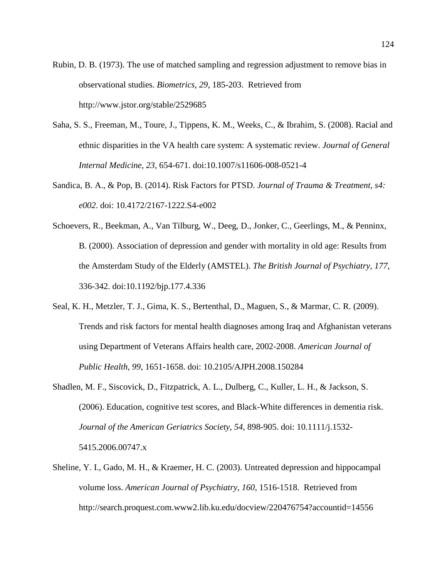Rubin, D. B. (1973). The use of matched sampling and regression adjustment to remove bias in observational studies. *Biometrics, 29*, 185-203. Retrieved from http://www.jstor.org/stable/2529685

- Saha, S. S., Freeman, M., Toure, J., Tippens, K. M., Weeks, C., & Ibrahim, S. (2008). Racial and ethnic disparities in the VA health care system: A systematic review. *Journal of General Internal Medicine, 23*, 654-671. doi:10.1007/s11606-008-0521-4
- Sandica, B. A., & Pop, B. (2014). Risk Factors for PTSD. *Journal of Trauma & Treatment, s4: e002*. doi: 10.4172/2167-1222.S4-e002
- Schoevers, R., Beekman, A., Van Tilburg, W., Deeg, D., Jonker, C., Geerlings, M., & Penninx, B. (2000). Association of depression and gender with mortality in old age: Results from the Amsterdam Study of the Elderly (AMSTEL). *The British Journal of Psychiatry, 177*, 336-342. doi:10.1192/bjp.177.4.336
- Seal, K. H., Metzler, T. J., Gima, K. S., Bertenthal, D., Maguen, S., & Marmar, C. R. (2009). Trends and risk factors for mental health diagnoses among Iraq and Afghanistan veterans using Department of Veterans Affairs health care, 2002-2008. *American Journal of Public Health, 99*, 1651-1658. doi: 10.2105/AJPH.2008.150284
- Shadlen, M. F., Siscovick, D., Fitzpatrick, A. L., Dulberg, C., Kuller, L. H., & Jackson, S. (2006). Education, cognitive test scores, and Black-White differences in dementia risk. *Journal of the American Geriatrics Society, 54*, 898-905. doi: 10.1111/j.1532- 5415.2006.00747.x
- Sheline, Y. I., Gado, M. H., & Kraemer, H. C. (2003). Untreated depression and hippocampal volume loss. *American Journal of Psychiatry, 160*, 1516-1518. Retrieved from http://search.proquest.com.www2.lib.ku.edu/docview/220476754?accountid=14556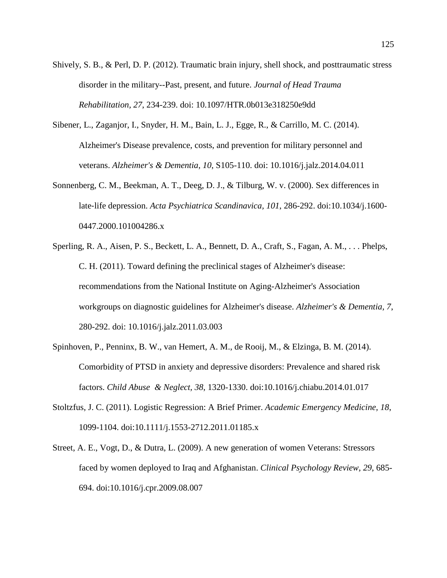- Shively, S. B., & Perl, D. P. (2012). Traumatic brain injury, shell shock, and posttraumatic stress disorder in the military--Past, present, and future. *Journal of Head Trauma Rehabilitation, 27*, 234-239. doi: 10.1097/HTR.0b013e318250e9dd
- Sibener, L., Zaganjor, I., Snyder, H. M., Bain, L. J., Egge, R., & Carrillo, M. C. (2014). Alzheimer's Disease prevalence, costs, and prevention for military personnel and veterans. *Alzheimer's & Dementia, 10*, S105-110. doi: 10.1016/j.jalz.2014.04.011
- Sonnenberg, C. M., Beekman, A. T., Deeg, D. J., & Tilburg, W. v. (2000). Sex differences in late‐life depression. *Acta Psychiatrica Scandinavica, 101*, 286-292. doi:10.1034/j.1600- 0447.2000.101004286.x
- Sperling, R. A., Aisen, P. S., Beckett, L. A., Bennett, D. A., Craft, S., Fagan, A. M., . . . Phelps, C. H. (2011). Toward defining the preclinical stages of Alzheimer's disease: recommendations from the National Institute on Aging-Alzheimer's Association workgroups on diagnostic guidelines for Alzheimer's disease. *Alzheimer's & Dementia, 7*, 280-292. doi: 10.1016/j.jalz.2011.03.003
- Spinhoven, P., Penninx, B. W., van Hemert, A. M., de Rooij, M., & Elzinga, B. M. (2014). Comorbidity of PTSD in anxiety and depressive disorders: Prevalence and shared risk factors. *Child Abuse & Neglect, 38*, 1320-1330. doi:10.1016/j.chiabu.2014.01.017
- Stoltzfus, J. C. (2011). Logistic Regression: A Brief Primer. *Academic Emergency Medicine, 18*, 1099-1104. doi:10.1111/j.1553-2712.2011.01185.x
- Street, A. E., Vogt, D., & Dutra, L. (2009). A new generation of women Veterans: Stressors faced by women deployed to Iraq and Afghanistan. *Clinical Psychology Review, 29*, 685- 694. doi:10.1016/j.cpr.2009.08.007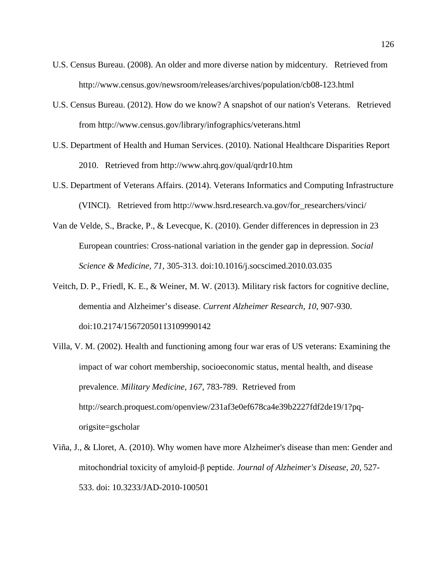- U.S. Census Bureau. (2008). An older and more diverse nation by midcentury. Retrieved from http://www.census.gov/newsroom/releases/archives/population/cb08-123.html
- U.S. Census Bureau. (2012). How do we know? A snapshot of our nation's Veterans. Retrieved from http://www.census.gov/library/infographics/veterans.html
- U.S. Department of Health and Human Services. (2010). National Healthcare Disparities Report 2010. Retrieved from http://www.ahrq.gov/qual/qrdr10.htm
- U.S. Department of Veterans Affairs. (2014). Veterans Informatics and Computing Infrastructure (VINCI). Retrieved from http://www.hsrd.research.va.gov/for\_researchers/vinci/
- Van de Velde, S., Bracke, P., & Levecque, K. (2010). Gender differences in depression in 23 European countries: Cross-national variation in the gender gap in depression. *Social Science & Medicine, 71*, 305-313. doi:10.1016/j.socscimed.2010.03.035
- Veitch, D. P., Friedl, K. E., & Weiner, M. W. (2013). Military risk factors for cognitive decline, dementia and Alzheimer's disease. *Current Alzheimer Research, 10*, 907-930. doi:10.2174/15672050113109990142
- Villa, V. M. (2002). Health and functioning among four war eras of US veterans: Examining the impact of war cohort membership, socioeconomic status, mental health, and disease prevalence. *Military Medicine, 167*, 783-789. Retrieved from http://search.proquest.com/openview/231af3e0ef678ca4e39b2227fdf2de19/1?pqorigsite=gscholar
- Viña, J., & Lloret, A. (2010). Why women have more Alzheimer's disease than men: Gender and mitochondrial toxicity of amyloid-β peptide. *Journal of Alzheimer's Disease, 20*, 527- 533. doi: 10.3233/JAD-2010-100501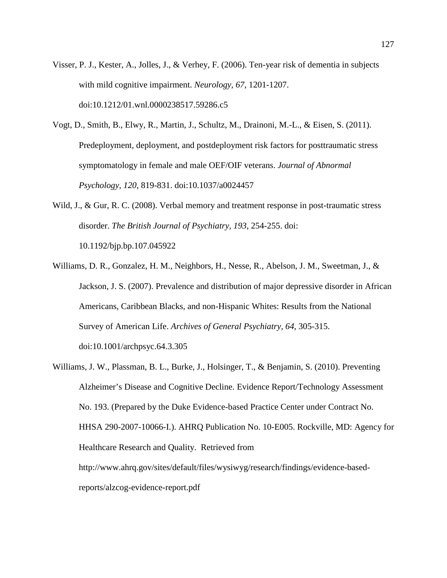- Visser, P. J., Kester, A., Jolles, J., & Verhey, F. (2006). Ten-year risk of dementia in subjects with mild cognitive impairment. *Neurology, 67*, 1201-1207. doi:10.1212/01.wnl.0000238517.59286.c5
- Vogt, D., Smith, B., Elwy, R., Martin, J., Schultz, M., Drainoni, M.-L., & Eisen, S. (2011). Predeployment, deployment, and postdeployment risk factors for posttraumatic stress symptomatology in female and male OEF/OIF veterans. *Journal of Abnormal Psychology, 120*, 819-831. doi:10.1037/a0024457
- Wild, J., & Gur, R. C. (2008). Verbal memory and treatment response in post-traumatic stress disorder. *The British Journal of Psychiatry, 193*, 254-255. doi: 10.1192/bjp.bp.107.045922
- Williams, D. R., Gonzalez, H. M., Neighbors, H., Nesse, R., Abelson, J. M., Sweetman, J., & Jackson, J. S. (2007). Prevalence and distribution of major depressive disorder in African Americans, Caribbean Blacks, and non-Hispanic Whites: Results from the National Survey of American Life. *Archives of General Psychiatry, 64*, 305-315. doi:10.1001/archpsyc.64.3.305
- Williams, J. W., Plassman, B. L., Burke, J., Holsinger, T., & Benjamin, S. (2010). Preventing Alzheimer's Disease and Cognitive Decline. Evidence Report/Technology Assessment No. 193. (Prepared by the Duke Evidence-based Practice Center under Contract No. HHSA 290-2007-10066-I.). AHRQ Publication No. 10-E005. Rockville, MD: Agency for Healthcare Research and Quality. Retrieved from http://www.ahrq.gov/sites/default/files/wysiwyg/research/findings/evidence-basedreports/alzcog-evidence-report.pdf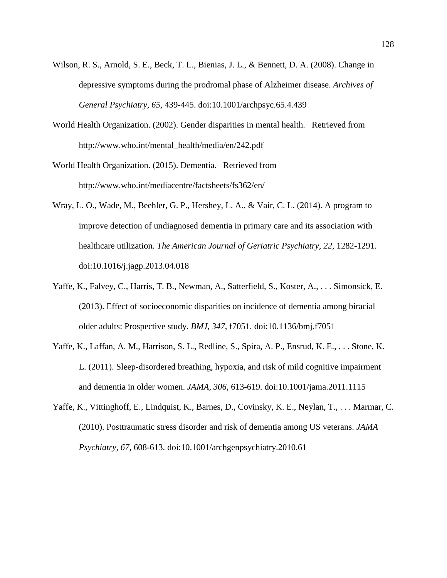- Wilson, R. S., Arnold, S. E., Beck, T. L., Bienias, J. L., & Bennett, D. A. (2008). Change in depressive symptoms during the prodromal phase of Alzheimer disease. *Archives of General Psychiatry, 65*, 439-445. doi:10.1001/archpsyc.65.4.439
- World Health Organization. (2002). Gender disparities in mental health. Retrieved from http://www.who.int/mental\_health/media/en/242.pdf
- World Health Organization. (2015). Dementia. Retrieved from http://www.who.int/mediacentre/factsheets/fs362/en/
- Wray, L. O., Wade, M., Beehler, G. P., Hershey, L. A., & Vair, C. L. (2014). A program to improve detection of undiagnosed dementia in primary care and its association with healthcare utilization. *The American Journal of Geriatric Psychiatry, 22*, 1282-1291. doi:10.1016/j.jagp.2013.04.018
- Yaffe, K., Falvey, C., Harris, T. B., Newman, A., Satterfield, S., Koster, A., . . . Simonsick, E. (2013). Effect of socioeconomic disparities on incidence of dementia among biracial older adults: Prospective study. *BMJ, 347*, f7051. doi:10.1136/bmj.f7051
- Yaffe, K., Laffan, A. M., Harrison, S. L., Redline, S., Spira, A. P., Ensrud, K. E., . . . Stone, K. L. (2011). Sleep-disordered breathing, hypoxia, and risk of mild cognitive impairment and dementia in older women. *JAMA, 306*, 613-619. doi:10.1001/jama.2011.1115
- Yaffe, K., Vittinghoff, E., Lindquist, K., Barnes, D., Covinsky, K. E., Neylan, T., . . . Marmar, C. (2010). Posttraumatic stress disorder and risk of dementia among US veterans. *JAMA Psychiatry, 67*, 608-613. doi:10.1001/archgenpsychiatry.2010.61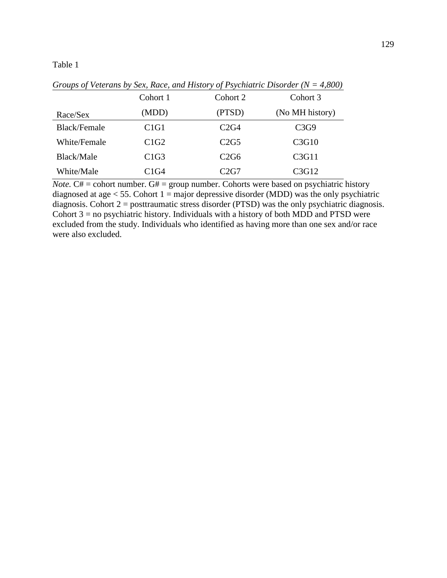|                     | Cohort 1                      | Cohort 2         | Cohort 3        |
|---------------------|-------------------------------|------------------|-----------------|
| Race/Sex            | (MDD)                         | (PTSD)           | (No MH history) |
| <b>Black/Female</b> | C <sub>1</sub> G <sub>1</sub> | C2G4             | C3G9            |
| White/Female        | C1G2                          | C2G5             | C3G10           |
| Black/Male          | C1G3                          | C2G6             | C3G11           |
| White/Male          | C1G4                          | C <sub>2G7</sub> | C3G12           |

*Groups of Veterans by Sex, Race, and History of Psychiatric Disorder (N = 4,800)*

*Note.*  $C# =$  cohort number.  $G# =$  group number. Cohorts were based on psychiatric history diagnosed at age  $<$  55. Cohort 1 = major depressive disorder (MDD) was the only psychiatric diagnosis. Cohort 2 = posttraumatic stress disorder (PTSD) was the only psychiatric diagnosis. Cohort  $3 =$  no psychiatric history. Individuals with a history of both MDD and PTSD were excluded from the study. Individuals who identified as having more than one sex and/or race were also excluded.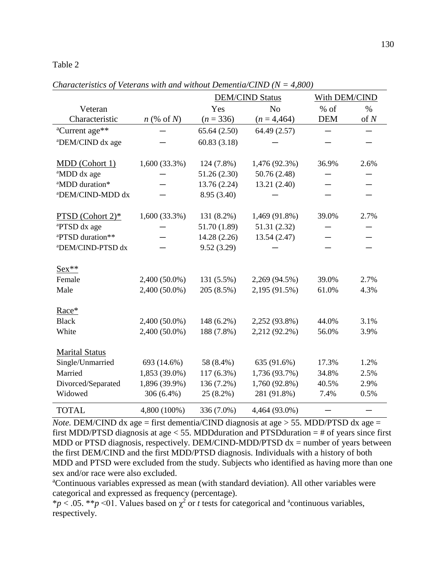|                               |                     |              | <b>DEM/CIND Status</b> | With DEM/CIND |      |
|-------------------------------|---------------------|--------------|------------------------|---------------|------|
| Veteran                       |                     | Yes          | N <sub>o</sub>         | $%$ of        | $\%$ |
| Characteristic                | $n \ (\% \ of \ N)$ | $(n = 336)$  | $(n = 4,464)$          | <b>DEM</b>    | of N |
| <sup>a</sup> Current age**    |                     | 65.64(2.50)  | 64.49 (2.57)           |               |      |
| <sup>a</sup> DEM/CIND dx age  |                     | 60.83(3.18)  |                        |               |      |
|                               |                     |              |                        |               |      |
| MDD (Cohort 1)                | $1,600(33.3\%)$     | 124 (7.8%)   | 1,476 (92.3%)          | 36.9%         | 2.6% |
| <sup>a</sup> MDD dx age       |                     | 51.26(2.30)  | 50.76 (2.48)           |               |      |
| <sup>a</sup> MDD duration*    |                     | 13.76 (2.24) | 13.21 (2.40)           |               |      |
| <sup>a</sup> DEM/CIND-MDD dx  |                     | 8.95 (3.40)  |                        |               |      |
|                               |                     |              |                        |               |      |
| PTSD (Cohort 2)*              | $1,600(33.3\%)$     | 131 (8.2%)   | 1,469 (91.8%)          | 39.0%         | 2.7% |
| <sup>a</sup> PTSD dx age      |                     | 51.70 (1.89) | 51.31 (2.32)           |               |      |
| <sup>a</sup> PTSD duration**  |                     | 14.28 (2.26) | 13.54 (2.47)           |               |      |
| <sup>a</sup> DEM/CIND-PTSD dx |                     | 9.52(3.29)   |                        |               |      |
|                               |                     |              |                        |               |      |
| $Sex**$                       |                     |              |                        |               |      |
| Female                        | 2,400 (50.0%)       | 131 (5.5%)   | 2,269 (94.5%)          | 39.0%         | 2.7% |
| Male                          | 2,400 (50.0%)       | 205 (8.5%)   | 2,195 (91.5%)          | 61.0%         | 4.3% |
| Race*                         |                     |              |                        |               |      |
|                               |                     |              |                        |               |      |
| <b>Black</b>                  | 2,400 (50.0%)       | 148 (6.2%)   | 2,252 (93.8%)          | 44.0%         | 3.1% |
| White                         | 2,400 (50.0%)       | 188 (7.8%)   | 2,212 (92.2%)          | 56.0%         | 3.9% |
| <b>Marital Status</b>         |                     |              |                        |               |      |
| Single/Unmarried              | 693 (14.6%)         | 58 (8.4%)    | 635 (91.6%)            | 17.3%         | 1.2% |
| Married                       | 1,853 (39.0%)       | 117 (6.3%)   | 1,736 (93.7%)          | 34.8%         | 2.5% |
| Divorced/Separated            | 1,896 (39.9%)       | 136 (7.2%)   | 1,760 (92.8%)          | 40.5%         | 2.9% |
| Widowed                       | 306 (6.4%)          | 25 (8.2%)    | 281 (91.8%)            | 7.4%          | 0.5% |
|                               |                     |              |                        |               |      |
| <b>TOTAL</b>                  | 4,800 (100%)        | 336 (7.0%)   | 4,464 (93.0%)          |               |      |

*Characteristics of Veterans with and without Dementia/CIND (N = 4,800)*

*Note.* DEM/CIND dx age = first dementia/CIND diagnosis at age > 55. MDD/PTSD dx age = first MDD/PTSD diagnosis at age  $<$  55. MDD duration and PTSD duration  $=$  # of years since first MDD or PTSD diagnosis, respectively. DEM/CIND-MDD/PTSD  $dx =$  number of years between the first DEM/CIND and the first MDD/PTSD diagnosis. Individuals with a history of both MDD and PTSD were excluded from the study. Subjects who identified as having more than one sex and/or race were also excluded.

<sup>a</sup>Continuous variables expressed as mean (with standard deviation). All other variables were categorical and expressed as frequency (percentage).

\* $p < .05$ . \*\* $p < 01$ . Values based on  $\chi^2$  or *t* tests for categorical and <sup>a</sup>continuous variables, respectively.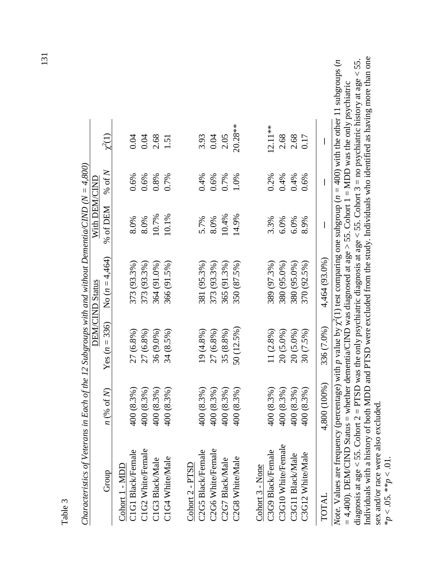| d<br>-<br>Ľ<br>- 7<br>Ļ |
|-------------------------|

| ^<br>ډ<br>$\overline{\phantom{a}}$<br> <br> <br> <br> | WALL DR. J.<br>)<br>)<br>)<br>ו<br>ווידוד<br>               |
|-------------------------------------------------------|-------------------------------------------------------------|
| $-24 - 14$<br>ļ                                       | --------<br>י היה היה הבניה ה<br>(トーバー・トーバー<br>ים<br>ר<br>ī |
| ì                                                     |                                                             |

|           |          |               | 4,464 (93.0%)    | 336 (7.0%)      | (100%)<br>4,800         | TOTAL                               |
|-----------|----------|---------------|------------------|-----------------|-------------------------|-------------------------------------|
| 0.17      | 0.6%     | 8.9%          | 370 (92.5%)      | $30(7.5\%)$     | (8.3%)<br>$rac{400}{1}$ | C3G12 White/Male                    |
| 2.68      | 0.4%     | 6.0%          | 380 (95.0%)      | 20 (5.0%)       | 400 (8.3%)              | C3G11 Black/Male                    |
| 2.68      | 0.4%     | 6.0%          | 380 (95.0%)      | 20 (5.0%)       | (8.3%)<br>400           | C3G10 White/Female                  |
| $12.11**$ | 0.2%     | 3.3%          | 389 (97.3%)      | $11(2.8\%)$     | 400 (8.3%)              | C3G9 Black/Female                   |
|           |          |               |                  |                 |                         | Cohort 3 - None                     |
| $20.28**$ | 1.0%     | 14.9%         | 350 (87.5%)      | 50 (12.5%)      | (8.3%)<br>400           | C2G8 White/Male                     |
| 2.05      | 0.7%     | 10.4%         | 365 (91.3%)      | 35 (8.8%)       | (8.3%)<br>400           | C2G7 Black/Male                     |
| 0.04      | 0.6%     | 8.0%          | 373 (93.3%)      | 27 (6.8%)       | 400 (8.3%)              | C2G6 White/Female                   |
| 3.93      | 0.4%     | 5.7%          | 381 (95.3%)      | $19(4.8\%)$     | 400 (8.3%)              | C2G5 Black/Female                   |
|           |          |               |                  |                 |                         | Cohort 2 - PTSD                     |
| 1.51      | 0.7%     | 10.1%         | 366 (91.5%)      | 34 (8.5%)       | 400 (8.3%)              | C1G4 White/Male                     |
| 2.68      | 0.8%     | 10.7%         | 364 (91.0%)      | 36 (9.0%)       | (8.3%)<br>400           | C1G3 Black/Male                     |
| 0.04      | 0.6%     | 8.0%          | 373 (93.3%)      | 27 (6.8%)       | 400 (8.3%)              | C1G2 White/Female                   |
| 0.04      | 0.6%     | 8.0%          | 373 (93.3%)      | $27(6.8\%)$     | (8.3%)<br>400           | C1G1 Black/Female<br>Cohort 1 - MDD |
| $y^2(1)$  | % of $N$ | % of DEM      | No $(n = 4,464)$ | Yes $(n = 336)$ | $n$ (% of N)            | Group                               |
|           |          | With DEM/CINL | DEM/CIND Status  |                 |                         |                                     |

Individuals with a history of both MDD and PTSD were excluded from the study. Individuals who identified as having more than one Individuals with a history of both MDD and PTSD were excluded from the study. Individuals who identified as having more than one diagnosis at age < 55. Cohort 2 = PTSD was the only psychiatric diagnosis at age < 55. Cohort 3 = no psychiatric history at age < 55. (1) test comparing one subgroup (*n =* 400) with the other 11 subgroups (*n Note.* Values are frequency (percentage) with p value by  $\chi^2(1)$  test comparing one subgroup ( $n = 400$ ) with the other 11 subgroups (*n* diagnosis at age < 55. Cohort 2 = PTSD was the only psychiatric diagnosis at age < 55. Cohort 3 = no psychiatric history at age < 55. = 4,400). DEM/CIND Status = whether dementia/CIND was diagnosed at age > 55. Cohort 1 = MDD was the only psychiatric *=* 4,400). DEM/CIND Status = whether dementia/CIND was diagnosed at age > 55. Cohort 1 = MDD was the only psychiatric *Note.* Values are frequency (percentage) with  $p$  value by  $\chi^2$ sex and/or race were also excluded. sex and/or race were also excluded.  $*_{p}$  < .05.  $*_{p}$  < .01.  $*_{p}$  < .05.  $*_{p}$  < .01.

131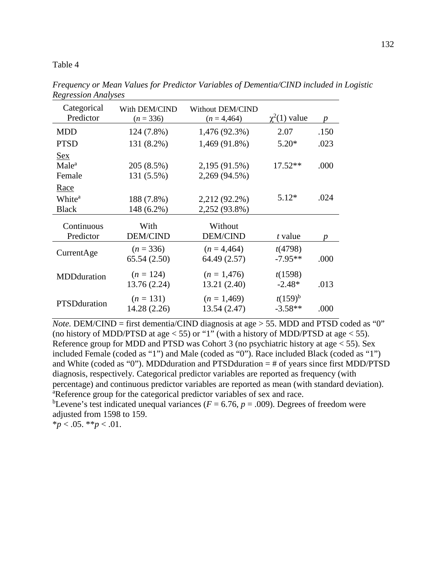| Categorical<br>Predictor        | With DEM/CIND<br>$(n = 336)$ | Without DEM/CIND<br>$(n = 4,464)$ | $\chi^2(1)$ value         | $\boldsymbol{p}$ |
|---------------------------------|------------------------------|-----------------------------------|---------------------------|------------------|
| <b>MDD</b>                      | 124 (7.8%)                   | 1,476 (92.3%)                     | 2.07                      | .150             |
| <b>PTSD</b>                     | 131 (8.2%)                   | 1,469 (91.8%)                     | $5.20*$                   | .023             |
| <b>Sex</b><br>Male <sup>a</sup> | 205 (8.5%)                   | 2,195 (91.5%)                     | $17.52**$                 | .000             |
| Female                          | 131 (5.5%)                   | 2,269 (94.5%)                     |                           |                  |
| Race                            |                              |                                   |                           |                  |
| White <sup>a</sup>              | 188 (7.8%)                   | 2,212 (92.2%)                     | $5.12*$                   | .024             |
| <b>Black</b>                    | 148 (6.2%)                   | 2,252 (93.8%)                     |                           |                  |
| Continuous                      | With                         | Without                           |                           |                  |
| Predictor                       | DEM/CIND                     | <b>DEM/CIND</b>                   | t value                   | $\boldsymbol{p}$ |
| CurrentAge                      | $(n = 336)$                  | $(n = 4,464)$                     | t(4798)                   |                  |
|                                 | 65.54(2.50)                  | 64.49 (2.57)                      | $-7.95**$                 | .000             |
| MDDduration                     | $(n = 124)$                  | $(n = 1,476)$                     | t(1598)                   |                  |
|                                 | 13.76 (2.24)                 | 13.21 (2.40)                      | $-2.48*$                  | .013             |
| <b>PTSD</b> duration            | $(n = 131)$<br>14.28 (2.26)  | $(n = 1,469)$<br>13.54 (2.47)     | $t(159)^{b}$<br>$-3.58**$ | .000             |

*Frequency or Mean Values for Predictor Variables of Dementia/CIND included in Logistic Regression Analyses*

*Note.* DEM/CIND = first dementia/CIND diagnosis at age > 55. MDD and PTSD coded as "0" (no history of MDD/PTSD at age  $<$  55) or "1" (with a history of MDD/PTSD at age  $<$  55). Reference group for MDD and PTSD was Cohort 3 (no psychiatric history at age  $\lt 55$ ). Sex included Female (coded as "1") and Male (coded as "0"). Race included Black (coded as "1") and White (coded as "0"). MDDduration and PTSDduration  $=$  # of years since first MDD/PTSD diagnosis, respectively. Categorical predictor variables are reported as frequency (with percentage) and continuous predictor variables are reported as mean (with standard deviation). <sup>a</sup>Reference group for the categorical predictor variables of sex and race.

<sup>b</sup>Levene's test indicated unequal variances ( $F = 6.76$ ,  $p = .009$ ). Degrees of freedom were adjusted from 1598 to 159.

 $*_{p}$  < .05.  $*_{p}$  < .01.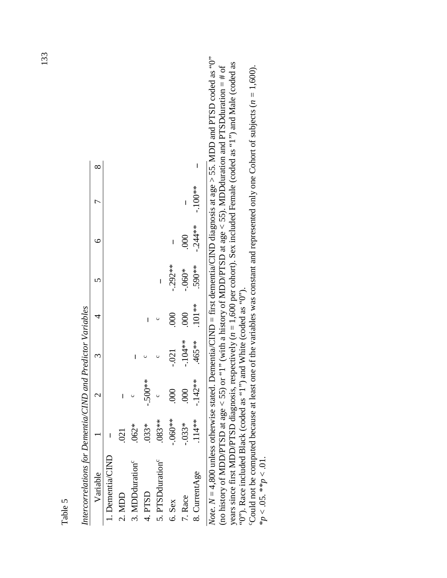| Variable                     |                          |           |           |                  |          |          | ŗ         |  |
|------------------------------|--------------------------|-----------|-----------|------------------|----------|----------|-----------|--|
| $\Delta$ Dementia/CINI       |                          |           |           |                  |          |          |           |  |
| 2. MDD                       | $\overline{\mathrm{21}}$ | I         |           |                  |          |          |           |  |
| 3. MDDduration <sup>c</sup>  | $.062*$                  |           | I         |                  |          |          |           |  |
| 4. PTSD                      | $.033*$                  | $-.500**$ |           |                  |          |          |           |  |
| 5. PTSDduration <sup>c</sup> | $.083**$                 |           |           |                  | I        |          |           |  |
| 6. Sex                       | $-060**$                 | 000       | $-021$    | $\overline{000}$ | $-292**$ | I        |           |  |
| 7. Race                      | $-0.33*$                 | 000       | $-104**$  | $\infty$         | $-060*$  | 000      | I         |  |
| 8. CurrentAge                | $.114**$                 | $-142**$  | $.465***$ | $101**$          | 590**    | $-244**$ | $-100$ ** |  |
|                              |                          |           |           |                  |          |          |           |  |

Intercorrelations for Dementia/CIND and Predictor Variables *Intercorrelations for Dementia/CIND and Predictor Variables*

*Note.*  $N = 4,800$  unless otherwise stated. Dementia/CIND = first dementia/CIND diagnosis at age > 55. MDD and PTSD coded as "0" *Note*.  $N = 4,800$  unless otherwise stated. Dementia/CIND = first dementia/CIND diagnosis at age > 55. MDD and PTSD coded as "0" years since first MDD/PTSD diagnosis, respectively  $(n = 1,600$  per cohort). Sex included Female (coded as "1") and Male (coded as years since first MDD/PTSD diagnosis, respectively (*n* = 1,600 per cohort). Sex included Female (coded as "1") and Male (coded as (no history of MDD/PTSD at age < 55) or "1" (with a history of MDD/PTSD at age < 55). MDDduration and PTSDduration = # of (no history of MDD/PTSD at age  $\lt$  55) or "1" (with a history of MDD/PTSD at age  $\lt$  55). MDDduration and PTSDduration = # of "O"). Race included Black (coded as "1") and White (coded as "O"). " $0$ "). Race included Black (coded as "1") and White (coded as "0").<br>Could not be commuted because at least one of the variables was con-

Could not be computed because at least one of the variables was constant and represented only one Cohort of subjects  $(n = 1,600)$ . Could not be computed because at least one of the variables was constant and represented only one Cohort of subjects  $(n = 1,600)$ . \* $p < 0.05$ . \*\* $p < 0.01$ .  $*_{p}$  < .05.  $*_{p}$  < .01.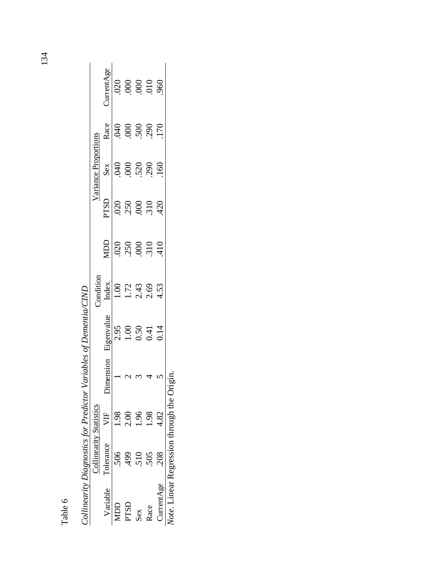| ١<br>۳, |
|---------|
| 1       |
|         |
|         |

|                   |                                             |      |         | Commeanity Dugmostics for a realition was vertical contention Carrier |                                                                                         |                                                            |                                  |                      |                                  |                   |
|-------------------|---------------------------------------------|------|---------|-----------------------------------------------------------------------|-----------------------------------------------------------------------------------------|------------------------------------------------------------|----------------------------------|----------------------|----------------------------------|-------------------|
|                   | <b>Collinearity Statistics</b>              |      |         |                                                                       | Condition                                                                               |                                                            |                                  | Variance Proportions |                                  |                   |
|                   | Variable Tolerance                          | VF   | mension | Eigenvalue                                                            |                                                                                         | <b>NDD</b>                                                 | PTSD                             |                      | Race                             | <b>JurrentAge</b> |
| Д                 |                                             |      |         | 2.95                                                                  | $\begin{array}{c c}\n\text{Index} \\ 1.00 \\ 1.72 \\ 2.43 \\ 0.53 \\ 4.53\n\end{array}$ |                                                            | 020                              | $rac{Sex}{040}$      | 040                              |                   |
| PTSD              |                                             |      |         |                                                                       |                                                                                         | $\frac{20}{350}$<br>$\frac{250}{350}$<br>$\frac{200}{310}$ | $250$<br>$310$<br>$310$<br>$420$ |                      | $000$<br>$500$<br>$500$<br>$500$ |                   |
| Sex               |                                             |      |         | $\begin{array}{c} 1.00 \\ 0.50 \\ 0.41 \end{array}$                   |                                                                                         |                                                            |                                  |                      |                                  |                   |
| Race              |                                             | 1.98 |         |                                                                       |                                                                                         |                                                            |                                  |                      |                                  |                   |
| <b>JurrentAge</b> |                                             | 4.82 |         | 0.14                                                                  |                                                                                         |                                                            |                                  | 160                  |                                  |                   |
|                   | lote. Linear Regression through the Origin. |      |         |                                                                       |                                                                                         |                                                            |                                  |                      |                                  |                   |

Collinearity Diagnostics for Predictor Variables of Dementia/CIND *Collinearity Diagnostics for Predictor Variables of Dementia/CIND*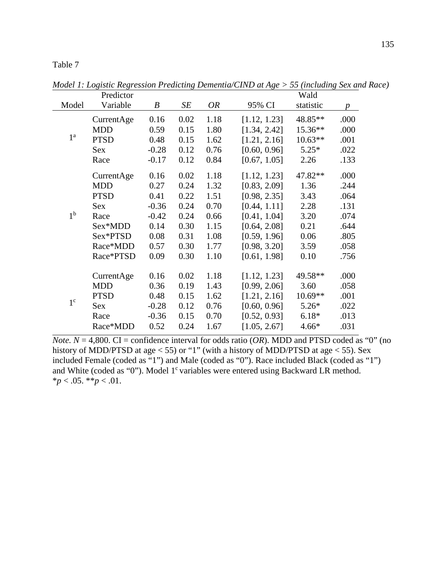|                | Predictor   |                  |      |           |              | Wald      |                  |
|----------------|-------------|------------------|------|-----------|--------------|-----------|------------------|
| Model          | Variable    | $\boldsymbol{B}$ | SE   | <b>OR</b> | 95% CI       | statistic | $\boldsymbol{p}$ |
|                | CurrentAge  | 0.16             | 0.02 | 1.18      | [1.12, 1.23] | 48.85**   | .000             |
|                | <b>MDD</b>  | 0.59             | 0.15 | 1.80      | [1.34, 2.42] | 15.36**   | .000             |
| 1 <sup>a</sup> | <b>PTSD</b> | 0.48             | 0.15 | 1.62      | [1.21, 2.16] | $10.63**$ | .001             |
|                | Sex         | $-0.28$          | 0.12 | 0.76      | [0.60, 0.96] | $5.25*$   | .022             |
|                | Race        | $-0.17$          | 0.12 | 0.84      | [0.67, 1.05] | 2.26      | .133             |
|                | CurrentAge  | 0.16             | 0.02 | 1.18      | [1.12, 1.23] | 47.82**   | .000             |
|                | <b>MDD</b>  | 0.27             | 0.24 | 1.32      | [0.83, 2.09] | 1.36      | .244             |
|                | <b>PTSD</b> | 0.41             | 0.22 | 1.51      | [0.98, 2.35] | 3.43      | .064             |
|                | Sex         | $-0.36$          | 0.24 | 0.70      | [0.44, 1.11] | 2.28      | .131             |
| 1 <sup>b</sup> | Race        | $-0.42$          | 0.24 | 0.66      | [0.41, 1.04] | 3.20      | .074             |
|                | Sex*MDD     | 0.14             | 0.30 | 1.15      | [0.64, 2.08] | 0.21      | .644             |
|                | Sex*PTSD    | 0.08             | 0.31 | 1.08      | [0.59, 1.96] | 0.06      | .805             |
|                | Race*MDD    | 0.57             | 0.30 | 1.77      | [0.98, 3.20] | 3.59      | .058             |
|                | Race*PTSD   | 0.09             | 0.30 | 1.10      | [0.61, 1.98] | 0.10      | .756             |
|                | CurrentAge  | 0.16             | 0.02 | 1.18      | [1.12, 1.23] | 49.58**   | .000             |
|                | <b>MDD</b>  | 0.36             | 0.19 | 1.43      | [0.99, 2.06] | 3.60      | .058             |
|                | <b>PTSD</b> | 0.48             | 0.15 | 1.62      | [1.21, 2.16] | $10.69**$ | .001             |
| $1^{\circ}$    | Sex         | $-0.28$          | 0.12 | 0.76      | [0.60, 0.96] | $5.26*$   | .022             |
|                | Race        | $-0.36$          | 0.15 | 0.70      | [0.52, 0.93] | $6.18*$   | .013             |
|                | Race*MDD    | 0.52             | 0.24 | 1.67      | [1.05, 2.67] | $4.66*$   | .031             |

<span id="page-134-0"></span>*Model 1: Logistic Regression Predicting Dementia/CIND at Age > 55 (including Sex and Race)*

*Note.*  $N = 4,800$ . CI = confidence interval for odds ratio (*OR*). MDD and PTSD coded as "0" (no history of MDD/PTSD at age < 55) or "1" (with a history of MDD/PTSD at age < 55). Sex included Female (coded as "1") and Male (coded as "0"). Race included Black (coded as "1") and White (coded as "0"). Model 1<sup>c</sup> variables were entered using Backward LR method.  $**p* < .05. ***p* < .01.$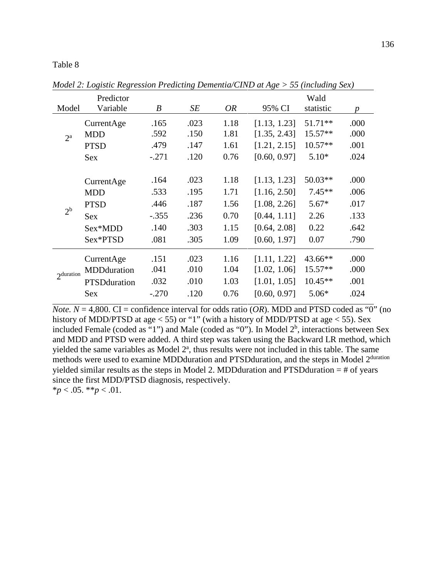|              | Predictor            |         |      |           |              | Wald      |                  |
|--------------|----------------------|---------|------|-----------|--------------|-----------|------------------|
| Model        | Variable             | B       | SE   | <i>OR</i> | 95% CI       | statistic | $\boldsymbol{p}$ |
|              | CurrentAge           | .165    | .023 | 1.18      | [1.13, 1.23] | 51.71**   | .000             |
| $2^{\rm a}$  | <b>MDD</b>           | .592    | .150 | 1.81      | [1.35, 2.43] | 15.57**   | .000             |
|              | <b>PTSD</b>          | .479    | .147 | 1.61      | [1.21, 2.15] | $10.57**$ | .001             |
|              | <b>Sex</b>           | $-.271$ | .120 | 0.76      | [0.60, 0.97] | $5.10*$   | .024             |
|              |                      |         |      |           |              |           |                  |
|              | CurrentAge           | .164    | .023 | 1.18      | [1.13, 1.23] | $50.03**$ | .000             |
|              | <b>MDD</b>           | .533    | .195 | 1.71      | [1.16, 2.50] | $7.45**$  | .006             |
| $2^{b}$      | <b>PTSD</b>          | .446    | .187 | 1.56      | [1.08, 2.26] | $5.67*$   | .017             |
|              | Sex                  | $-.355$ | .236 | 0.70      | [0.44, 1.11] | 2.26      | .133             |
|              | Sex*MDD              | .140    | .303 | 1.15      | [0.64, 2.08] | 0.22      | .642             |
|              | Sex*PTSD             | .081    | .305 | 1.09      | [0.60, 1.97] | 0.07      | .790             |
|              | CurrentAge           | .151    | .023 | 1.16      | [1.11, 1.22] | $43.66**$ | .000             |
| $2$ duration | MDDduration          | .041    | .010 | 1.04      | [1.02, 1.06] | $15.57**$ | .000             |
|              | <b>PTSD</b> duration | .032    | .010 | 1.03      | [1.01, 1.05] | $10.45**$ | .001             |
|              | <b>Sex</b>           | $-.270$ | .120 | 0.76      | [0.60, 0.97] | $5.06*$   | .024             |

<span id="page-135-1"></span>*Model 2: Logistic Regression Predicting Dementia/CIND at Age > 55 (including Sex)*

*Note.*  $N = 4,800$ . CI = confidence interval for odds ratio (*OR*). MDD and PTSD coded as "0" (no history of MDD/PTSD at age < 55) or "1" (with a history of MDD/PTSD at age < 55). Sex included Female (coded as "1") and Male (coded as "0"). In Model  $2<sup>b</sup>$ , interactions between Sex and MDD and PTSD were added. A third step was taken using the Backward LR method, which yielded the same variables as Model  $2<sup>a</sup>$ , thus results were not included in this table. The same methods were used to examine MDDduration and PTSDduration, and the steps in Model 2<sup>duration</sup> yielded similar results as the steps in Model 2. MDD duration and PTSD duration  $=$  # of years since the first MDD/PTSD diagnosis, respectively.

<span id="page-135-0"></span> $**p* < .05.$   $**p* < .01.$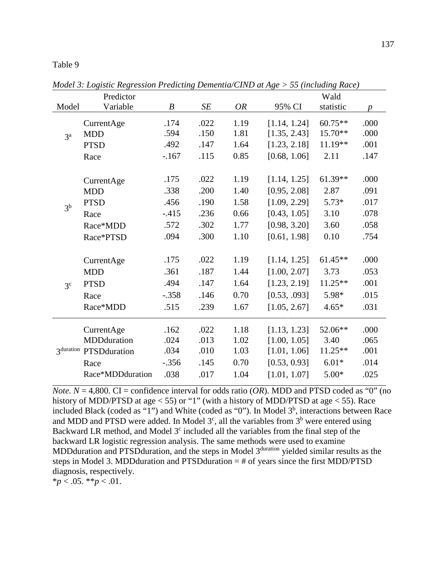|                | Predictor        |                  |      |           |              | Wald      |                  |
|----------------|------------------|------------------|------|-----------|--------------|-----------|------------------|
| Model          | Variable         | $\boldsymbol{B}$ | SE   | <b>OR</b> | 95% CI       | statistic | $\boldsymbol{p}$ |
|                | CurrentAge       | .174             | .022 | 1.19      | [1.14, 1.24] | $60.75**$ | .000             |
| 3 <sup>a</sup> | <b>MDD</b>       | .594             | .150 | 1.81      | [1.35, 2.43] | 15.70**   | .000             |
|                | <b>PTSD</b>      | .492             | .147 | 1.64      | [1.23, 2.18] | $11.19**$ | .001             |
|                | Race             | $-167$           | .115 | 0.85      | [0.68, 1.06] | 2.11      | .147             |
|                |                  |                  |      |           |              |           |                  |
|                | CurrentAge       | .175             | .022 | 1.19      | [1.14, 1.25] | 61.39**   | .000             |
|                | <b>MDD</b>       | .338             | .200 | 1.40      | [0.95, 2.08] | 2.87      | .091             |
| 3 <sup>b</sup> | <b>PTSD</b>      | .456             | .190 | 1.58      | [1.09, 2.29] | $5.73*$   | .017             |
|                | Race             | $-.415$          | .236 | 0.66      | [0.43, 1.05] | 3.10      | .078             |
|                | Race*MDD         | .572             | .302 | 1.77      | [0.98, 3.20] | 3.60      | .058             |
|                | Race*PTSD        | .094             | .300 | 1.10      | [0.61, 1.98] | 0.10      | .754             |
|                |                  |                  |      |           |              |           |                  |
|                | CurrentAge       | .175             | .022 | 1.19      | [1.14, 1.25] | $61.45**$ | .000             |
|                | <b>MDD</b>       | .361             | .187 | 1.44      | [1.00, 2.07] | 3.73      | .053             |
| 3 <sup>c</sup> | <b>PTSD</b>      | .494             | .147 | 1.64      | [1.23, 2.19] | 11.25**   | .001             |
|                | Race             | $-.358$          | .146 | 0.70      | [0.53, .093] | 5.98*     | .015             |
|                | Race*MDD         | .515             | .239 | 1.67      | [1.05, 2.67] | $4.65*$   | .031             |
|                |                  |                  |      |           |              |           |                  |
|                | CurrentAge       | .162             | .022 | 1.18      | [1.13, 1.23] | 52.06**   | .000             |
|                | MDDduration      | .024             | .013 | 1.02      | [1.00, 1.05] | 3.40      | .065             |
| 3duration      | PTSDduration     | .034             | .010 | 1.03      | [1.01, 1.06] | 11.25**   | .001             |
|                | Race             | $-.356$          | .145 | 0.70      | [0.53, 0.93] | $6.01*$   | .014             |
|                | Race*MDDduration | .038             | .017 | 1.04      | [1.01, 1.07] | $5.00*$   | .025             |

<span id="page-136-1"></span>*Model 3: Logistic Regression Predicting Dementia/CIND at Age > 55 (including Race)*

*Note.*  $N = 4,800$ . CI = confidence interval for odds ratio (*OR*). MDD and PTSD coded as "0" (no history of MDD/PTSD at age < 55) or "1" (with a history of MDD/PTSD at age < 55). Race included Black (coded as "1") and White (coded as "0"). In Model  $3<sup>b</sup>$ , interactions between Race and MDD and PTSD were added. In Model  $3<sup>c</sup>$ , all the variables from  $3<sup>b</sup>$  were entered using Backward LR method, and Model  $3<sup>c</sup>$  included all the variables from the final step of the backward LR logistic regression analysis. The same methods were used to examine MDDduration and PTSD duration, and the steps in Model 3<sup>duration</sup> yielded similar results as the steps in Model 3. MDD duration and PTSD duration  $=$  # of years since the first MDD/PTSD diagnosis, respectively.

<span id="page-136-0"></span> $*_{p}$  < .05.  $*_{p}$  < .01.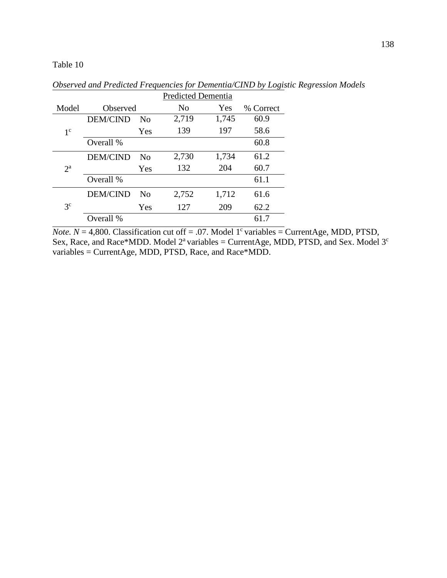*Observed and Predicted Frequencies for Dementia/CIND by Logistic Regression Models*

|                |                 | <b>Predicted Dementia</b> |       |       |           |
|----------------|-----------------|---------------------------|-------|-------|-----------|
| Model          | Observed        |                           | No    | Yes   | % Correct |
| 1 <sup>c</sup> | <b>DEM/CIND</b> | Nο                        | 2,719 | 1,745 | 60.9      |
|                |                 | Yes                       | 139   | 197   | 58.6      |
|                | Overall %       |                           |       |       | 60.8      |
| $2^{\rm a}$    | <b>DEM/CIND</b> | N <sub>0</sub>            | 2,730 | 1,734 | 61.2      |
|                |                 | Yes                       | 132   | 204   | 60.7      |
|                | Overall %       |                           |       |       | 61.1      |
| 3 <sup>c</sup> | <b>DEM/CIND</b> | No                        | 2,752 | 1,712 | 61.6      |
|                |                 | Yes                       | 127   | 209   | 62.2      |
|                | Overall %       |                           |       |       | 61.7      |

*Note.*  $N = 4,800$ . Classification cut off = .07. Model 1<sup>c</sup> variables = CurrentAge, MDD, PTSD, Sex, Race, and Race\*MDD. Model  $2^a$  variables = CurrentAge, MDD, PTSD, and Sex. Model  $3^c$ variables = CurrentAge, MDD, PTSD, Race, and Race\*MDD.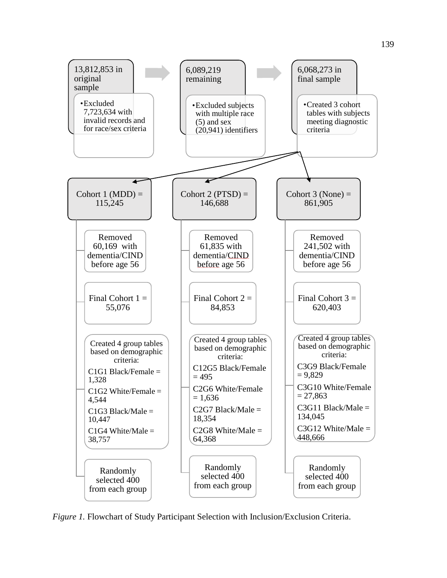

*Figure 1.* Flowchart of Study Participant Selection with Inclusion/Exclusion Criteria.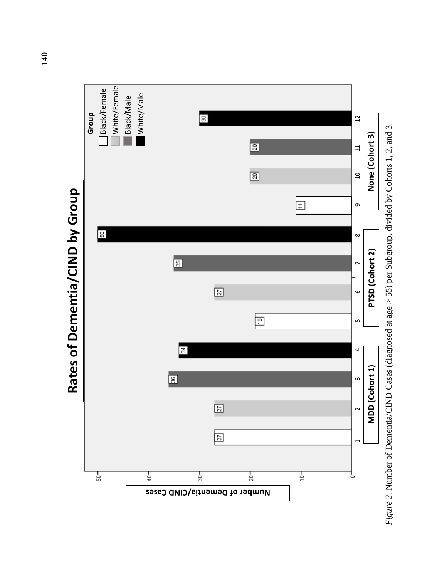

Figure 2. Number of Dementia/CIND Cases (diagnosed at age  $>$  55) per Subgroup, divided by Cohorts 1, 2, and 3. *Figure 2.* Number of Dementia/CIND Cases (diagnosed at age > 55) per Subgroup, divided by Cohorts 1, 2, and 3.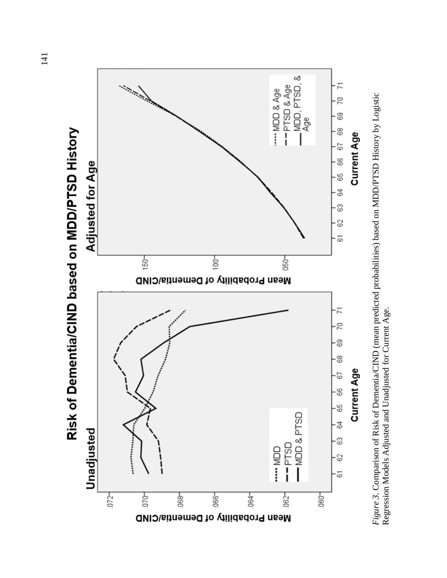

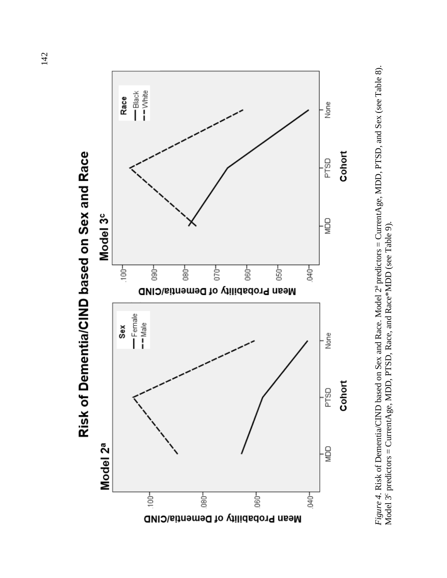

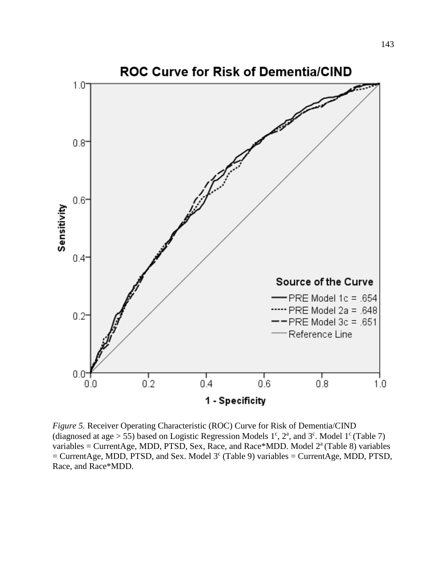

*Figure 5.* Receiver Operating Characteristic (ROC) Curve for Risk of Dementia/CIND (diagnosed at age > 55) based on Logistic Regression Models  $1^c$ ,  $2^a$ , and  $3^c$ . Model  $1^c$  [\(Table 7\)](#page-134-0) variables = CurrentAge, MDD, PTSD, Sex, Race, and Race\*MDD. Model  $2<sup>a</sup>$  [\(Table 8\)](#page-135-1) variables  $=$  CurrentAge, MDD, PTSD, and Sex. Model 3<sup>c</sup> [\(Table 9\)](#page-136-1) variables  $=$  CurrentAge, MDD, PTSD, Race, and Race\*MDD.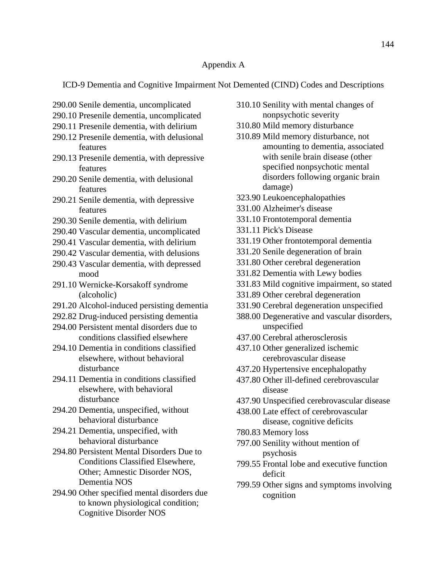#### Appendix A

ICD-9 Dementia and Cognitive Impairment Not Demented (CIND) Codes and Descriptions

- 290.00 Senile dementia, uncomplicated
- 290.10 Presenile dementia, uncomplicated
- 290.11 Presenile dementia, with delirium
- 290.12 Presenile dementia, with delusional features
- 290.13 Presenile dementia, with depressive features
- 290.20 Senile dementia, with delusional features
- 290.21 Senile dementia, with depressive features
- 290.30 Senile dementia, with delirium
- 290.40 Vascular dementia, uncomplicated
- 290.41 Vascular dementia, with delirium
- 290.42 Vascular dementia, with delusions
- 290.43 Vascular dementia, with depressed mood
- 291.10 Wernicke-Korsakoff syndrome (alcoholic)
- 291.20 Alcohol-induced persisting dementia
- 292.82 Drug-induced persisting dementia
- 294.00 Persistent mental disorders due to conditions classified elsewhere
- 294.10 Dementia in conditions classified elsewhere, without behavioral disturbance
- 294.11 Dementia in conditions classified elsewhere, with behavioral disturbance
- 294.20 Dementia, unspecified, without behavioral disturbance
- 294.21 Dementia, unspecified, with behavioral disturbance
- 294.80 Persistent Mental Disorders Due to Conditions Classified Elsewhere, Other; Amnestic Disorder NOS, Dementia NOS
- 294.90 Other specified mental disorders due to known physiological condition; Cognitive Disorder NOS
- 310.10 Senility with mental changes of nonpsychotic severity
- 310.80 Mild memory disturbance
- 310.89 Mild memory disturbance, not amounting to dementia, associated with senile brain disease (other specified nonpsychotic mental disorders following organic brain damage)
- 323.90 Leukoencephalopathies
- 331.00 Alzheimer's disease
- 331.10 Frontotemporal dementia
- 331.11 Pick's Disease
- 331.19 Other frontotemporal dementia
- 331.20 Senile degeneration of brain
- 331.80 Other cerebral degeneration
- 331.82 Dementia with Lewy bodies
- 331.83 Mild cognitive impairment, so stated
- 331.89 Other cerebral degeneration
- 331.90 Cerebral degeneration unspecified
- 388.00 Degenerative and vascular disorders, unspecified
- 437.00 Cerebral atherosclerosis
- 437.10 Other generalized ischemic cerebrovascular disease
- 437.20 Hypertensive encephalopathy
- 437.80 Other ill-defined cerebrovascular disease
- 437.90 Unspecified cerebrovascular disease
- 438.00 Late effect of cerebrovascular disease, cognitive deficits
- 780.83 Memory loss
- 797.00 Senility without mention of psychosis
- 799.55 Frontal lobe and executive function deficit
- 799.59 Other signs and symptoms involving cognition